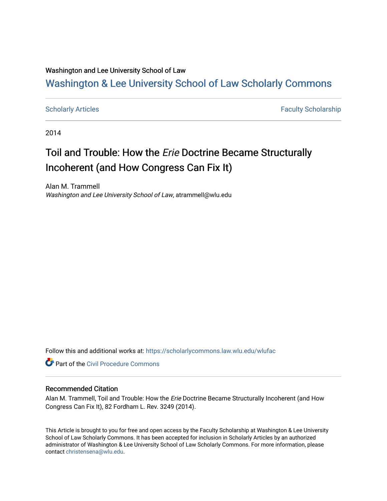## Washington and Lee University School of Law

# [Washington & Lee University School of Law Scholarly Commons](https://scholarlycommons.law.wlu.edu/)

[Scholarly Articles](https://scholarlycommons.law.wlu.edu/wlufac) **Faculty Scholarship** Faculty Scholarship

2014

# Toil and Trouble: How the Erie Doctrine Became Structurally Incoherent (and How Congress Can Fix It)

Alan M. Trammell Washington and Lee University School of Law, atrammell@wlu.edu

Follow this and additional works at: [https://scholarlycommons.law.wlu.edu/wlufac](https://scholarlycommons.law.wlu.edu/wlufac?utm_source=scholarlycommons.law.wlu.edu%2Fwlufac%2F621&utm_medium=PDF&utm_campaign=PDFCoverPages)

**Part of the Civil Procedure Commons** 

#### Recommended Citation

Alan M. Trammell, Toil and Trouble: How the Erie Doctrine Became Structurally Incoherent (and How Congress Can Fix It), 82 Fordham L. Rev. 3249 (2014).

This Article is brought to you for free and open access by the Faculty Scholarship at Washington & Lee University School of Law Scholarly Commons. It has been accepted for inclusion in Scholarly Articles by an authorized administrator of Washington & Lee University School of Law Scholarly Commons. For more information, please contact [christensena@wlu.edu](mailto:christensena@wlu.edu).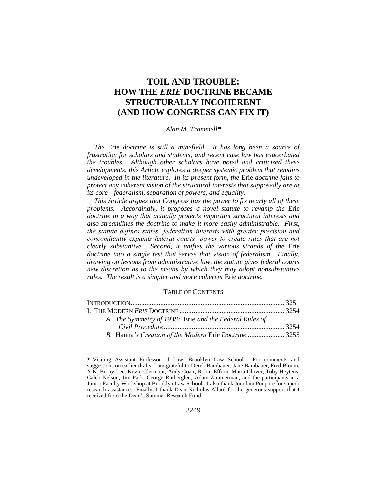# **TOIL AND TROUBLE: HOW THE** *ERIE* **DOCTRINE BECAME STRUCTURALLY INCOHERENT (AND HOW CONGRESS CAN FIX IT)**

#### *Alan M. Trammell\**

*The* Erie *doctrine is still a minefield. It has long been a source of frustration for scholars and students, and recent case law has exacerbated the troubles. Although other scholars have noted and criticized these developments, this Article explores a deeper systemic problem that remains undeveloped in the literature. In its present form, the* Erie *doctrine fails to protect any coherent vision of the structural interests that supposedly are at its core—federalism, separation of powers, and equality.*

*This Article argues that Congress has the power to fix nearly all of these problems. Accordingly, it proposes a novel statute to revamp the* Erie *doctrine in a way that actually protects important structural interests and also streamlines the doctrine to make it more easily administrable. First, the statute defines states' federalism interests with greater precision and concomitantly expands federal courts' power to create rules that are not clearly substantive. Second, it unifies the various strands of the* Erie *doctrine into a single test that serves that vision of federalism. Finally, drawing on lessons from administrative law, the statute gives federal courts new discretion as to the means by which they may adopt nonsubstantive rules. The result is a simpler and more coherent* Erie *doctrine.*

#### TABLE OF CONTENTS

| A. The Symmetry of 1938: Erie and the Federal Rules of |  |
|--------------------------------------------------------|--|
|                                                        |  |
| B. Hanna's Creation of the Modern Erie Doctrine  3255  |  |

<sup>\*</sup> Visiting Assistant Professor of Law, Brooklyn Law School. For comments and suggestions on earlier drafts, I am grateful to Derek Bambauer, Jane Bambauer, Fred Bloom, Y.K. Brony-Lee, Kevin Clermont, Andy Coan, Robin Effron, Maria Glover, Toby Heytens, Caleb Nelson, Jim Park, George Rutherglen, Adam Zimmerman, and the participants in a Junior Faculty Workshop at Brooklyn Law School. I also thank Jourdain Poupore for superb research assistance. Finally, I thank Dean Nicholas Allard for the generous support that I received from the Dean's Summer Research Fund.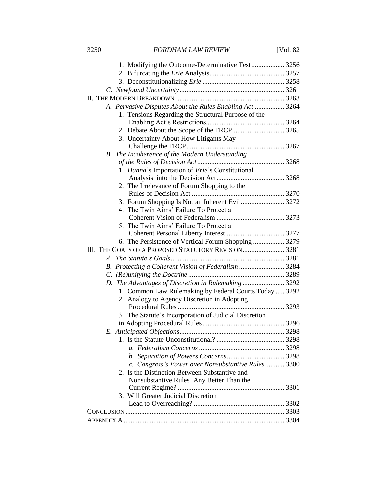| 1. Modifying the Outcome-Determinative Test 3256         |  |
|----------------------------------------------------------|--|
|                                                          |  |
|                                                          |  |
|                                                          |  |
|                                                          |  |
| A. Pervasive Disputes About the Rules Enabling Act  3264 |  |
| 1. Tensions Regarding the Structural Purpose of the      |  |
|                                                          |  |
|                                                          |  |
| 3. Uncertainty About How Litigants May                   |  |
|                                                          |  |
| B. The Incoherence of the Modern Understanding           |  |
|                                                          |  |
| 1. Hanna's Importation of Erie's Constitutional          |  |
|                                                          |  |
| 2. The Irrelevance of Forum Shopping to the              |  |
|                                                          |  |
| 4. The Twin Aims' Failure To Protect a                   |  |
|                                                          |  |
| 5. The Twin Aims' Failure To Protect a                   |  |
|                                                          |  |
| 6. The Persistence of Vertical Forum Shopping  3279      |  |
| III. THE GOALS OF A PROPOSED STATUTORY REVISION3281      |  |
|                                                          |  |
| B. Protecting a Coherent Vision of Federalism  3284      |  |
|                                                          |  |
| D. The Advantages of Discretion in Rulemaking  3292      |  |
| 1. Common Law Rulemaking by Federal Courts Today  3292   |  |
| 2. Analogy to Agency Discretion in Adopting              |  |
|                                                          |  |
| 3. The Statute's Incorporation of Judicial Discretion    |  |
|                                                          |  |
|                                                          |  |
|                                                          |  |
|                                                          |  |
|                                                          |  |
| c. Congress's Power over Nonsubstantive Rules 3300       |  |
| 2. Is the Distinction Between Substantive and            |  |
| Nonsubstantive Rules Any Better Than the                 |  |
|                                                          |  |
| 3. Will Greater Judicial Discretion                      |  |
|                                                          |  |
|                                                          |  |
|                                                          |  |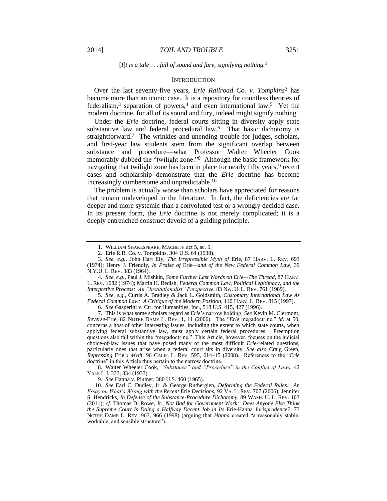#### <span id="page-3-5"></span><span id="page-3-4"></span><span id="page-3-3"></span><span id="page-3-1"></span>**INTRODUCTION**

<span id="page-3-2"></span>Over the last seventy-five years, *Erie Railroad Co. v. Tompkins*<sup>2</sup> has become more than an iconic case. It is a repository for countless theories of federalism,<sup>3</sup> separation of powers,<sup>4</sup> and even international law.<sup>5</sup> Yet the modern doctrine, for all of its sound and fury, indeed might signify nothing.

<span id="page-3-0"></span>Under the *Erie* doctrine, federal courts sitting in diversity apply state substantive law and federal procedural law.<sup>6</sup> That basic dichotomy is straightforward.<sup>7</sup> The wrinkles and unending trouble for judges, scholars, and first-year law students stem from the significant overlap between substance and procedure—what Professor Walter Wheeler Cook memorably dubbed the "twilight zone."8 Although the basic framework for navigating that twilight zone has been in place for nearly fifty years,<sup>9</sup> recent cases and scholarship demonstrate that the *Erie* doctrine has become increasingly cumbersome and unpredictable.<sup>10</sup>

The problem is actually worse than scholars have appreciated for reasons that remain undeveloped in the literature. In fact, the deficiencies are far deeper and more systemic than a convoluted test or a wrongly decided case. In its present form, the *Erie* doctrine is not merely complicated; it is a deeply entrenched construct devoid of a guiding principle.

4. *See, e.g.*, Paul J. Mishkin, *Some Further Last Words on Erie—The Thread*, 87 HARV. L. REV. 1682 (1974); Martin H. Redish, *Federal Common Law, Political Legitimacy, and the Interpretive Process: An "Institutionalist" Perspective*, 83 NW. U. L. REV. 761 (1989).

5. *See, e.g.*, Curtis A. Bradley & Jack L. Goldsmith, *Customary International Law As Federal Common Law: A Critique of the Modern Position*, 110 HARV. L. REV. 815 (1997).

6. *See* Gasperini v. Ctr. for Humanities, Inc., 518 U.S. 415, 427 (1996).

7. This is what some scholars regard as *Erie*'s narrow holding. *See* Kevin M. Clermont, *Reverse-*Erie, 82 NOTRE DAME L. REV. 1, 11 (2006). The "*Erie* megadoctrine," *id.* at 50, concerns a host of other interesting issues, including the extent to which state courts, when applying federal substantive law, must apply certain federal procedures. Preemption questions also fall within the "megadoctrine." This Article, however, focuses on the judicial choice-of-law issues that have posed many of the most difficult *Erie*-related questions, particularly ones that arise when a federal court sits in diversity. *See also* Craig Green, *Repressing* Erie*'s Myth*, 96 CALIF. L. REV. 595, 614–15 (2008). References to the "*Erie* doctrine" in this Article thus pertain to the narrow doctrine.

8. Walter Wheeler Cook, *"Substance" and "Procedure" in the Conflict of Laws*, 42 YALE L.J. 333, 334 (1933).

9. *See* Hanna v. Plumer, 380 U.S. 460 (1965).

10. *See* Earl C. Dudley, Jr. & George Rutherglen, *Deforming the Federal Rules: An Essay on What's Wrong with the Recent* Erie *Decisions*, 92 VA. L. REV. 707 (2006); Jennifer S. Hendricks, *In Defense of the Substance-Procedure Dichotomy*, 89 WASH. U. L. REV. 103 (2011); *cf.* Thomas D. Rowe, Jr., *Not Bad for Government Work: Does Anyone Else Think the Supreme Court Is Doing a Halfway Decent Job in Its* Erie*-*Hanna *Jurisprudence?*, 73 NOTRE DAME L. REV. 963, 966 (1998) (arguing that *Hanna* created "a reasonably stable, workable, and sensible structure").

<sup>1.</sup> WILLIAM SHAKESPEARE, MACBETH act 5, sc. 5.

<sup>2.</sup> Erie R.R. Co. v. Tompkins, 304 U.S. 64 (1938).

<sup>3.</sup> *See, e.g.*, John Hart Ely, *The Irrepressible Myth of* Erie, 87 HARV. L. REV. 693 (1974); Henry J. Friendly, *In Praise of* Erie*—and of the New Federal Common Law*, 39 N.Y.U. L. REV. 383 (1964).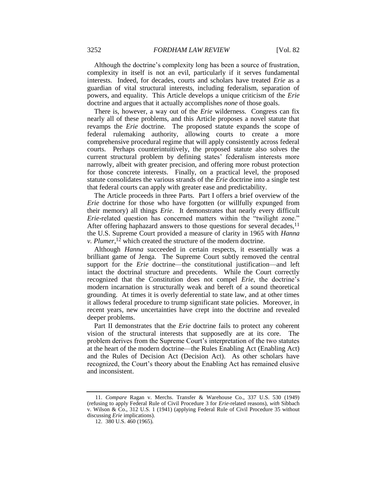Although the doctrine's complexity long has been a source of frustration, complexity in itself is not an evil, particularly if it serves fundamental interests. Indeed, for decades, courts and scholars have treated *Erie* as a guardian of vital structural interests, including federalism, separation of powers, and equality. This Article develops a unique criticism of the *Erie* doctrine and argues that it actually accomplishes *none* of those goals.

There is, however, a way out of the *Erie* wilderness. Congress can fix nearly all of these problems, and this Article proposes a novel statute that revamps the *Erie* doctrine. The proposed statute expands the scope of federal rulemaking authority, allowing courts to create a more comprehensive procedural regime that will apply consistently across federal courts. Perhaps counterintuitively, the proposed statute also solves the current structural problem by defining states' federalism interests more narrowly, albeit with greater precision, and offering more robust protection for those concrete interests. Finally, on a practical level, the proposed statute consolidates the various strands of the *Erie* doctrine into a single test that federal courts can apply with greater ease and predictability.

The Article proceeds in three Parts. Part I offers a brief overview of the *Erie* doctrine for those who have forgotten (or willfully expunged from their memory) all things *Erie*. It demonstrates that nearly every difficult *Erie*-related question has concerned matters within the "twilight zone." After offering haphazard answers to those questions for several decades,  $11$ the U.S. Supreme Court provided a measure of clarity in 1965 with *Hanna v. Plumer*,<sup>12</sup> which created the structure of the modern doctrine.

<span id="page-4-0"></span>Although *Hanna* succeeded in certain respects, it essentially was a brilliant game of Jenga. The Supreme Court subtly removed the central support for the *Erie* doctrine—the constitutional justification—and left intact the doctrinal structure and precedents. While the Court correctly recognized that the Constitution does not compel *Erie*, the doctrine's modern incarnation is structurally weak and bereft of a sound theoretical grounding. At times it is overly deferential to state law, and at other times it allows federal procedure to trump significant state policies. Moreover, in recent years, new uncertainties have crept into the doctrine and revealed deeper problems.

Part II demonstrates that the *Erie* doctrine fails to protect any coherent vision of the structural interests that supposedly are at its core. The problem derives from the Supreme Court's interpretation of the two statutes at the heart of the modern doctrine—the Rules Enabling Act (Enabling Act) and the Rules of Decision Act (Decision Act). As other scholars have recognized, the Court's theory about the Enabling Act has remained elusive and inconsistent.

<sup>11.</sup> *Compare* Ragan v. Merchs. Transfer & Warehouse Co., 337 U.S. 530 (1949) (refusing to apply Federal Rule of Civil Procedure 3 for *Erie*-related reasons), *with* Sibbach v. Wilson & Co., 312 U.S. 1 (1941) (applying Federal Rule of Civil Procedure 35 without discussing *Erie* implications).

<sup>12.</sup> 380 U.S. 460 (1965).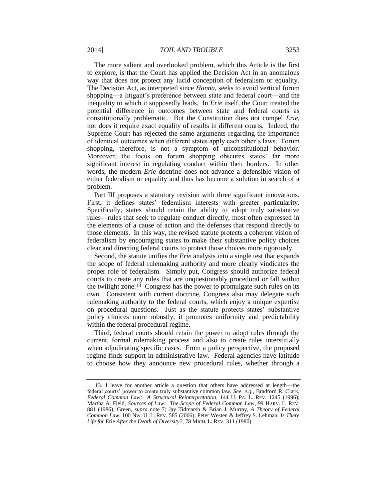The more salient and overlooked problem, which this Article is the first to explore, is that the Court has applied the Decision Act in an anomalous way that does not protect any lucid conception of federalism or equality. The Decision Act, as interpreted since *Hanna*, seeks to avoid vertical forum shopping—a litigant's preference between state and federal court—and the inequality to which it supposedly leads. In *Erie* itself, the Court treated the potential difference in outcomes between state and federal courts as constitutionally problematic. But the Constitution does not compel *Erie*, nor does it require exact equality of results in different courts. Indeed, the Supreme Court has rejected the same arguments regarding the importance of identical outcomes when different states apply each other's laws. Forum shopping, therefore, is not a symptom of unconstitutional behavior. Moreover, the focus on forum shopping obscures states' far more significant interest in regulating conduct within their borders. In other words, the modern *Erie* doctrine does not advance a defensible vision of either federalism or equality and thus has become a solution in search of a problem.

Part III proposes a statutory revision with three significant innovations. First, it defines states' federalism interests with greater particularity. Specifically, states should retain the ability to adopt truly substantive rules—rules that seek to regulate conduct directly, most often expressed in the elements of a cause of action and the defenses that respond directly to those elements. In this way, the revised statute protects a coherent vision of federalism by encouraging states to make their substantive policy choices clear and directing federal courts to protect those choices more rigorously.

<span id="page-5-0"></span>Second, the statute unifies the *Erie* analysis into a single test that expands the scope of federal rulemaking authority and more clearly vindicates the proper role of federalism. Simply put, Congress should authorize federal courts to create any rules that are unquestionably procedural or fall within the twilight zone.<sup>13</sup> Congress has the power to promulgate such rules on its own. Consistent with current doctrine, Congress also may delegate such rulemaking authority to the federal courts, which enjoy a unique expertise on procedural questions. Just as the statute protects states' substantive policy choices more robustly, it promotes uniformity and predictability within the federal procedural regime.

Third, federal courts should retain the power to adopt rules through the current, formal rulemaking process and also to create rules interstitially when adjudicating specific cases. From a policy perspective, the proposed regime finds support in administrative law. Federal agencies have latitude to choose how they announce new procedural rules, whether through a

<sup>13.</sup> I leave for another article a question that others have addressed at length—the federal courts' power to create truly substantive common law. *See, e.g.*, Bradford R. Clark, *Federal Common Law: A Structural Reinterpretation*, 144 U. PA. L. REV. 1245 (1996); Martha A. Field, *Sources of Law: The Scope of Federal Common Law*, 99 HARV. L. REV. 881 (1986); Green, *supra* note [7;](#page-3-0) Jay Tidmarsh & Brian J. Murray, *A Theory of Federal Common Law*, 100 NW. U. L. REV. 585 (2006); Peter Westen & Jeffrey S. Lehman, *Is There Life for* Erie *After the Death of Diversity?*, 78 MICH. L. REV. 311 (1980).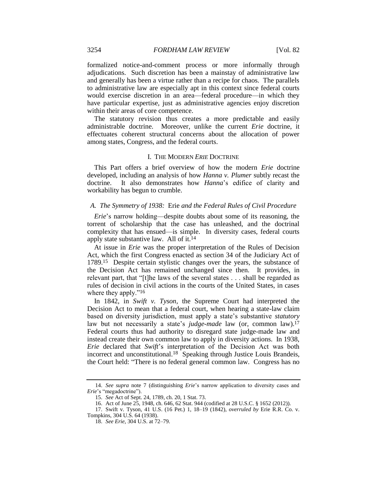formalized notice-and-comment process or more informally through adjudications. Such discretion has been a mainstay of administrative law and generally has been a virtue rather than a recipe for chaos. The parallels to administrative law are especially apt in this context since federal courts would exercise discretion in an area—federal procedure—in which they have particular expertise, just as administrative agencies enjoy discretion within their areas of core competence.

The statutory revision thus creates a more predictable and easily administrable doctrine. Moreover, unlike the current *Erie* doctrine, it effectuates coherent structural concerns about the allocation of power among states, Congress, and the federal courts.

#### I. THE MODERN *ERIE* DOCTRINE

This Part offers a brief overview of how the modern *Erie* doctrine developed, including an analysis of how *Hanna v. Plumer* subtly recast the doctrine. It also demonstrates how *Hanna*'s edifice of clarity and workability has begun to crumble.

#### *A. The Symmetry of 1938:* Erie *and the Federal Rules of Civil Procedure*

*Erie*'s narrow holding—despite doubts about some of its reasoning, the torrent of scholarship that the case has unleashed, and the doctrinal complexity that has ensued—is simple. In diversity cases, federal courts apply state substantive law. All of it.<sup>14</sup>

At issue in *Erie* was the proper interpretation of the Rules of Decision Act, which the first Congress enacted as section 34 of the Judiciary Act of 1789.<sup>15</sup> Despite certain stylistic changes over the years, the substance of the Decision Act has remained unchanged since then. It provides, in relevant part, that "[t]he laws of the several states . . . shall be regarded as rules of decision in civil actions in the courts of the United States, in cases where they apply."<sup>16</sup>

In 1842, in *Swift v. Tyson*, the Supreme Court had interpreted the Decision Act to mean that a federal court, when hearing a state-law claim based on diversity jurisdiction, must apply a state's substantive *statutory* law but not necessarily a state's *judge-made* law (or, common law).<sup>17</sup> Federal courts thus had authority to disregard state judge-made law and instead create their own common law to apply in diversity actions. In 1938, *Erie* declared that *Swift*'s interpretation of the Decision Act was both incorrect and unconstitutional.<sup>18</sup> Speaking through Justice Louis Brandeis, the Court held: "There is no federal general common law. Congress has no

16. Act of June 25, 1948, ch. 646, 62 Stat. 944 (codified at 28 U.S.C. § 1652 (2012)).

<sup>14.</sup> *See supra* note [7](#page-3-0) (distinguishing *Erie*'s narrow application to diversity cases and *Erie*'s "megadoctrine").

<sup>15.</sup> *See* Act of Sept. 24, 1789, ch. 20, 1 Stat. 73.

<sup>17.</sup> Swift v. Tyson, 41 U.S. (16 Pet.) 1, 18–19 (1842), *overruled by* Erie R.R. Co. v. Tompkins, 304 U.S. 64 (1938).

<sup>18.</sup> *See Erie*, 304 U.S. at 72–79.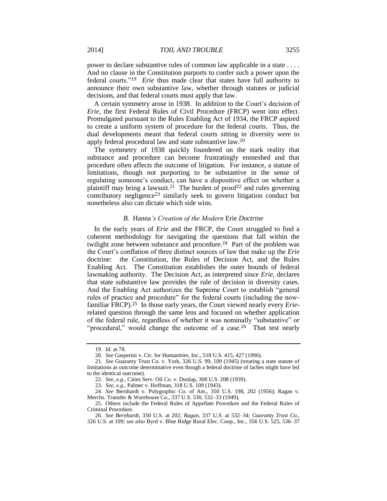power to declare substantive rules of common law applicable in a state . . . . And no clause in the Constitution purports to confer such a power upon the federal courts."<sup>19</sup> *Erie* thus made clear that states have full authority to announce their own substantive law, whether through statutes or judicial decisions, and that federal courts must apply that law.

A certain symmetry arose in 1938. In addition to the Court's decision of *Erie*, the first Federal Rules of Civil Procedure (FRCP) went into effect. Promulgated pursuant to the Rules Enabling Act of 1934, the FRCP aspired to create a uniform system of procedure for the federal courts. Thus, the dual developments meant that federal courts sitting in diversity were to apply federal procedural law and state substantive law.<sup>20</sup>

The symmetry of 1938 quickly foundered on the stark reality that substance and procedure can become frustratingly enmeshed and that procedure often affects the outcome of litigation. For instance, a statute of limitations, though not purporting to be substantive in the sense of regulating someone's conduct, can have a dispositive effect on whether a plaintiff may bring a lawsuit.<sup>21</sup> The burden of proof<sup>22</sup> and rules governing contributory negligence<sup>23</sup> similarly seek to govern litigation conduct but nonetheless also can dictate which side wins.

#### *B.* Hanna*'s Creation of the Modern* Erie *Doctrine*

In the early years of *Erie* and the FRCP, the Court struggled to find a coherent methodology for navigating the questions that fall within the twilight zone between substance and procedure.<sup>24</sup> Part of the problem was the Court's conflation of three distinct sources of law that make up the *Erie* doctrine: the Constitution, the Rules of Decision Act, and the Rules Enabling Act. The Constitution establishes the outer bounds of federal lawmaking authority. The Decision Act, as interpreted since *Erie*, declares that state substantive law provides the rule of decision in diversity cases. And the Enabling Act authorizes the Supreme Court to establish "general rules of practice and procedure" for the federal courts (including the nowfamiliar FRCP).25 In those early years, the Court viewed nearly every *Erie*related question through the same lens and focused on whether application of the federal rule, regardless of whether it was nominally "substantive" or "procedural," would change the outcome of a case.<sup>26</sup> That test nearly

<sup>19.</sup> *Id.* at 78.

<sup>20.</sup> *See* Gasperini v. Ctr. for Humanities, Inc., 518 U.S. 415, 427 (1996).

<sup>21.</sup> *See* Guaranty Trust Co. v. York, 326 U.S. 99, 109 (1945) (treating a state statute of limitations as outcome determinative even though a federal doctrine of laches might have led to the identical outcome).

<sup>22.</sup> *See, e.g.*, Cities Serv. Oil Co. v. Dunlap, 308 U.S. 208 (1939).

<sup>23.</sup> *See, e.g.*, Palmer v. Hoffman, 318 U.S. 109 (1943).

<sup>24.</sup> *See* Bernhardt v. Polygraphic Co. of Am., 350 U.S. 198, 202 (1956); Ragan v. Merchs. Transfer & Warehouse Co., 337 U.S. 530, 532-33 (1949).

<sup>25.</sup> Others include the Federal Rules of Appellate Procedure and the Federal Rules of Criminal Procedure.

<sup>26.</sup> *See Bernhardt*, 350 U.S. at 202; *Ragan*, 337 U.S. at 532–34; *Guaranty Trust Co.*, 326 U.S. at 109; *see also* Byrd v. Blue Ridge Rural Elec. Coop., Inc., 356 U.S. 525, 536–37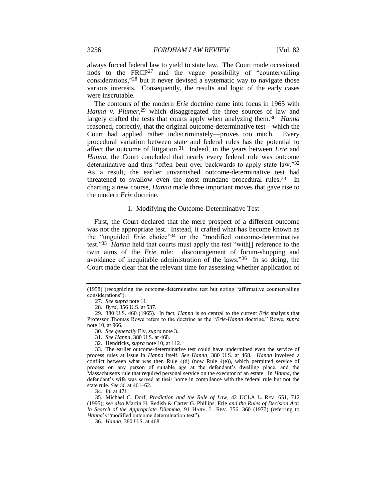always forced federal law to yield to state law. The Court made occasional nods to the FRCP<sup>27</sup> and the vague possibility of "countervailing considerations,"<sup>28</sup> but it never devised a systematic way to navigate those various interests. Consequently, the results and logic of the early cases were inscrutable.

<span id="page-8-2"></span>The contours of the modern *Erie* doctrine came into focus in 1965 with Hanna v. Plumer,<sup>29</sup> which disaggregated the three sources of law and largely crafted the tests that courts apply when analyzing them.<sup>30</sup> *Hanna* reasoned, correctly, that the original outcome-determinative test—which the Court had applied rather indiscriminately—proves too much. Every procedural variation between state and federal rules has the potential to affect the outcome of litigation.31 Indeed, in the years between *Erie* and *Hanna*, the Court concluded that nearly every federal rule was outcome determinative and thus "often bent over backwards to apply state law."<sup>32</sup> As a result, the earlier unvarnished outcome-determinative test had threatened to swallow even the most mundane procedural rules.<sup>33</sup> In charting a new course, *Hanna* made three important moves that gave rise to the modern *Erie* doctrine.

#### <span id="page-8-3"></span><span id="page-8-0"></span>1. Modifying the Outcome-Determinative Test

<span id="page-8-1"></span>First, the Court declared that the mere prospect of a different outcome was not the appropriate test. Instead, it crafted what has become known as the "unguided *Erie* choice"<sup>34</sup> or the "modified outcome-determinative test."<sup>35</sup> *Hanna* held that courts must apply the test "with[] reference to the twin aims of the *Erie* rule: discouragement of forum-shopping and avoidance of inequitable administration of the laws."36 In so doing, the Court made clear that the relevant time for assessing whether application of

34. *Id.* at 471.

35. Michael C. Dorf, *Prediction and the Rule of Law*, 42 UCLA L. REV. 651, 712 (1995); *see also* Martin H. Redish & Carter G. Phillips, Erie *and the Rules of Decision Act: In Search of the Appropriate Dilemma*, 91 HARV. L. REV. 356, 360 (1977) (referring to *Hanna*'s "modified outcome determination test").

36. *Hanna*, 380 U.S. at 468.

<sup>(1958) (</sup>recognizing the outcome-determinative test but noting "affirmative countervailing considerations").

<sup>27.</sup> *See supra* not[e 11.](#page-4-0)

<sup>28.</sup> *Byrd*, 356 U.S. at 537.

<sup>29.</sup> 380 U.S. 460 (1965). In fact, *Hanna* is so central to the current *Erie* analysis that Professor Thomas Rowe refers to the doctrine as the "*Erie-Hanna* doctrine." Rowe, *supra* note [10,](#page-3-1) at 966.

<sup>30.</sup> *See generally* Ely, *supra* not[e 3.](#page-3-2)

<sup>31.</sup> *See Hanna*, 380 U.S. at 468.

<sup>32.</sup> Hendricks, *supra* note [10,](#page-3-1) at 112.

<sup>33.</sup> The earlier outcome-determinative test could have undermined even the service of process rules at issue in *Hanna* itself. *See Hanna*, 380 U.S. at 468. *Hanna* involved a conflict between what was then Rule 4(d) (now Rule 4(e)), which permitted service of process on any person of suitable age at the defendant's dwelling place, and the Massachusetts rule that required personal service on the executor of an estate. In *Hanna*, the defendant's wife was served at their home in compliance with the federal rule but not the state rule. *See id.* at 461–62.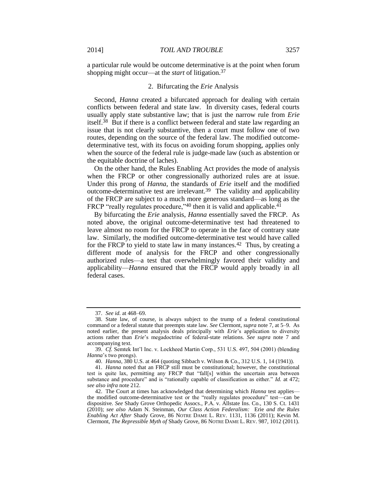a particular rule would be outcome determinative is at the point when forum shopping might occur—at the *start* of litigation.<sup>37</sup>

#### 2. Bifurcating the *Erie* Analysis

Second, *Hanna* created a bifurcated approach for dealing with certain conflicts between federal and state law. In diversity cases, federal courts usually apply state substantive law; that is just the narrow rule from *Erie* itself.38 But if there is a conflict between federal and state law regarding an issue that is not clearly substantive, then a court must follow one of two routes, depending on the source of the federal law. The modified outcomedeterminative test, with its focus on avoiding forum shopping, applies only when the source of the federal rule is judge-made law (such as abstention or the equitable doctrine of laches).

On the other hand, the Rules Enabling Act provides the mode of analysis when the FRCP or other congressionally authorized rules are at issue. Under this prong of *Hanna*, the standards of *Erie* itself and the modified outcome-determinative test are irrelevant.39 The validity and applicability of the FRCP are subject to a much more generous standard—as long as the FRCP "really regulates procedure,"40 then it is valid and applicable.<sup>41</sup>

<span id="page-9-0"></span>By bifurcating the *Erie* analysis, *Hanna* essentially saved the FRCP. As noted above, the original outcome-determinative test had threatened to leave almost no room for the FRCP to operate in the face of contrary state law. Similarly, the modified outcome-determinative test would have called for the FRCP to yield to state law in many instances.<sup>42</sup> Thus, by creating a different mode of analysis for the FRCP and other congressionally authorized rules—a test that overwhelmingly favored their validity and applicability—*Hanna* ensured that the FRCP would apply broadly in all federal cases.

<sup>37.</sup> *See id.* at 468–69.

<sup>38.</sup> State law, of course, is always subject to the trump of a federal constitutional command or a federal statute that preempts state law. *See* Clermont, *supra* note [7,](#page-3-0) at 5–9. As noted earlier, the present analysis deals principally with *Erie*'s application to diversity actions rather than *Erie*'s megadoctrine of federal-state relations. *See supra* note [7](#page-3-0) and accompanying text.

<sup>39.</sup> *Cf.* Semtek Int'l Inc. v. Lockheed Martin Corp., 531 U.S. 497, 504 (2001) (blending *Hanna*'s two prongs).

<sup>40.</sup> *Hanna*, 380 U.S. at 464 (quoting Sibbach v. Wilson & Co., 312 U.S. 1, 14 (1941)).

<sup>41.</sup> *Hanna* noted that an FRCP still must be constitutional; however, the constitutional test is quite lax, permitting any FRCP that "fall[s] within the uncertain area between substance and procedure" and is "rationally capable of classification as either." *Id.* at 472; *see also infra* not[e 212.](#page-35-0)

<sup>42.</sup> The Court at times has acknowledged that determining which *Hanna* test applies the modified outcome-determinative test or the "really regulates procedure" test—can be dispositive. *See* Shady Grove Orthopedic Assocs., P.A. v. Allstate Ins. Co., 130 S. Ct. 1431 (2010); *see also* Adam N. Steinman, *Our Class Action Federalism:* Erie *and the Rules Enabling Act After* Shady Grove, 86 NOTRE DAME L. REV. 1131, 1136 (2011); Kevin M. Clermont, *The Repressible Myth of* Shady Grove, 86 NOTRE DAME L. REV. 987, 1012 (2011).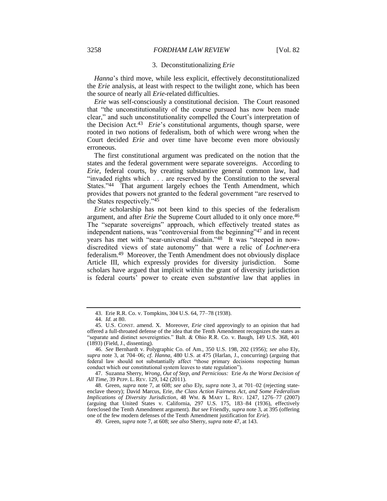#### 3. Deconstitutionalizing *Erie*

*Hanna*'s third move, while less explicit, effectively deconstitutionalized the *Erie* analysis, at least with respect to the twilight zone, which has been the source of nearly all *Erie*-related difficulties.

<span id="page-10-1"></span>*Erie* was self-consciously a constitutional decision. The Court reasoned that "the unconstitutionality of the course pursued has now been made clear," and such unconstitutionality compelled the Court's interpretation of the Decision Act.<sup>43</sup> *Erie*'s constitutional arguments, though sparse, were rooted in two notions of federalism, both of which were wrong when the Court decided *Erie* and over time have become even more obviously erroneous.

The first constitutional argument was predicated on the notion that the states and the federal government were separate sovereigns. According to *Erie*, federal courts, by creating substantive general common law, had "invaded rights which . . . are reserved by the Constitution to the several States."<sup>44</sup> That argument largely echoes the Tenth Amendment, which provides that powers not granted to the federal government "are reserved to the States respectively."<sup>45</sup>

<span id="page-10-3"></span><span id="page-10-2"></span><span id="page-10-0"></span>*Erie* scholarship has not been kind to this species of the federalism argument, and after *Erie* the Supreme Court alluded to it only once more.<sup>46</sup> The "separate sovereigns" approach, which effectively treated states as independent nations, was "controversial from the beginning"<sup>47</sup> and in recent years has met with "near-universal disdain."48 It was "steeped in nowdiscredited views of state autonomy" that were a relic of *Lochner*-era federalism.49 Moreover, the Tenth Amendment does not obviously displace Article III, which expressly provides for diversity jurisdiction. Some scholars have argued that implicit within the grant of diversity jurisdiction is federal courts' power to create even *substantive* law that applies in

47. Suzanna Sherry, *Wrong, Out of Step, and Pernicious:* Erie *As the Worst Decision of All Time*, 39 PEPP. L. REV. 129, 142 (2011).

48. Green, *supra* note [7,](#page-3-0) at 608; *see also* Ely, *supra* note [3,](#page-3-2) at 701–02 (rejecting stateenclave theory); David Marcus, Erie*, the Class Action Fairness Act, and Some Federalism Implications of Diversity Jurisdiction*, 48 WM. & MARY L. REV. 1247, 1276–77 (2007) (arguing that United States v. California, 297 U.S. 175, 183–84 (1936), effectively foreclosed the Tenth Amendment argument). *But see* Friendly, *supra* note [3,](#page-3-2) at 395 (offering one of the few modern defenses of the Tenth Amendment justification for *Erie*).

49. Green, *supra* note [7,](#page-3-0) at 608; *see also* Sherry, *supra* note [47,](#page-10-0) at 143.

<sup>43.</sup> Erie R.R. Co. v. Tompkins, 304 U.S. 64, 77–78 (1938).

<sup>44.</sup> *Id.* at 80.

<sup>45.</sup> U.S. CONST. amend. X. Moreover, *Erie* cited approvingly to an opinion that had offered a full-throated defense of the idea that the Tenth Amendment recognizes the states as "separate and distinct sovereignties." Balt. & Ohio R.R. Co. v. Baugh, 149 U.S. 368, 401 (1893) (Field, J., dissenting).

<sup>46.</sup> *See* Bernhardt v. Polygraphic Co. of Am., 350 U.S. 198, 202 (1956); *see also* Ely, *supra* note [3,](#page-3-2) at 704–06; *cf. Hanna*, 480 U.S. at 475 (Harlan, J., concurring) (arguing that federal law should not substantially affect "those primary decisions respecting human conduct which our constitutional system leaves to state regulation").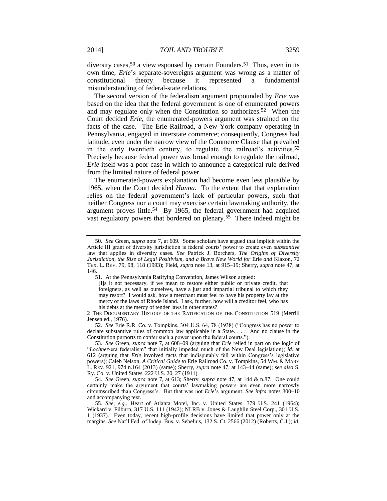<span id="page-11-2"></span>diversity cases,  $50$  a view espoused by certain Founders.  $51$  Thus, even in its own time, *Erie*'s separate-sovereigns argument was wrong as a matter of constitutional theory because it represented a fundamental misunderstanding of federal-state relations.

<span id="page-11-0"></span>The second version of the federalism argument propounded by *Erie* was based on the idea that the federal government is one of enumerated powers and may regulate only when the Constitution so authorizes.52 When the Court decided *Erie*, the enumerated-powers argument was strained on the facts of the case. The Erie Railroad, a New York company operating in Pennsylvania, engaged in interstate commerce; consequently, Congress had latitude, even under the narrow view of the Commerce Clause that prevailed in the early twentieth century, to regulate the railroad's activities.<sup>53</sup> Precisely because federal power was broad enough to regulate the railroad, *Erie* itself was a poor case in which to announce a categorical rule derived from the limited nature of federal power.

<span id="page-11-1"></span>The enumerated-powers explanation had become even less plausible by 1965, when the Court decided *Hanna*. To the extent that that explanation relies on the federal government's lack of particular powers, such that neither Congress nor a court may exercise certain lawmaking authority, the argument proves little.<sup>54</sup> By 1965, the federal government had acquired vast regulatory powers that bordered on plenary.<sup>55</sup> There indeed might be

<sup>50.</sup> *See* Green, *supra* note [7,](#page-3-0) at 609. Some scholars have argued that implicit within the Article III grant of diversity jurisdiction is federal courts' power to create even *substantive* law that applies in diversity cases. *See* Patrick J. Borchers, *The Origins of Diversity Jurisdiction, the Rise of Legal Positivism, and a Brave New World for Erie and Klaxon, 72* TEX. L. REV. 79, 98, 118 (1993); Field, *supra* note [13,](#page-5-0) at 915–19; Sherry, *supra* note [47,](#page-10-0) at 146.

<sup>51.</sup> At the Pennsylvania Ratifying Convention, James Wilson argued:

<sup>[</sup>I]s it not necessary, if we mean to restore either public or private credit, that foreigners, as well as ourselves, have a just and impartial tribunal to which they may resort? I would ask, how a merchant must feel to have his property lay at the mercy of the laws of Rhode Island. I ask, further, how will a creditor feel, who has his debts at the mercy of tender laws in other states?

<sup>2</sup> THE DOCUMENTARY HISTORY OF THE RATIFICATION OF THE CONSTITUTION 519 (Merrill Jensen ed., 1976).

<sup>52.</sup> *See* Erie R.R. Co. v. Tompkins, 304 U.S. 64, 78 (1938) ("Congress has no power to declare substantive rules of common law applicable in a State. . . . And no clause in the Constitution purports to confer such a power upon the federal courts.").

<sup>53.</sup> *See* Green, *supra* note [7,](#page-3-0) at 608–09 (arguing that *Erie* relied in part on the logic of "*Lochner*-era federalism" that initially impeded much of the New Deal legislation); *id*. at 612 (arguing that *Erie* involved facts that indisputably fell within Congress's legislative powers); Caleb Nelson, *A Critical Guide to* Erie Railroad Co. v. Tompkins, 54 WM. & MARY L. REV. 921, 974 n.164 (2013) (same); Sherry, *supra* note [47,](#page-10-0) at 143–44 (same); *see also* S. Ry. Co. v. United States, 222 U.S. 20, 27 (1911).

<sup>54.</sup> *See* Green, *supra* note [7,](#page-3-0) at 613; Sherry, *supra* note [47,](#page-10-0) at 144 & n.87. One could certainly make the argument that courts' lawmaking powers are even more narrowly circumscribed than Congress's. But that was not *Erie*'s argument. *See infra* notes [300–](#page-51-0)10 and accompanying text.

<sup>55.</sup> *See, e.g.*, Heart of Atlanta Motel, Inc. v. United States, 379 U.S. 241 (1964); Wickard v. Filburn, 317 U.S. 111 (1942); NLRB v. Jones & Laughlin Steel Corp., 301 U.S. 1 (1937). Even today, recent high-profile decisions have limited that power only at the margins. *See* Nat'l Fed. of Indep. Bus. v. Sebelius, 132 S. Ct. 2566 (2012) (Roberts, C.J.); *id.*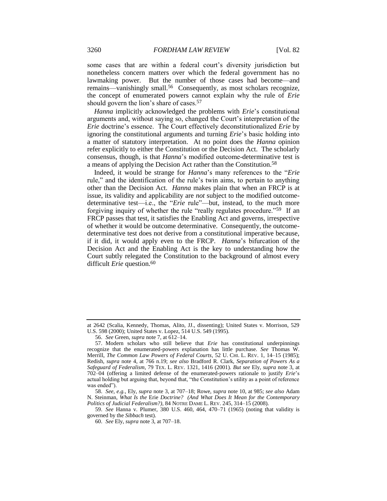some cases that are within a federal court's diversity jurisdiction but nonetheless concern matters over which the federal government has no lawmaking power. But the number of those cases had become—and remains—vanishingly small.56 Consequently, as most scholars recognize, the concept of enumerated powers cannot explain why the rule of *Erie* should govern the lion's share of cases.<sup>57</sup>

<span id="page-12-1"></span>*Hanna* implicitly acknowledged the problems with *Erie*'s constitutional arguments and, without saying so, changed the Court's interpretation of the *Erie* doctrine's essence. The Court effectively deconstitutionalized *Erie* by ignoring the constitutional arguments and turning *Erie*'s basic holding into a matter of statutory interpretation. At no point does the *Hanna* opinion refer explicitly to either the Constitution or the Decision Act. The scholarly consensus, though, is that *Hanna*'s modified outcome-determinative test is a means of applying the Decision Act rather than the Constitution.<sup>58</sup>

<span id="page-12-0"></span>Indeed, it would be strange for *Hanna*'s many references to the "*Erie* rule," and the identification of the rule's twin aims, to pertain to anything other than the Decision Act. *Hanna* makes plain that when an FRCP is at issue, its validity and applicability are *not* subject to the modified outcomedeterminative test—i.e., the "*Erie* rule"—but, instead, to the much more forgiving inquiry of whether the rule "really regulates procedure."59 If an FRCP passes that test, it satisfies the Enabling Act and governs, irrespective of whether it would be outcome determinative. Consequently, the outcomedeterminative test does not derive from a constitutional imperative because, if it did, it would apply even to the FRCP. *Hanna*'s bifurcation of the Decision Act and the Enabling Act is the key to understanding how the Court subtly relegated the Constitution to the background of almost every difficult *Erie* question.<sup>60</sup>

59. *See* Hanna v. Plumer, 380 U.S. 460, 464, 470–71 (1965) (noting that validity is governed by the *Sibbach* test).

<span id="page-12-2"></span>at 2642 (Scalia, Kennedy, Thomas, Alito, JJ., dissenting); United States v. Morrison, 529 U.S. 598 (2000); United States v. Lopez, 514 U.S. 549 (1995).

<sup>56.</sup> *See* Green, *supra* not[e 7,](#page-3-0) at 612–14.

<sup>57.</sup> Modern scholars who still believe that *Erie* has constitutional underpinnings recognize that the enumerated-powers explanation has little purchase. *See* Thomas W. Merrill, *The Common Law Powers of Federal Courts*, 52 U. CHI. L. REV. 1, 14–15 (1985); Redish, *supra* note [4,](#page-3-3) at 766 n.19; *see also* Bradford R. Clark, *Separation of Powers As a Safeguard of Federalism*, 79 TEX. L. REV. 1321, 1416 (2001). *But see* Ely, *supra* note [3,](#page-3-2) at 702–04 (offering a limited defense of the enumerated-powers rationale to justify *Erie*'s actual holding but arguing that, beyond that, "the Constitution's utility as a point of reference was ended").

<sup>58.</sup> *See, e.g.*, Ely, *supra* note [3,](#page-3-2) at 707–18; Rowe, *supra* not[e 10,](#page-3-1) at 985; *see also* Adam N. Steinman, *What Is the* Erie *Doctrine? (And What Does It Mean for the Contemporary Politics of Judicial Federalism?)*, 84 NOTRE DAME L. REV. 245, 314–15 (2008).

<sup>60.</sup> *See* Ely, *supra* not[e 3,](#page-3-2) at 707–18.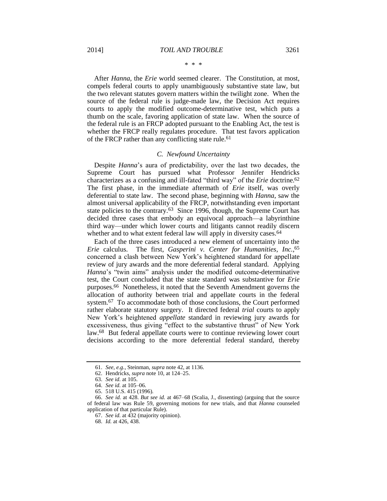After *Hanna*, the *Erie* world seemed clearer. The Constitution, at most, compels federal courts to apply unambiguously substantive state law, but the two relevant statutes govern matters within the twilight zone. When the source of the federal rule is judge-made law, the Decision Act requires courts to apply the modified outcome-determinative test, which puts a thumb on the scale, favoring application of state law. When the source of the federal rule is an FRCP adopted pursuant to the Enabling Act, the test is whether the FRCP really regulates procedure. That test favors application of the FRCP rather than any conflicting state rule.<sup>61</sup>

#### *C. Newfound Uncertainty*

Despite *Hanna*'s aura of predictability, over the last two decades, the Supreme Court has pursued what Professor Jennifer Hendricks characterizes as a confusing and ill-fated "third way" of the *Erie* doctrine.<sup>62</sup> The first phase, in the immediate aftermath of *Erie* itself, was overly deferential to state law. The second phase, beginning with *Hanna*, saw the almost universal applicability of the FRCP, notwithstanding even important state policies to the contrary.<sup>63</sup> Since 1996, though, the Supreme Court has decided three cases that embody an equivocal approach—a labyrinthine third way—under which lower courts and litigants cannot readily discern whether and to what extent federal law will apply in diversity cases.<sup>64</sup>

Each of the three cases introduced a new element of uncertainty into the *Erie* calculus. The first, *Gasperini v. Center for Humanities, Inc.*, 65 concerned a clash between New York's heightened standard for appellate review of jury awards and the more deferential federal standard. Applying *Hanna*'s "twin aims" analysis under the modified outcome-determinative test, the Court concluded that the state standard was substantive for *Erie* purposes.66 Nonetheless, it noted that the Seventh Amendment governs the allocation of authority between trial and appellate courts in the federal system.67 To accommodate both of those conclusions, the Court performed rather elaborate statutory surgery. It directed federal *trial* courts to apply New York's heightened *appellate* standard in reviewing jury awards for excessiveness, thus giving "effect to the substantive thrust" of New York law.68 But federal appellate courts were to continue reviewing lower court decisions according to the more deferential federal standard, thereby

<sup>61.</sup> *See, e.g.*, Steinman, *supra* not[e 42,](#page-9-0) at 1136.

<sup>62.</sup> Hendricks, *supra* note [10,](#page-3-1) at 124–25.

<sup>63.</sup> *See id.* at 105.

<sup>64.</sup> *See id.* at 105–06.

<sup>65.</sup> 518 U.S. 415 (1996).

<sup>66.</sup> *See id.* at 428. *But see id.* at 467–68 (Scalia, J., dissenting) (arguing that the source of federal law was Rule 59, governing motions for new trials, and that *Hanna* counseled application of that particular Rule).

<sup>67.</sup> *See id.* at 432 (majority opinion).

<sup>68.</sup> *Id.* at 426, 438.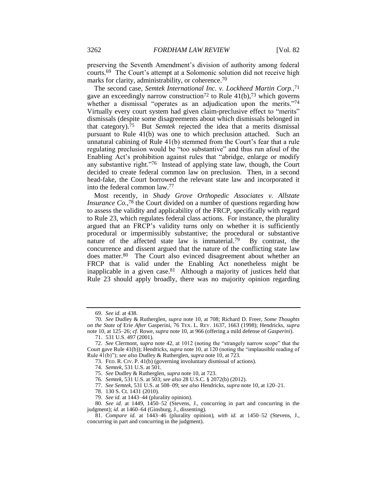preserving the Seventh Amendment's division of authority among federal courts.69 The Court's attempt at a Solomonic solution did not receive high marks for clarity, administrability, or coherence.<sup>70</sup>

The second case, *Semtek International Inc. v. Lockheed Martin Corp.*, 71 gave an exceedingly narrow construction<sup>72</sup> to Rule  $41(b)$ ,<sup>73</sup> which governs whether a dismissal "operates as an adjudication upon the merits."74 Virtually every court system had given claim-preclusive effect to "merits" dismissals (despite some disagreements about which dismissals belonged in that category).75 But *Semtek* rejected the idea that a merits dismissal pursuant to Rule 41(b) was one to which preclusion attached. Such an unnatural cabining of Rule 41(b) stemmed from the Court's fear that a rule regulating preclusion would be "too substantive" and thus run afoul of the Enabling Act's prohibition against rules that "abridge, enlarge or modify any substantive right."76 Instead of applying state law, though, the Court decided to create federal common law on preclusion. Then, in a second head-fake, the Court borrowed the relevant state law and incorporated it into the federal common law.<sup>77</sup>

Most recently, in *Shady Grove Orthopedic Associates v. Allstate Insurance Co.*,<sup>78</sup> the Court divided on a number of questions regarding how to assess the validity and applicability of the FRCP, specifically with regard to Rule 23, which regulates federal class actions. For instance, the plurality argued that an FRCP's validity turns only on whether it is sufficiently procedural or impermissibly substantive; the procedural or substantive nature of the affected state law is immaterial.<sup>79</sup> By contrast, the concurrence and dissent argued that the nature of the conflicting state law does matter.80 The Court also evinced disagreement about whether an FRCP that is valid under the Enabling Act nonetheless might be inapplicable in a given case.81 Although a majority of justices held that Rule 23 should apply broadly, there was no majority opinion regarding

<sup>69.</sup> *See id.* at 438.

<sup>70.</sup> *See* Dudley & Rutherglen, *supra* note [10,](#page-3-1) at 708; Richard D. Freer, *Some Thoughts on the State of* Erie *After* Gasperini, 76 TEX. L. REV. 1637, 1663 (1998); Hendricks, *supra* note [10,](#page-3-1) at 125–26; *cf.* Rowe, *supra* not[e 10,](#page-3-1) at 966 (offering a mild defense of *Gasperini*).

<sup>71.</sup> 531 U.S. 497 (2001).

<sup>72.</sup> *See* Clermont, *supra* note [42,](#page-9-0) at 1012 (noting the "strangely narrow scope" that the Court gave Rule 41(b)); Hendricks, *supra* note [10,](#page-3-1) at 120 (noting the "implausible reading of Rule 41(b)"); *see also* Dudley & Rutherglen, *supra* not[e 10,](#page-3-1) at 723.

<sup>73.</sup> FED. R. CIV. P. 41(b) (governing involuntary dismissal of actions).

<sup>74.</sup> *Semtek*, 531 U.S. at 501.

<sup>75.</sup> *See* Dudley & Rutherglen, *supra* not[e 10,](#page-3-1) at 723.

<sup>76.</sup> *Semtek*, 531 U.S. at 503; *see also* 28 U.S.C. § 2072(b) (2012).

<sup>77.</sup> *See Semtek*, 531 U.S. at 508–09; *see also* Hendricks, *supra* not[e 10,](#page-3-1) at 120–21.

<sup>78.</sup> 130 S. Ct. 1431 (2010).

<sup>79.</sup> *See id.* at 1443–44 (plurality opinion).

<sup>80.</sup> *See id.* at 1449, 1450–52 (Stevens, J., concurring in part and concurring in the judgment); *id.* at 1460–64 (Ginsburg, J., dissenting).

<sup>81.</sup> *Compare id.* at 1443–46 (plurality opinion), *with id.* at 1450–52 (Stevens, J., concurring in part and concurring in the judgment).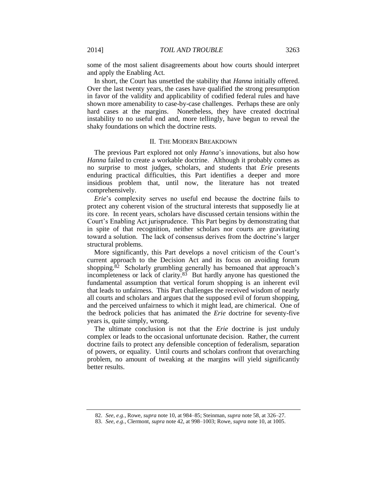some of the most salient disagreements about how courts should interpret and apply the Enabling Act.

In short, the Court has unsettled the stability that *Hanna* initially offered. Over the last twenty years, the cases have qualified the strong presumption in favor of the validity and applicability of codified federal rules and have shown more amenability to case-by-case challenges. Perhaps these are only hard cases at the margins. Nonetheless, they have created doctrinal instability to no useful end and, more tellingly, have begun to reveal the shaky foundations on which the doctrine rests.

#### II. THE MODERN BREAKDOWN

The previous Part explored not only *Hanna*'s innovations, but also how *Hanna* failed to create a workable doctrine. Although it probably comes as no surprise to most judges, scholars, and students that *Erie* presents enduring practical difficulties, this Part identifies a deeper and more insidious problem that, until now, the literature has not treated comprehensively.

*Erie*'s complexity serves no useful end because the doctrine fails to protect any coherent vision of the structural interests that supposedly lie at its core. In recent years, scholars have discussed certain tensions within the Court's Enabling Act jurisprudence. This Part begins by demonstrating that in spite of that recognition, neither scholars nor courts are gravitating toward a solution. The lack of consensus derives from the doctrine's larger structural problems.

More significantly, this Part develops a novel criticism of the Court's current approach to the Decision Act and its focus on avoiding forum shopping. $82$  Scholarly grumbling generally has bemoaned that approach's incompleteness or lack of clarity.83 But hardly anyone has questioned the fundamental assumption that vertical forum shopping is an inherent evil that leads to unfairness. This Part challenges the received wisdom of nearly all courts and scholars and argues that the supposed evil of forum shopping, and the perceived unfairness to which it might lead, are chimerical. One of the bedrock policies that has animated the *Erie* doctrine for seventy-five years is, quite simply, wrong.

The ultimate conclusion is not that the *Erie* doctrine is just unduly complex or leads to the occasional unfortunate decision. Rather, the current doctrine fails to protect any defensible conception of federalism, separation of powers, or equality. Until courts and scholars confront that overarching problem, no amount of tweaking at the margins will yield significantly better results.

<sup>82.</sup> *See, e.g.*, Rowe, *supra* not[e 10,](#page-3-1) at 984–85; Steinman, *supra* not[e 58,](#page-12-0) at 326–27.

<sup>83.</sup> *See, e.g.*, Clermont, *supra* not[e 42,](#page-9-0) at 998–1003; Rowe, *supra* not[e 10,](#page-3-1) at 1005.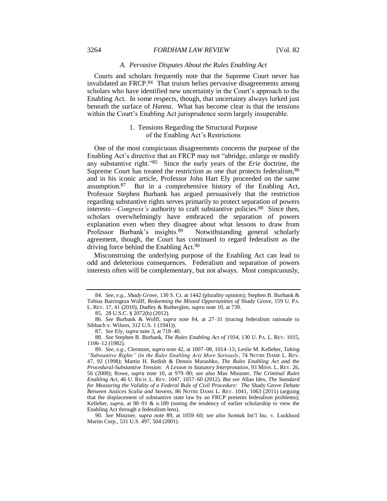#### 3264 *FORDHAM LAW REVIEW* [Vol. 82

#### <span id="page-16-0"></span>*A. Pervasive Disputes About the Rules Enabling Act*

Courts and scholars frequently note that the Supreme Court never has invalidated an FRCP.<sup>84</sup> That truism belies pervasive disagreements among scholars who have identified new uncertainty in the Court's approach to the Enabling Act. In some respects, though, that uncertainty always lurked just beneath the surface of *Hanna*. What has become clear is that the tensions within the Court's Enabling Act jurisprudence seem largely insuperable.

#### <span id="page-16-2"></span>1. Tensions Regarding the Structural Purpose of the Enabling Act's Restrictions

One of the most conspicuous disagreements concerns the purpose of the Enabling Act's directive that an FRCP may not "abridge, enlarge or modify any substantive right."85 Since the early years of the *Erie* doctrine, the Supreme Court has treated the restriction as one that protects federalism,  $86$ and in his iconic article, Professor John Hart Ely proceeded on the same assumption.87 But in a comprehensive history of the Enabling Act, Professor Stephen Burbank has argued persuasively that the restriction regarding substantive rights serves primarily to protect separation of powers interests—*Congress's* authority to craft substantive policies.<sup>88</sup> Since then, scholars overwhelmingly have embraced the separation of powers explanation even when they disagree about what lessons to draw from Professor Burbank's insights.<sup>89</sup> Notwithstanding general scholarly agreement, though, the Court has continued to regard federalism as the driving force behind the Enabling Act.<sup>90</sup>

<span id="page-16-1"></span>Misconstruing the underlying purpose of the Enabling Act can lead to odd and deleterious consequences. Federalism and separation of powers interests often will be complementary, but not always. Most conspicuously,

90. *See* Minzner, *supra* note [89,](#page-16-1) at 1059–60; *see also* Semtek Int'l Inc. v. Lockheed Martin Corp., 531 U.S. 497, 504 (2001).

<sup>84.</sup> *See, e.g.*, *Shady Grove*, 130 S. Ct. at 1442 (plurality opinion); Stephen B. Burbank & Tobias Barrington Wolff, *Redeeming the Missed Opportunities of* Shady Grove, 159 U. PA. L. REV. 17, 41 (2010); Dudley & Rutherglen, *supra* note [10,](#page-3-1) at 739.

<sup>85.</sup> 28 U.S.C. § 2072(b) (2012).

<sup>86.</sup> *See* Burbank & Wolff, *supra* note [84,](#page-16-0) at 27–31 (tracing federalism rationale to Sibbach v. Wilson, 312 U.S. 1 (1941)).

<sup>87.</sup> *See* Ely, *supra* not[e 3,](#page-3-2) at 718–40.

<sup>88.</sup> *See* Stephen B. Burbank, *The Rules Enabling Act of 1934*, 130 U. PA. L. REV. 1015, 1106–12 (1982).

<sup>89.</sup> *See, e.g.*, Clermont, *supra* not[e 42,](#page-9-0) at 1007–08, 1014–15; Leslie M. Kelleher, *Taking "Substantive Rights" (in the Rules Enabling Act) More Seriously*, 74 NOTRE DAME L. REV. 47, 92 (1998); Martin H. Redish & Dennis Murashko, *The Rules Enabling Act and the Procedural-Substantive Tension: A Lesson in Statutory Interpretation*, 93 MINN. L. REV. 26, 56 (2008); Rowe, *supra* note [10,](#page-3-1) at 979–80; *see also* Max Minzner, *The Criminal Rules Enabling Act*, 46 U. RICH. L. REV. 1047, 1057–60 (2012). *But see* Allan Ides, *The Standard for Measuring the Validity of a Federal Rule of Civil Procedure: The* Shady Grove *Debate Between Justices Scalia and Stevens*, 86 NOTRE DAME L. REV. 1041, 1063 (2011) (arguing that the displacement of substantive state law by an FRCP presents federalism problems); Kelleher, *supra*, at 90–91 & n.189 (noting the tendency of earlier scholarship to view the Enabling Act through a federalism lens).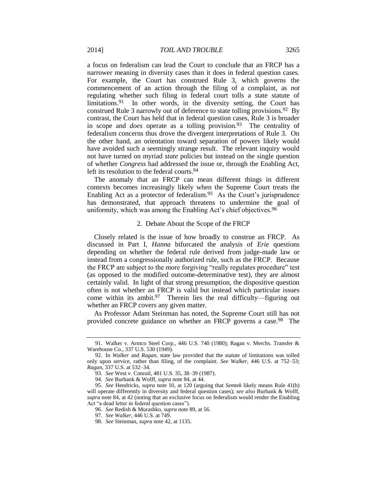<span id="page-17-0"></span>a focus on federalism can lead the Court to conclude that an FRCP has a narrower meaning in diversity cases than it does in federal question cases. For example, the Court has construed Rule 3, which governs the commencement of an action through the filing of a complaint, as *not* regulating whether such filing in federal court tolls a state statute of limitations.<sup>91</sup> In other words, in the diversity setting, the Court has construed Rule 3 narrowly out of deference to state tolling provisions.<sup>92</sup> By contrast, the Court has held that in federal question cases, Rule 3 is broader in scope and *does* operate as a tolling provision.<sup>93</sup> The centrality of federalism concerns thus drove the divergent interpretations of Rule 3. On the other hand, an orientation toward separation of powers likely would have avoided such a seemingly strange result. The relevant inquiry would not have turned on myriad *state* policies but instead on the single question of whether *Congress* had addressed the issue or, through the Enabling Act, left its resolution to the federal courts.<sup>94</sup>

The anomaly that an FRCP can mean different things in different contexts becomes increasingly likely when the Supreme Court treats the Enabling Act as a protector of federalism.95 As the Court's jurisprudence has demonstrated, that approach threatens to undermine the goal of uniformity, which was among the Enabling Act's chief objectives.<sup>96</sup>

#### <span id="page-17-1"></span>2. Debate About the Scope of the FRCP

Closely related is the issue of how broadly to construe an FRCP. As discussed in Part I, *Hanna* bifurcated the analysis of *Erie* questions depending on whether the federal rule derived from judge-made law or instead from a congressionally authorized rule, such as the FRCP. Because the FRCP are subject to the more forgiving "really regulates procedure" test (as opposed to the modified outcome-determinative test), they are almost certainly valid. In light of that strong presumption, the dispositive question often is not whether an FRCP is valid but instead which particular issues come within its ambit. <sup>97</sup> Therein lies the real difficulty—figuring out whether an FRCP covers any given matter.

As Professor Adam Steinman has noted, the Supreme Court still has not provided concrete guidance on whether an FRCP governs a case.<sup>98</sup> The

<sup>91.</sup> Walker v. Armco Steel Corp., 446 U.S. 740 (1980); Ragan v. Merchs. Transfer & Warehouse Co., 337 U.S. 530 (1949).

<sup>92.</sup> In *Walker* and *Ragan*, state law provided that the statute of limitations was tolled only upon service, rather than filing, of the complaint. *See Walker*, 446 U.S. at 752–53; *Ragan*, 337 U.S. at 532–34.

<sup>93.</sup> *See* West v. Conrail, 481 U.S. 35, 38–39 (1987).

<sup>94.</sup> *See* Burbank & Wolff, *supra* not[e 84,](#page-16-0) at 44.

<sup>95.</sup> *See* Hendricks, *supra* note [10,](#page-3-1) at 120 (arguing that *Semtek* likely means Rule 41(b) will operate differently in diversity and federal question cases); *see also* Burbank & Wolff, *supra* note [84,](#page-16-0) at 42 (noting that an exclusive focus on federalism would render the Enabling Act "a dead letter in federal question cases").

<sup>96.</sup> *See* Redish & Murashko, *supra* not[e 89,](#page-16-1) at 56.

<sup>97.</sup> *See Walker*, 446 U.S. at 749.

<sup>98.</sup> *See* Steinman, *supra* not[e 42,](#page-9-0) at 1135.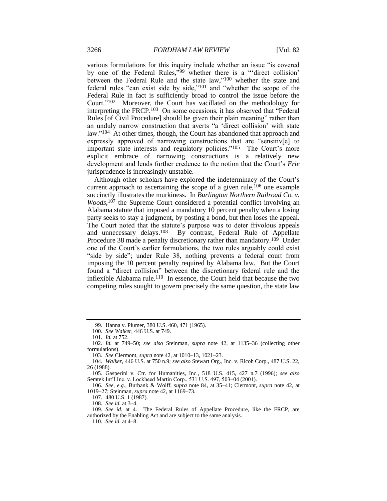various formulations for this inquiry include whether an issue "is covered by one of the Federal Rules,"<sup>99</sup> whether there is a "'direct collision' between the Federal Rule and the state law,"<sup>100</sup> whether the state and federal rules "can exist side by side,"<sup>101</sup> and "whether the scope of the Federal Rule in fact is sufficiently broad to control the issue before the Court."102 Moreover, the Court has vacillated on the methodology for interpreting the FRCP.103 On some occasions, it has observed that "Federal Rules [of Civil Procedure] should be given their plain meaning" rather than an unduly narrow construction that averts "a 'direct collision' with state law."<sup>104</sup> At other times, though, the Court has abandoned that approach and expressly approved of narrowing constructions that are "sensitiv[e] to important state interests and regulatory policies."<sup>105</sup> The Court's more explicit embrace of narrowing constructions is a relatively new development and lends further credence to the notion that the Court's *Erie* jurisprudence is increasingly unstable.

Although other scholars have explored the indeterminacy of the Court's current approach to ascertaining the scope of a given rule,<sup>106</sup> one example succinctly illustrates the murkiness. In *Burlington Northern Railroad Co. v.* Woods,<sup>107</sup> the Supreme Court considered a potential conflict involving an Alabama statute that imposed a mandatory 10 percent penalty when a losing party seeks to stay a judgment, by posting a bond, but then loses the appeal. The Court noted that the statute's purpose was to deter frivolous appeals and unnecessary delays.<sup>108</sup> By contrast, Federal Rule of Appellate By contrast, Federal Rule of Appellate Procedure 38 made a penalty discretionary rather than mandatory.<sup>109</sup> Under one of the Court's earlier formulations, the two rules arguably could exist "side by side"; under Rule 38, nothing prevents a federal court from imposing the 10 percent penalty required by Alabama law. But the Court found a "direct collision" between the discretionary federal rule and the inflexible Alabama rule.<sup>110</sup> In essence, the Court held that because the two competing rules sought to govern precisely the same question, the state law

103. *See* Clermont, *supra* not[e 42,](#page-9-0) at 1010–13, 1021–23.

104. *Walker*, 446 U.S. at 750 n.9; *see also* Stewart Org., Inc. v. Ricoh Corp., 487 U.S. 22, 26 (1988).

105. Gasperini v. Ctr. for Humanities, Inc., 518 U.S. 415, 427 n.7 (1996); *see also* Semtek Int'l Inc. v. Lockheed Martin Corp., 531 U.S. 497, 503–04 (2001).

106. *See, e.g.*, Burbank & Wolff, *supra* note [84,](#page-16-0) at 35–41; Clermont, *supra* note [42,](#page-9-0) at 1019–27; Steinman, *supra* not[e 42,](#page-9-0) at 1169–73.

107. 480 U.S. 1 (1987).

108. *See id.* at 3–4.

109. *See id.* at 4. The Federal Rules of Appellate Procedure, like the FRCP, are authorized by the Enabling Act and are subject to the same analysis.

110. *See id.* at 4–8.

<sup>99.</sup> Hanna v. Plumer, 380 U.S. 460, 471 (1965).

<sup>100.</sup> *See Walker*, 446 U.S. at 749.

<sup>101.</sup> *Id.* at 752.

<sup>102.</sup> *Id.* at 749–50; *see also* Steinman, *supra* note [42,](#page-9-0) at 1135–36 (collecting other formulations).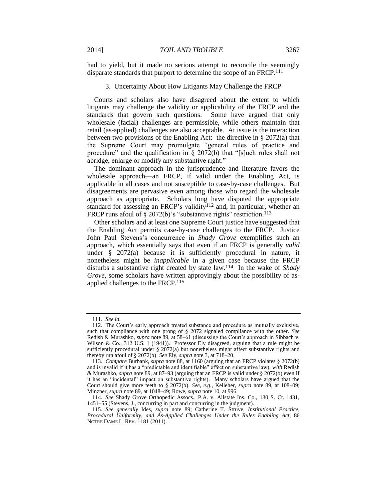had to yield, but it made no serious attempt to reconcile the seemingly disparate standards that purport to determine the scope of an FRCP.<sup>111</sup>

#### 3. Uncertainty About How Litigants May Challenge the FRCP

Courts and scholars also have disagreed about the extent to which litigants may challenge the validity or applicability of the FRCP and the standards that govern such questions. Some have argued that only wholesale (facial) challenges are permissible, while others maintain that retail (as-applied) challenges are also acceptable. At issue is the interaction between two provisions of the Enabling Act: the directive in § 2072(a) that the Supreme Court may promulgate "general rules of practice and procedure" and the qualification in § 2072(b) that "[s]uch rules shall not abridge, enlarge or modify any substantive right."

The dominant approach in the jurisprudence and literature favors the wholesale approach—an FRCP, if valid under the Enabling Act, is applicable in all cases and not susceptible to case-by-case challenges. But disagreements are pervasive even among those who regard the wholesale approach as appropriate. Scholars long have disputed the appropriate standard for assessing an FRCP's validity<sup>112</sup> and, in particular, whether an FRCP runs afoul of  $\S 2072(b)$ 's "substantive rights" restriction.<sup>113</sup>

Other scholars and at least one Supreme Court justice have suggested that the Enabling Act permits case-by-case challenges to the FRCP. Justice John Paul Stevens's concurrence in *Shady Grove* exemplifies such an approach, which essentially says that even if an FRCP is generally *valid* under § 2072(a) because it is sufficiently procedural in nature, it nonetheless might be *inapplicable* in a given case because the FRCP disturbs a substantive right created by state law.114 In the wake of *Shady Grove*, some scholars have written approvingly about the possibility of asapplied challenges to the FRCP.<sup>115</sup>

<span id="page-19-0"></span><sup>111.</sup> *See id.*

<sup>112.</sup> The Court's early approach treated substance and procedure as mutually exclusive, such that compliance with one prong of § 2072 signaled compliance with the other. *See* Redish & Murashko, *supra* note [89,](#page-16-1) at 58–61 (discussing the Court's approach in Sibbach v. Wilson & Co., 312 U.S. 1 (1941)). Professor Ely disagreed, arguing that a rule might be sufficiently procedural under § 2072(a) but nonetheless might affect substantive rights and thereby run afoul of § 2072(b). *See* Ely, *supra* note [3,](#page-3-2) at 718–20.

<sup>113.</sup> *Compare* Burbank, *supra* note [88,](#page-16-2) at 1160 (arguing that an FRCP violates § 2072(b) and is invalid if it has a "predictable and identifiable" effect on substantive law), *with* Redish & Murashko, *supra* note [89,](#page-16-1) at 87–93 (arguing that an FRCP is valid under § 2072(b) even if it has an "incidental" impact on substantive rights). Many scholars have argued that the Court should give more teeth to § 2072(b). *See, e.g.*, Kelleher, *supra* note [89,](#page-16-1) at 108–09; Minzner, *supra* note [89,](#page-16-1) at 1048–49; Rowe, *supra* note [10,](#page-3-1) at 996.

<sup>114.</sup> *See* Shady Grove Orthopedic Assocs., P.A. v. Allstate Ins. Co., 130 S. Ct. 1431, 1451–55 (Stevens, J., concurring in part and concurring in the judgment).

<sup>115.</sup> *See generally* Ides, *supra* note [89;](#page-16-1) Catherine T. Struve, *Institutional Practice, Procedural Uniformity, and As-Applied Challenges Under the Rules Enabling Act*, 86 NOTRE DAME L. REV. 1181 (2011).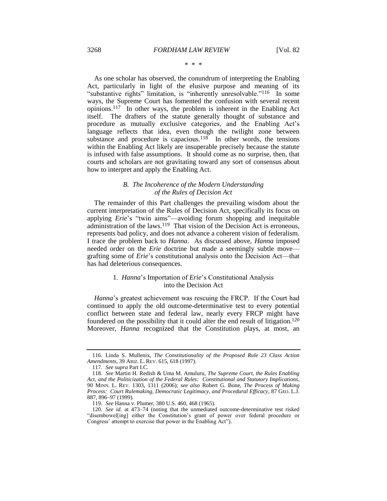#### <span id="page-20-0"></span>\* \* \*

As one scholar has observed, the conundrum of interpreting the Enabling Act, particularly in light of the elusive purpose and meaning of its "substantive rights" limitation, is "inherently unresolvable."<sup>116</sup> In some ways, the Supreme Court has fomented the confusion with several recent opinions.117 In other ways, the problem is inherent in the Enabling Act itself. The drafters of the statute generally thought of substance and procedure as mutually exclusive categories, and the Enabling Act's language reflects that idea, even though the twilight zone between substance and procedure is capacious.<sup>118</sup> In other words, the tensions within the Enabling Act likely are insuperable precisely because the statute is infused with false assumptions. It should come as no surprise, then, that courts and scholars are not gravitating toward any sort of consensus about how to interpret and apply the Enabling Act.

#### *B. The Incoherence of the Modern Understanding of the Rules of Decision Act*

The remainder of this Part challenges the prevailing wisdom about the current interpretation of the Rules of Decision Act, specifically its focus on applying *Erie*'s "twin aims"—avoiding forum shopping and inequitable administration of the laws.<sup>119</sup> That vision of the Decision Act is erroneous, represents bad policy, and does not advance a coherent vision of federalism. I trace the problem back to *Hanna*. As discussed above, *Hanna* imposed needed order on the *Erie* doctrine but made a seemingly subtle move grafting some of *Erie*'s constitutional analysis onto the Decision Act—that has had deleterious consequences.

### 1. *Hanna*'s Importation of *Erie*'s Constitutional Analysis into the Decision Act

*Hanna*'s greatest achievement was rescuing the FRCP. If the Court had continued to apply the old outcome-determinative test to every potential conflict between state and federal law, nearly every FRCP might have foundered on the possibility that it could alter the end result of litigation.<sup>120</sup> Moreover, *Hanna* recognized that the Constitution plays, at most, an

<sup>116.</sup> Linda S. Mullenix, *The Constitutionality of the Proposed Rule 23 Class Action Amendments*, 39 ARIZ. L. REV. 615, 618 (1997).

<sup>117.</sup> *See supra* Part I.C.

<sup>118.</sup> *See* Martin H. Redish & Uma M. Amuluru, *The Supreme Court, the Rules Enabling Act, and the Politicization of the Federal Rules: Constitutional and Statutory Implications*, 90 MINN. L. REV. 1303, 1311 (2006); *see also* Robert G. Bone, *The Process of Making Process: Court Rulemaking, Democratic Legitimacy, and Procedural Efficacy*, 87 GEO. L.J. 887, 896–97 (1999).

<sup>119.</sup> *See* Hanna v. Plumer, 380 U.S. 460, 468 (1965).

<sup>120.</sup> *See id.* at 473–74 (noting that the unmediated outcome-determinative test risked "disembowel[ing] either the Constitution's grant of power over federal procedure or Congress' attempt to exercise that power in the Enabling Act").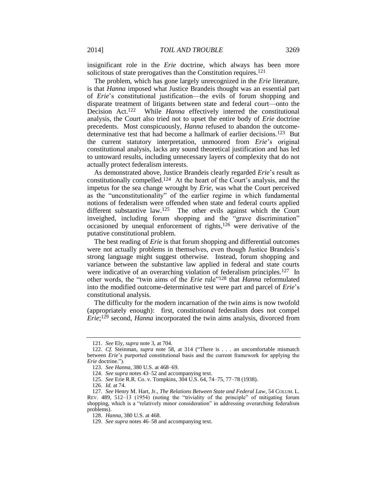insignificant role in the *Erie* doctrine, which always has been more solicitous of state prerogatives than the Constitution requires.<sup>121</sup>

The problem, which has gone largely unrecognized in the *Erie* literature, is that *Hanna* imposed what Justice Brandeis thought was an essential part of *Erie*'s constitutional justification—the evils of forum shopping and disparate treatment of litigants between state and federal court—onto the Decision Act.122 While *Hanna* effectively interred the constitutional analysis, the Court also tried not to upset the entire body of *Erie* doctrine precedents. Most conspicuously, *Hanna* refused to abandon the outcomedeterminative test that had become a hallmark of earlier decisions.123 But the current statutory interpretation, unmoored from *Erie*'s original constitutional analysis, lacks any sound theoretical justification and has led to untoward results, including unnecessary layers of complexity that do not actually protect federalism interests.

As demonstrated above, Justice Brandeis clearly regarded *Erie*'s result as constitutionally compelled.124 At the heart of the Court's analysis, and the impetus for the sea change wrought by *Erie*, was what the Court perceived as the "unconstitutionality" of the earlier regime in which fundamental notions of federalism were offended when state and federal courts applied different substantive law.<sup>125</sup> The other evils against which the Court inveighed, including forum shopping and the "grave discrimination" occasioned by unequal enforcement of rights,<sup>126</sup> were derivative of the putative constitutional problem.

<span id="page-21-0"></span>The best reading of *Erie* is that forum shopping and differential outcomes were not actually problems in themselves, even though Justice Brandeis's strong language might suggest otherwise. Instead, forum shopping and variance between the substantive law applied in federal and state courts were indicative of an overarching violation of federalism principles.<sup>127</sup> In other words, the "twin aims of the *Erie* rule"<sup>128</sup> that *Hanna* reformulated into the modified outcome-determinative test were part and parcel of *Erie*'s constitutional analysis.

The difficulty for the modern incarnation of the twin aims is now twofold (appropriately enough): first, constitutional federalism does not compel *Erie*; <sup>129</sup> second, *Hanna* incorporated the twin aims analysis, divorced from

<sup>121.</sup> *See* Ely, *supra* not[e 3,](#page-3-2) at 704.

<sup>122.</sup> *Cf.* Steinman, *supra* note [58,](#page-12-0) at 314 ("There is . . . an uncomfortable mismatch between *Erie*'s purported constitutional basis and the current framework for applying the *Erie* doctrine.").

<sup>123.</sup> *See Hanna*, 380 U.S. at 468–69.

<sup>124.</sup> *See supra* note[s 43](#page-10-1)[–52](#page-11-0) and accompanying text.

<sup>125.</sup> *See* Erie R.R. Co. v. Tompkins, 304 U.S. 64, 74–75, 77–78 (1938).

<sup>126.</sup> *Id.* at 74.

<sup>127.</sup> *See* Henry M. Hart, Jr., *The Relations Between State and Federal Law*, 54 COLUM. L. REV. 489, 512–13 (1954) (noting the "triviality of the principle" of mitigating forum shopping, which is a "relatively minor consideration" in addressing overarching federalism problems).

<sup>128.</sup> *Hanna*, 380 U.S. at 468.

<sup>129.</sup> *See supra* note[s 46](#page-10-2)[–58](#page-12-0) and accompanying text.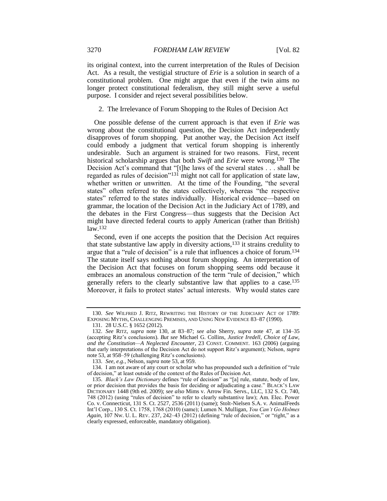its original context, into the current interpretation of the Rules of Decision Act. As a result, the vestigial structure of *Erie* is a solution in search of a constitutional problem. One might argue that even if the twin aims no longer protect constitutional federalism, they still might serve a useful purpose. I consider and reject several possibilities below.

<span id="page-22-0"></span>2. The Irrelevance of Forum Shopping to the Rules of Decision Act

One possible defense of the current approach is that even if *Erie* was wrong about the constitutional question, the Decision Act independently disapproves of forum shopping. Put another way, the Decision Act itself could embody a judgment that vertical forum shopping is inherently undesirable. Such an argument is strained for two reasons. First, recent historical scholarship argues that both *Swift* and *Erie* were wrong.130 The Decision Act's command that "[t]he laws of the several states . . . shall be regarded as rules of decision"<sup>131</sup> might not call for application of state law, whether written or unwritten. At the time of the Founding, "the several states" often referred to the states collectively, whereas "the respective states" referred to the states individually. Historical evidence—based on grammar, the location of the Decision Act in the Judiciary Act of 1789, and the debates in the First Congress—thus suggests that the Decision Act might have directed federal courts to apply American (rather than British) law.<sup>132</sup>

<span id="page-22-1"></span>Second, even if one accepts the position that the Decision Act requires that state substantive law apply in diversity actions,<sup>133</sup> it strains credulity to argue that a "rule of decision" is a rule that influences a choice of forum.<sup>134</sup> The statute itself says nothing about forum shopping. An interpretation of the Decision Act that focuses on forum shopping seems odd because it embraces an anomalous construction of the term "rule of decision," which generally refers to the clearly substantive law that applies to a case.<sup>135</sup> Moreover, it fails to protect states' actual interests. Why would states care

<sup>130.</sup> *See* WILFRED J. RITZ, REWRITING THE HISTORY OF THE JUDICIARY ACT OF 1789: EXPOSING MYTHS, CHALLENGING PREMISES, AND USING NEW EVIDENCE 83–87 (1990).

<span id="page-22-2"></span><sup>131.</sup> 28 U.S.C. § 1652 (2012).

<sup>132.</sup> *See* RITZ, *supra* note [130,](#page-22-0) at 83–87; *see also* Sherry, *supra* note [47,](#page-10-0) at 134–35 (accepting Ritz's conclusions). *But see* Michael G. Collins, *Justice Iredell, Choice of Law, and the Constitution—A Neglected Encounter*, 23 CONST. COMMENT. 163 (2006) (arguing that early interpretations of the Decision Act do not support Ritz's argument); Nelson, *supra* note [53,](#page-11-1) at 958–59 (challenging Ritz's conclusions).

<sup>133.</sup> *See, e.g.*, Nelson, *supra* note [53,](#page-11-1) at 959.

<sup>134.</sup> I am not aware of any court or scholar who has propounded such a definition of "rule of decision," at least outside of the context of the Rules of Decision Act.

<sup>135.</sup> *Black's Law Dictionary* defines "rule of decision" as "[a] rule, statute, body of law, or prior decision that provides the basis for deciding or adjudicating a case." BLACK'S LAW DICTIONARY 1448 (9th ed. 2009); *see also* Mims v. Arrow Fin. Servs., LLC, 132 S. Ct. 740, 748 (2012) (using "rules of decision" to refer to clearly substantive law); Am. Elec. Power Co. v. Connecticut, 131 S. Ct. 2527, 2536 (2011) (same); Stolt-Nielsen S.A. v. AnimalFeeds Int'l Corp., 130 S. Ct. 1758, 1768 (2010) (same); Lumen N. Mulligan, *You Can't Go Holmes Again*, 107 NW. U. L. REV. 237, 242–43 (2012) (defining "rule of decision," or "right," as a clearly expressed, enforceable, mandatory obligation).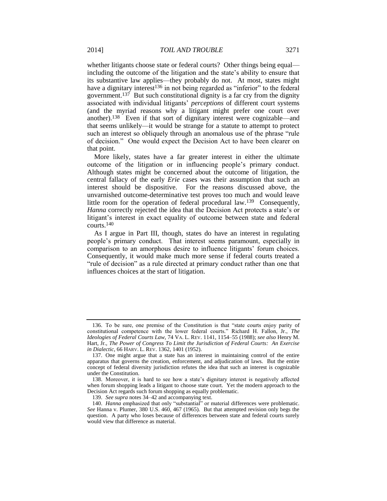whether litigants choose state or federal courts? Other things being equal including the outcome of the litigation and the state's ability to ensure that its substantive law applies—they probably do not. At most, states might have a dignitary interest<sup>136</sup> in not being regarded as "inferior" to the federal government.<sup>137</sup> But such constitutional dignity is a far cry from the dignity associated with individual litigants' *perceptions* of different court systems (and the myriad reasons why a litigant might prefer one court over another).138 Even if that sort of dignitary interest were cognizable—and that seems unlikely—it would be strange for a statute to attempt to protect such an interest so obliquely through an anomalous use of the phrase "rule of decision." One would expect the Decision Act to have been clearer on that point.

More likely, states have a far greater interest in either the ultimate outcome of the litigation or in influencing people's primary conduct. Although states might be concerned about the outcome of litigation, the central fallacy of the early *Erie* cases was their assumption that such an interest should be dispositive. For the reasons discussed above, the unvarnished outcome-determinative test proves too much and would leave little room for the operation of federal procedural law.<sup>139</sup> Consequently, *Hanna* correctly rejected the idea that the Decision Act protects a state's or litigant's interest in exact equality of outcome between state and federal courts.<sup>140</sup>

As I argue in Part III, though, states do have an interest in regulating people's primary conduct. That interest seems paramount, especially in comparison to an amorphous desire to influence litigants' forum choices. Consequently, it would make much more sense if federal courts treated a "rule of decision" as a rule directed at primary conduct rather than one that influences choices at the start of litigation.

<sup>136.</sup> To be sure, one premise of the Constitution is that "state courts enjoy parity of constitutional competence with the lower federal courts." Richard H. Fallon, Jr., *The Ideologies of Federal Courts Law*, 74 VA. L. REV. 1141, 1154–55 (1988); *see also* Henry M. Hart, Jr., *The Power of Congress To Limit the Jurisdiction of Federal Courts: An Exercise in Dialectic*, 66 HARV. L. REV. 1362, 1401 (1952).

<sup>137.</sup> One might argue that a state has an interest in maintaining control of the entire apparatus that governs the creation, enforcement, and adjudication of laws. But the entire concept of federal diversity jurisdiction refutes the idea that such an interest is cognizable under the Constitution.

<sup>138.</sup> Moreover, it is hard to see how a state's dignitary interest is negatively affected when forum shopping leads a litigant to choose state court. Yet the modern approach to the Decision Act regards such forum shopping as equally problematic.

<sup>139.</sup> *See supra* note[s 34](#page-8-0)[–42](#page-9-0) and accompanying text.

<sup>140.</sup> *Hanna* emphasized that only "substantial" or material differences were problematic. *See* Hanna v. Plumer, 380 U.S. 460, 467 (1965). But that attempted revision only begs the question. A party who loses because of differences between state and federal courts surely would view that difference as material.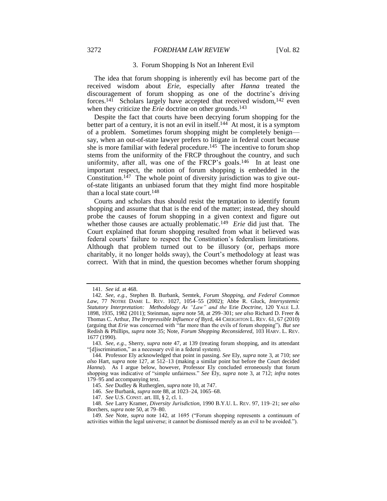#### 3272 *FORDHAM LAW REVIEW* [Vol. 82

#### <span id="page-24-0"></span>3. Forum Shopping Is Not an Inherent Evil

The idea that forum shopping is inherently evil has become part of the received wisdom about *Erie*, especially after *Hanna* treated the discouragement of forum shopping as one of the doctrine's driving forces.<sup>141</sup> Scholars largely have accepted that received wisdom,<sup>142</sup> even when they criticize the *Erie* doctrine on other grounds.<sup>143</sup>

Despite the fact that courts have been decrying forum shopping for the better part of a century, it is not an evil in itself.<sup>144</sup> At most, it is a symptom of a problem. Sometimes forum shopping might be completely benign say, when an out-of-state lawyer prefers to litigate in federal court because she is more familiar with federal procedure.<sup>145</sup> The incentive to forum shop stems from the uniformity of the FRCP throughout the country, and such uniformity, after all, was one of the FRCP's goals.<sup>146</sup> In at least one important respect, the notion of forum shopping is embedded in the Constitution.<sup>147</sup> The whole point of diversity jurisdiction was to give outof-state litigants an unbiased forum that they might find more hospitable than a local state court.<sup>148</sup>

Courts and scholars thus should resist the temptation to identify forum shopping and assume that that is the end of the matter; instead, they should probe the causes of forum shopping in a given context and figure out whether those causes are actually problematic.<sup>149</sup> *Erie* did just that. The Court explained that forum shopping resulted from what it believed was federal courts' failure to respect the Constitution's federalism limitations. Although that problem turned out to be illusory (or, perhaps more charitably, it no longer holds sway), the Court's methodology at least was correct. With that in mind, the question becomes whether forum shopping

<sup>141.</sup> *See id.* at 468.

<sup>142.</sup> *See, e.g.*, Stephen B. Burbank, Semtek, *Forum Shopping, and Federal Common Law*, 77 NOTRE DAME L. REV. 1027, 1054–55 (2002); Abbe R. Gluck, *Intersystemic Statutory Interpretation: Methodology As "Law" and the* Erie *Doctrine*, 120 YALE L.J. 1898, 1935, 1982 (2011); Steinman, *supra* not[e 58,](#page-12-0) at 299–301; *see also* Richard D. Freer & Thomas C. Arthur, *The Irrepressible Influence of* Byrd, 44 CREIGHTON L. REV. 61, 67 (2010) (arguing that *Erie* was concerned with "far more than the evils of forum shopping"). *But see* Redish & Phillips, *supra* not[e 35;](#page-8-1) Note, *Forum Shopping Reconsidered*, 103 HARV. L. REV. 1677 (1990).

<sup>143.</sup> *See, e.g.*, Sherry, *supra* note [47,](#page-10-0) at 139 (treating forum shopping, and its attendant "[d]iscrimination," as a necessary evil in a federal system).

<sup>144.</sup> Professor Ely acknowledged that point in passing. *See* Ely, *supra* not[e 3,](#page-3-2) at 710; *see also* Hart, *supra* note [127,](#page-21-0) at 512–13 (making a similar point but before the Court decided Hanna). As I argue below, however, Professor Ely concluded erroneously that forum shopping was indicative of "simple unfairness." *See* Ely, *supra* note [3,](#page-3-2) at 712; *infra* notes [179–](#page-29-0)95 and accompanying text.

<sup>145.</sup> *See* Dudley & Rutherglen, *supra* not[e 10,](#page-3-1) at 747.

<sup>146.</sup> *See* Burbank, *supra* not[e 88,](#page-16-2) at 1023–24, 1065–68.

<sup>147.</sup> *See* U.S. CONST. art. III, § 2, cl. 1.

<sup>148.</sup> *See* Larry Kramer, *Diversity Jurisdiction*, 1990 B.Y.U. L. REV. 97, 119–21; *see also* Borchers, *supra* not[e 50,](#page-11-2) at 79–80.

<sup>149.</sup> *See* Note, *supra* note [142,](#page-24-0) at 1695 ("Forum shopping represents a continuum of activities within the legal universe; it cannot be dismissed merely as an evil to be avoided.").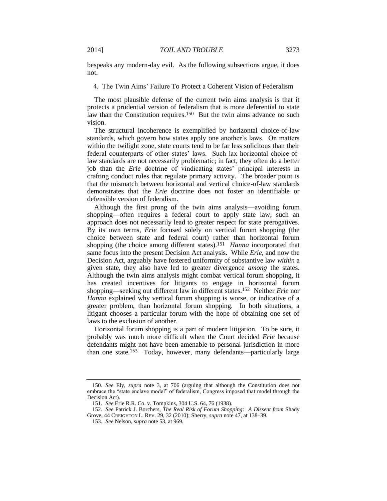bespeaks any modern-day evil. As the following subsections argue, it does not.

4. The Twin Aims' Failure To Protect a Coherent Vision of Federalism

The most plausible defense of the current twin aims analysis is that it protects a prudential version of federalism that is more deferential to state law than the Constitution requires.<sup>150</sup> But the twin aims advance no such vision.

The structural incoherence is exemplified by horizontal choice-of-law standards, which govern how states apply one another's laws. On matters within the twilight zone, state courts tend to be far less solicitous than their federal counterparts of other states' laws. Such lax horizontal choice-oflaw standards are not necessarily problematic; in fact, they often do a better job than the *Erie* doctrine of vindicating states' principal interests in crafting conduct rules that regulate primary activity. The broader point is that the mismatch between horizontal and vertical choice-of-law standards demonstrates that the *Erie* doctrine does not foster an identifiable or defensible version of federalism.

Although the first prong of the twin aims analysis—avoiding forum shopping—often requires a federal court to apply state law, such an approach does not necessarily lead to greater respect for state prerogatives. By its own terms, *Erie* focused solely on vertical forum shopping (the choice between state and federal court) rather than horizontal forum shopping (the choice among different states).<sup>151</sup> *Hanna* incorporated that same focus into the present Decision Act analysis. While *Erie*, and now the Decision Act, arguably have fostered uniformity of substantive law *within* a given state, they also have led to greater divergence *among* the states. Although the twin aims analysis might combat vertical forum shopping, it has created incentives for litigants to engage in horizontal forum shopping—seeking out different law in different states.152 Neither *Erie* nor *Hanna* explained why vertical forum shopping is worse, or indicative of a greater problem, than horizontal forum shopping. In both situations, a litigant chooses a particular forum with the hope of obtaining one set of laws to the exclusion of another.

<span id="page-25-0"></span>Horizontal forum shopping is a part of modern litigation. To be sure, it probably was much more difficult when the Court decided *Erie* because defendants might not have been amenable to personal jurisdiction in more than one state.<sup>153</sup> Today, however, many defendants—particularly large

<sup>150.</sup> *See* Ely, *supra* note [3,](#page-3-2) at 706 (arguing that although the Constitution does not embrace the "state enclave model" of federalism, Congress imposed that model through the Decision Act).

<sup>151.</sup> *See* Erie R.R. Co. v. Tompkins, 304 U.S. 64, 76 (1938).

<sup>152.</sup> *See* Patrick J. Borchers, *The Real Risk of Forum Shopping: A Dissent from* Shady Grove, 44 CREIGHTON L. REV. 29, 32 (2010); Sherry, *supra* not[e 47,](#page-10-0) at 138–39.

<sup>153.</sup> *See* Nelson, *supra* not[e 53,](#page-11-1) at 969.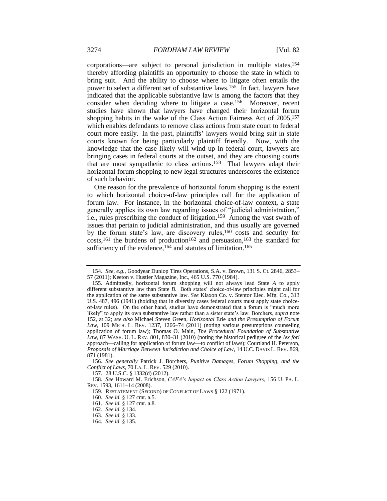<span id="page-26-2"></span><span id="page-26-0"></span>corporations—are subject to personal jurisdiction in multiple states,<sup>154</sup> thereby affording plaintiffs an opportunity to choose the state in which to bring suit. And the ability to choose where to litigate often entails the power to select a different set of substantive laws.155 In fact, lawyers have indicated that the applicable substantive law is among the factors that they consider when deciding where to litigate a case.<sup>156</sup> Moreover, recent studies have shown that lawyers have changed their horizontal forum shopping habits in the wake of the Class Action Fairness Act of 2005, 157 which enables defendants to remove class actions from state court to federal court more easily. In the past, plaintiffs' lawyers would bring suit in state courts known for being particularly plaintiff friendly. Now, with the knowledge that the case likely will wind up in federal court, lawyers are bringing cases in federal courts at the outset, and they are choosing courts that are most sympathetic to class actions.158 That lawyers adapt their horizontal forum shopping to new legal structures underscores the existence of such behavior.

<span id="page-26-1"></span>One reason for the prevalence of horizontal forum shopping is the extent to which horizontal choice-of-law principles call for the application of forum law. For instance, in the horizontal choice-of-law context, a state generally applies its own law regarding issues of "judicial administration," i.e., rules prescribing the conduct of litigation.159 Among the vast swath of issues that pertain to judicial administration, and thus usually are governed by the forum state's law, are discovery rules,<sup>160</sup> costs and security for  $costs$ ,<sup>161</sup>, the burdens of production<sup>162</sup> and persuasion,<sup>163</sup> the standard for sufficiency of the evidence,<sup>164</sup> and statutes of limitation.<sup>165</sup>

<sup>154.</sup> *See, e.g.*, Goodyear Dunlop Tires Operations, S.A. v. Brown, 131 S. Ct. 2846, 2853– 57 (2011); Keeton v. Hustler Magazine, Inc., 465 U.S. 770 (1984).

<sup>155.</sup> Admittedly, horizontal forum shopping will not always lead State *A* to apply different substantive law than State *B*. Both states' choice-of-law principles might call for the application of the same substantive law. *See* Klaxon Co. v. Stentor Elec. Mfg. Co., 313 U.S. 487, 496 (1941) (holding that in diversity cases federal courts must apply state choiceof-law rules). On the other hand, studies have demonstrated that a forum is "much more likely" to apply its own substantive law rather than a sister state's law. Borchers, *supra* note [152,](#page-25-0) at 32; *see also* Michael Steven Green, *Horizontal* Erie *and the Presumption of Forum Law*, 109 MICH. L. REV. 1237, 1266–74 (2011) (noting various presumptions counseling application of forum law); Thomas O. Main, *The Procedural Foundation of Substantive Law*, 87 WASH. U. L. REV. 801, 830–31 (2010) (noting the historical pedigree of the *lex fori* approach—calling for application of forum law—to conflict of laws); Courtland H. Peterson, *Proposals of Marriage Between Jurisdiction and Choice of Law*, 14 U.C. DAVIS L. REV. 869, 871 (1981).

<sup>156.</sup> *See generally* Patrick J. Borchers, *Punitive Damages, Forum Shopping, and the Conflict of Laws*, 70 LA. L. REV. 529 (2010).

<sup>157.</sup> 28 U.S.C. § 1332(d) (2012).

<sup>158.</sup> *See* Howard M. Erichson, *CAFA's Impact on Class Action Lawyers*, 156 U. PA. L. REV. 1593, 1611–14 (2008).

<sup>159.</sup> RESTATEMENT (SECOND) OF CONFLICT OF LAWS § 122 (1971).

<sup>160.</sup> *See id.* § 127 cmt. a.5.

<sup>161.</sup> *See id.* § 127 cmt. a.8.

<sup>162.</sup> *See id.* § 134.

<sup>163.</sup> *See id.* § 133.

<sup>164.</sup> *See id.* § 135.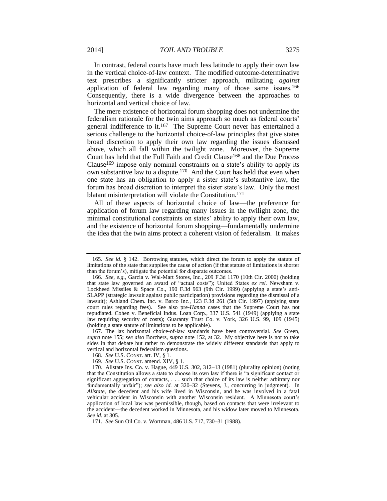In contrast, federal courts have much less latitude to apply their own law in the vertical choice-of-law context. The modified outcome-determinative test prescribes a significantly stricter approach, militating *against* application of federal law regarding many of those same issues.<sup>166</sup> Consequently, there is a wide divergence between the approaches to horizontal and vertical choice of law.

The mere existence of horizontal forum shopping does not undermine the federalism rationale for the twin aims approach so much as federal courts' general indifference to it.<sup>167</sup> The Supreme Court never has entertained a serious challenge to the horizontal choice-of-law principles that give states broad discretion to apply their own law regarding the issues discussed above, which all fall within the twilight zone. Moreover, the Supreme Court has held that the Full Faith and Credit Clause<sup>168</sup> and the Due Process Clause<sup>169</sup> impose only nominal constraints on a state's ability to apply its own substantive law to a dispute.<sup>170</sup> And the Court has held that even when one state has an obligation to apply a sister state's substantive law, the forum has broad discretion to interpret the sister state's law. Only the most blatant misinterpretation will violate the Constitution.<sup>171</sup>

All of these aspects of horizontal choice of law—the preference for application of forum law regarding many issues in the twilight zone, the minimal constitutional constraints on states' ability to apply their own law, and the existence of horizontal forum shopping—fundamentally undermine the idea that the twin aims protect a coherent vision of federalism. It makes

167. The lax horizontal choice-of-law standards have been controversial. *See* Green, *supra* note [155;](#page-26-0) *see also* Borchers, *supra* note [152,](#page-25-0) at 32. My objective here is not to take sides in that debate but rather to demonstrate the widely different standards that apply to vertical and horizontal federalism questions.

<sup>165.</sup> *See id.* § 142. Borrowing statutes, which direct the forum to apply the statute of limitations of the state that supplies the cause of action (if that statute of limitations is shorter than the forum's), mitigate the potential for disparate outcomes.

<sup>166.</sup> *See, e.g.*, Garcia v. Wal-Mart Stores, Inc., 209 F.3d 1170 (10th Cir. 2000) (holding that state law governed an award of "actual costs"); United States *ex rel.* Newsham v. Lockheed Missiles & Space Co., 190 F.3d 963 (9th Cir. 1999) (applying a state's anti-SLAPP (strategic lawsuit against public participation) provisions regarding the dismissal of a lawsuit); Ashland Chem. Inc. v. Barco Inc., 123 F.3d 261 (5th Cir. 1997) (applying state court rules regarding fees). See also pre-*Hanna* cases that the Supreme Court has not repudiated. Cohen v. Beneficial Indus. Loan Corp., 337 U.S. 541 (1949) (applying a state law requiring security of costs); Guaranty Trust Co. v. York, 326 U.S. 99, 109 (1945) (holding a state statute of limitations to be applicable).

<sup>168.</sup> *See* U.S. CONST. art. IV, § 1.

<sup>169.</sup> *See* U.S. CONST. amend. XIV, § 1.

<sup>170.</sup> Allstate Ins. Co. v. Hague, 449 U.S. 302, 312–13 (1981) (plurality opinion) (noting that the Constitution allows a state to choose its own law if there is "a significant contact or significant aggregation of contacts, . . . such that choice of its law is neither arbitrary nor fundamentally unfair"); *see also id.* at 320–32 (Stevens, J., concurring in judgment). In *Allstate*, the decedent and his wife lived in Wisconsin, and he was involved in a fatal vehicular accident in Wisconsin with another Wisconsin resident. A Minnesota court's application of local law was permissible, though, based on contacts that were irrelevant to the accident—the decedent worked in Minnesota, and his widow later moved to Minnesota. *See id.* at 305.

<sup>171.</sup> *See* Sun Oil Co. v. Wortman, 486 U.S. 717, 730–31 (1988).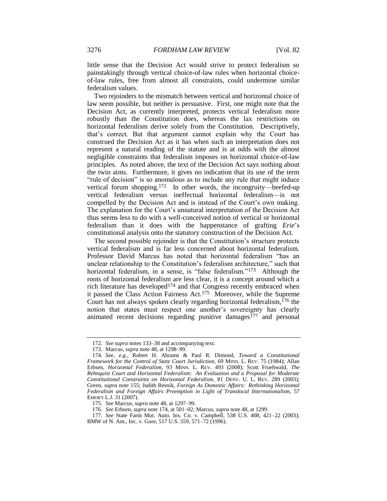little sense that the Decision Act would strive to protect federalism so painstakingly through vertical choice-of-law rules when horizontal choiceof-law rules, free from almost all constraints, could undermine similar federalism values.

Two rejoinders to the mismatch between vertical and horizontal choice of law seem possible, but neither is persuasive. First, one might note that the Decision Act, as currently interpreted, protects vertical federalism more robustly than the Constitution does, whereas the lax restrictions on horizontal federalism derive solely from the Constitution. Descriptively, that's correct. But that argument cannot explain why the Court has construed the Decision Act as it has when such an interpretation does not represent a natural reading of the statute and is at odds with the almost negligible constraints that federalism imposes on horizontal choice-of-law principles. As noted above, the text of the Decision Act says nothing about the twin aims. Furthermore, it gives no indication that its use of the term "rule of decision" is so anomalous as to include any rule that might induce vertical forum shopping.172 In other words, the incongruity—beefed-up vertical federalism versus ineffectual horizontal federalism—is not compelled by the Decision Act and is instead of the Court's own making. The explanation for the Court's unnatural interpretation of the Decision Act thus seems less to do with a well-conceived notion of vertical or horizontal federalism than it does with the happenstance of grafting *Erie*'s constitutional analysis onto the statutory construction of the Decision Act.

<span id="page-28-0"></span>The second possible rejoinder is that the Constitution's structure protects vertical federalism and is far less concerned about horizontal federalism. Professor David Marcus has noted that horizontal federalism "has an unclear relationship to the Constitution's federalism architecture," such that horizontal federalism, in a sense, is "false federalism."<sup>173</sup> Although the roots of horizontal federalism are less clear, it is a concept around which a rich literature has developed<sup>174</sup> and that Congress recently embraced when it passed the Class Action Fairness Act.175 Moreover, while the Supreme Court has not always spoken clearly regarding horizontal federalism,  $176$  the notion that states must respect one another's sovereignty has clearly animated recent decisions regarding punitive damages $177$  and personal

<sup>172.</sup> *See supra* note[s 133–](#page-22-1)38 and accompanying text.

<sup>173.</sup> Marcus, *supra* note [48,](#page-10-3) at 1298–99.

<sup>174.</sup> *See, e.g.*, Robert H. Abrams & Paul R. Dimond, *Toward a Constitutional Framework for the Control of State Court Jurisdiction*, 69 MINN. L. REV. 75 (1984); Allan Erbsen, *Horizontal Federalism*, 93 MINN. L. REV. 493 (2008); Scott Fruehwald, *The Rehnquist Court and Horizontal Federalism: An Evaluation and a Proposal for Moderate Constitutional Constraints on Horizontal Federalism*, 81 DENV. U. L. REV. 289 (2003); Green, *supra* note [155;](#page-26-0) Judith Resnik, *Foreign As Domestic Affairs: Rethinking Horizontal Federalism and Foreign Affairs Preemption in Light of Translocal Internationalism*, 57 EMORY L.J. 31 (2007).

<sup>175.</sup> *See* Marcus, *supra* not[e 48,](#page-10-3) at 1297–99.

<sup>176.</sup> *See* Erbsen, *supra* not[e 174,](#page-28-0) at 501–02; Marcus, *supra* not[e 48,](#page-10-3) at 1299.

<sup>177.</sup> *See* State Farm Mut. Auto. Ins. Co. v. Campbell, 538 U.S. 408, 421–22 (2003); BMW of N. Am., Inc. v. Gore, 517 U.S. 559, 571–72 (1996).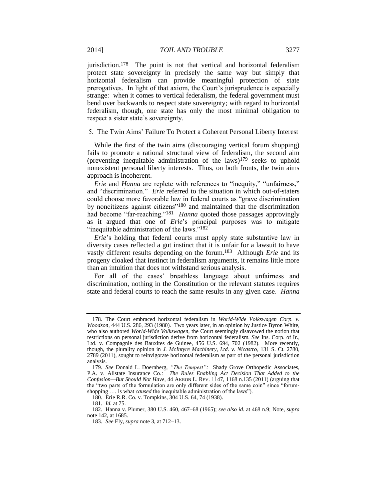jurisdiction.<sup>178</sup> The point is not that vertical and horizontal federalism protect state sovereignty in precisely the same way but simply that horizontal federalism can provide meaningful protection of state prerogatives. In light of that axiom, the Court's jurisprudence is especially strange: when it comes to vertical federalism, the federal government must bend over backwards to respect state sovereignty; with regard to horizontal federalism, though, one state has only the most minimal obligation to respect a sister state's sovereignty.

5. The Twin Aims' Failure To Protect a Coherent Personal Liberty Interest

<span id="page-29-0"></span>While the first of the twin aims (discouraging vertical forum shopping) fails to promote a rational structural view of federalism, the second aim (preventing inequitable administration of the laws) $179$  seeks to uphold nonexistent personal liberty interests. Thus, on both fronts, the twin aims approach is incoherent.

*Erie* and *Hanna* are replete with references to "inequity," "unfairness," and "discrimination." *Erie* referred to the situation in which out-of-staters could choose more favorable law in federal courts as "grave discrimination by noncitizens against citizens"<sup>180</sup> and maintained that the discrimination had become "far-reaching."<sup>181</sup> *Hanna* quoted those passages approvingly as it argued that one of *Erie*'s principal purposes was to mitigate "inequitable administration of the laws."<sup>182</sup>

*Erie*'s holding that federal courts must apply state substantive law in diversity cases reflected a gut instinct that it is unfair for a lawsuit to have vastly different results depending on the forum.183 Although *Erie* and its progeny cloaked that instinct in federalism arguments, it remains little more than an intuition that does not withstand serious analysis.

For all of the cases' breathless language about unfairness and discrimination, nothing in the Constitution or the relevant statutes requires state and federal courts to reach the same results in any given case. *Hanna*

<sup>178.</sup> The Court embraced horizontal federalism in *World-Wide Volkswagen Corp. v. Woodson*, 444 U.S. 286, 293 (1980). Two years later, in an opinion by Justice Byron White, who also authored *World-Wide Volkswagen*, the Court seemingly disavowed the notion that restrictions on personal jurisdiction derive from horizontal federalism. *See* Ins. Corp. of Ir., Ltd. v. Compagnie des Bauxites de Guinee, 456 U.S. 694, 702 (1982). More recently, though, the plurality opinion in *J. McIntyre Machinery, Ltd. v. Nicastro*, 131 S. Ct. 2780, 2789 (2011), sought to reinvigorate horizontal federalism as part of the personal jurisdiction analysis.

<sup>179.</sup> *See* Donald L. Doernberg, *"The Tempest":* Shady Grove Orthopedic Associates, P.A. v. Allstate Insurance Co.*: The Rules Enabling Act Decision That Added to the Confusion—But Should Not Have*, 44 AKRON L. REV. 1147, 1168 n.135 (2011) (arguing that the "two parts of the formulation are only different sides of the same coin" since "forumshopping *. . .* is what *caused* the inequitable administration of the laws").

<sup>180.</sup> Erie R.R. Co. v. Tompkins, 304 U.S. 64, 74 (1938).

<sup>181.</sup> *Id.* at 75.

<sup>182.</sup> Hanna v. Plumer, 380 U.S. 460, 467–68 (1965); *see also id.* at 468 n.9; Note, *supra* note [142,](#page-24-0) at 1685.

<sup>183.</sup> *See* Ely, *supra* not[e 3,](#page-3-2) at 712–13.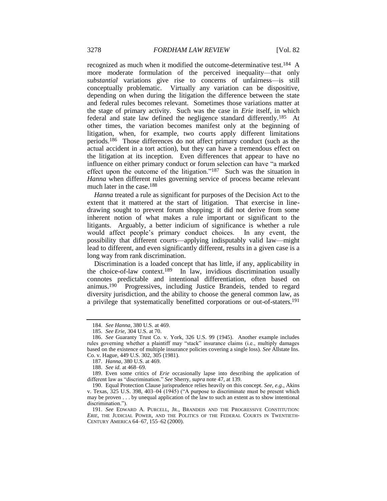recognized as much when it modified the outcome-determinative test.184 A more moderate formulation of the perceived inequality—that only *substantial* variations give rise to concerns of unfairness—is still conceptually problematic. Virtually any variation can be dispositive, depending on when during the litigation the difference between the state and federal rules becomes relevant. Sometimes those variations matter at the stage of primary activity. Such was the case in *Erie* itself, in which federal and state law defined the negligence standard differently.185 At other times, the variation becomes manifest only at the beginning of litigation, when, for example, two courts apply different limitations periods.186 Those differences do not affect primary conduct (such as the actual accident in a tort action), but they can have a tremendous effect on the litigation at its inception. Even differences that appear to have no influence on either primary conduct or forum selection can have "a marked effect upon the outcome of the litigation."187 Such was the situation in *Hanna* when different rules governing service of process became relevant much later in the case.<sup>188</sup>

*Hanna* treated a rule as significant for purposes of the Decision Act to the extent that it mattered at the start of litigation. That exercise in linedrawing sought to prevent forum shopping; it did not derive from some inherent notion of what makes a rule important or significant to the litigants. Arguably, a better indicium of significance is whether a rule would affect people's primary conduct choices. In any event, the possibility that different courts—applying indisputably valid law—might lead to different, and even significantly different, results in a given case is a long way from rank discrimination.

Discrimination is a loaded concept that has little, if any, applicability in the choice-of-law context.<sup>189</sup> In law, invidious discrimination usually connotes predictable and intentional differentiation, often based on animus.190 Progressives, including Justice Brandeis, tended to regard diversity jurisdiction, and the ability to choose the general common law, as a privilege that systematically benefitted corporations or out-of-staters.<sup>191</sup>

<sup>184.</sup> *See Hanna*, 380 U.S. at 469.

<sup>185.</sup> *See Erie*, 304 U.S. at 70.

<sup>186.</sup> *See* Guaranty Trust Co. v. York, 326 U.S. 99 (1945). Another example includes rules governing whether a plaintiff may "stack" insurance claims (i.e., multiply damages based on the existence of multiple insurance policies covering a single loss). *See* Allstate Ins. Co. v. Hague, 449 U.S. 302, 305 (1981).

<sup>187.</sup> *Hanna*, 380 U.S. at 469.

<sup>188.</sup> *See id.* at 468–69.

<sup>189.</sup> Even some critics of *Erie* occasionally lapse into describing the application of different law as "discrimination." *See* Sherry, *supra* not[e 47,](#page-10-0) at 139.

<sup>190.</sup> Equal Protection Clause jurisprudence relies heavily on this concept. *See, e.g.*, Akins v. Texas, 325 U.S. 398, 403–04 (1945) ("A purpose to discriminate must be present which may be proven . . . by unequal application of the law to such an extent as to show intentional discrimination.").

<sup>191.</sup> *See* EDWARD A. PURCELL, JR., BRANDEIS AND THE PROGRESSIVE CONSTITUTION: *ERIE*, THE JUDICIAL POWER, AND THE POLITICS OF THE FEDERAL COURTS IN TWENTIETH-CENTURY AMERICA 64–67, 155–62 (2000).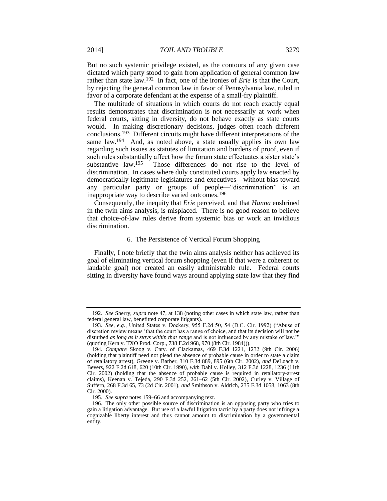But no such systemic privilege existed, as the contours of any given case dictated which party stood to gain from application of general common law rather than state law.192 In fact, one of the ironies of *Erie* is that the Court, by rejecting the general common law in favor of Pennsylvania law, ruled in favor of a corporate defendant at the expense of a small-fry plaintiff.

The multitude of situations in which courts do not reach exactly equal results demonstrates that discrimination is not necessarily at work when federal courts, sitting in diversity, do not behave exactly as state courts would. In making discretionary decisions, judges often reach different conclusions.193 Different circuits might have different interpretations of the same law.<sup>194</sup> And, as noted above, a state usually applies its own law regarding such issues as statutes of limitation and burdens of proof, even if such rules substantially affect how the forum state effectuates a sister state's substantive law.<sup>195</sup> Those differences do not rise to the level of discrimination. In cases where duly constituted courts apply law enacted by democratically legitimate legislatures and executives—without bias toward any particular party or groups of people—"discrimination" is an inappropriate way to describe varied outcomes.<sup>196</sup>

Consequently, the inequity that *Erie* perceived, and that *Hanna* enshrined in the twin aims analysis, is misplaced. There is no good reason to believe that choice-of-law rules derive from systemic bias or work an invidious discrimination.

#### 6. The Persistence of Vertical Forum Shopping

Finally, I note briefly that the twin aims analysis neither has achieved its goal of eliminating vertical forum shopping (even if that were a coherent or laudable goal) nor created an easily administrable rule. Federal courts sitting in diversity have found ways around applying state law that they find

<sup>192.</sup> *See* Sherry, *supra* not[e 47,](#page-10-0) at 138 (noting other cases in which state law, rather than federal general law, benefitted corporate litigants).

<sup>193.</sup> *See, e.g.*, United States v. Dockery, 955 F.2d 50, 54 (D.C. Cir. 1992) ("Abuse of discretion review means 'that the court has a range of choice, and that its decision will not be disturbed *as long as it stays within that range* and is not influenced by any mistake of law.'" (quoting Kern v. TXO Prod. Corp., 738 F.2d 968, 970 (8th Cir. 1984))).

<sup>194.</sup> *Compare* Skoog v. Cnty. of Clackamas, 469 F.3d 1221, 1232 (9th Cir. 2006) (holding that plaintiff need not plead the absence of probable cause in order to state a claim of retaliatory arrest), Greene v. Barber, 310 F.3d 889, 895 (6th Cir. 2002), *and* DeLoach v. Bevers, 922 F.2d 618, 620 (10th Cir. 1990), *with* Dahl v. Holley, 312 F.3d 1228, 1236 (11th Cir. 2002) (holding that the absence of probable cause is required in retaliatory-arrest claims), Keenan v. Tejeda, 290 F.3d 252, 261–62 (5th Cir. 2002), Curley v. Village of Suffern, 268 F.3d 65, 73 (2d Cir. 2001), *and* Smithson v. Aldrich, 235 F.3d 1058, 1063 (8th Cir. 2000).

<sup>195.</sup> *See supra* note[s 159–](#page-26-1)66 and accompanying text.

<sup>196.</sup> The only other possible source of discrimination is an opposing party who tries to gain a litigation advantage. But use of a lawful litigation tactic by a party does not infringe a cognizable liberty interest and thus cannot amount to discrimination by a governmental entity.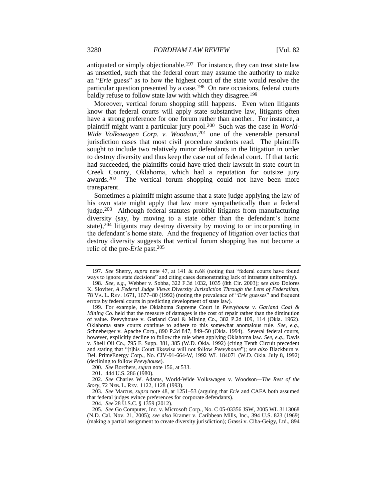antiquated or simply objectionable.<sup>197</sup> For instance, they can treat state law as unsettled, such that the federal court may assume the authority to make an "*Erie* guess" as to how the highest court of the state would resolve the particular question presented by a case.198 On rare occasions, federal courts baldly refuse to follow state law with which they disagree.<sup>199</sup>

Moreover, vertical forum shopping still happens. Even when litigants know that federal courts will apply state substantive law, litigants often have a strong preference for one forum rather than another. For instance, a plaintiff might want a particular jury pool.200 Such was the case in *World-Wide Volkswagen Corp. v. Woodson*, <sup>201</sup> one of the venerable personal jurisdiction cases that most civil procedure students read. The plaintiffs sought to include two relatively minor defendants in the litigation in order to destroy diversity and thus keep the case out of federal court. If that tactic had succeeded, the plaintiffs could have tried their lawsuit in state court in Creek County, Oklahoma, which had a reputation for outsize jury awards.<sup>202</sup> The vertical forum shopping could not have been more transparent.

Sometimes a plaintiff might assume that a state judge applying the law of his own state might apply that law more sympathetically than a federal judge.203 Although federal statutes prohibit litigants from manufacturing diversity (say, by moving to a state other than the defendant's home state),<sup>204</sup> litigants may destroy diversity by moving to or incorporating in the defendant's home state. And the frequency of litigation over tactics that destroy diversity suggests that vertical forum shopping has not become a relic of the pre-*Erie* past.<sup>205</sup>

200. *See* Borchers, *supra* not[e 156,](#page-26-2) at 533.

201. 444 U.S. 286 (1980).

204. *See* 28 U.S.C. § 1359 (2012).

205. *See* Go Computer, Inc. v. Microsoft Corp., No. C 05-03356 JSW, 2005 WL 3113068 (N.D. Cal. Nov. 21, 2005); *see also* Kramer v. Caribbean Mills, Inc., 394 U.S. 823 (1969) (making a partial assignment to create diversity jurisdiction); Grassi v. Ciba-Geigy, Ltd., 894

<sup>197.</sup> *See* Sherry, *supra* note [47,](#page-10-0) at 141 & n.68 (noting that "federal courts have found ways to ignore state decisions" and citing cases demonstrating lack of intrastate uniformity).

<sup>198.</sup> *See, e.g.*, Webber v. Sobba, 322 F.3d 1032, 1035 (8th Cir. 2003); *see also* Dolores K. Sloviter, *A Federal Judge Views Diversity Jurisdiction Through the Lens of Federalism*, 78 VA. L. REV. 1671, 1677–80 (1992) (noting the prevalence of "*Erie* guesses" and frequent errors by federal courts in predicting development of state law).

<sup>199</sup>*.* For example, the Oklahoma Supreme Court in *Peevyhouse v. Garland Coal & Mining Co.* held that the measure of damages is the cost of repair rather than the diminution of value. Peevyhouse v. Garland Coal & Mining Co., 382 P.2d 109, 114 (Okla. 1962). Oklahoma state courts continue to adhere to this somewhat anomalous rule. *See, e.g.*, Schneberger v. Apache Corp., 890 P.2d 847, 849–50 (Okla. 1994). Several federal courts, however, explicitly decline to follow the rule when applying Oklahoma law. *See, e.g.*, Davis v. Shell Oil Co., 795 F. Supp. 381, 385 (W.D. Okla. 1992) (citing Tenth Circuit precedent and stating that "[t]his Court likewise will not follow *Peevyhouse*"); *see also* Blackburn v. Del. PrimeEnergy Corp., No. CIV-91-664-W, 1992 WL 184071 (W.D. Okla. July 8, 1992) (declining to follow *Peevyhouse*).

<sup>202.</sup> *See* Charles W. Adams, World-Wide Volkswagen v. Woodson*—The Rest of the Story*, 72 NEB. L. REV. 1122, 1128 (1993).

<sup>203.</sup> *See* Marcus, *supra* note [48,](#page-10-3) at 1251–53 (arguing that *Erie* and CAFA both assumed that federal judges evince preferences for corporate defendants).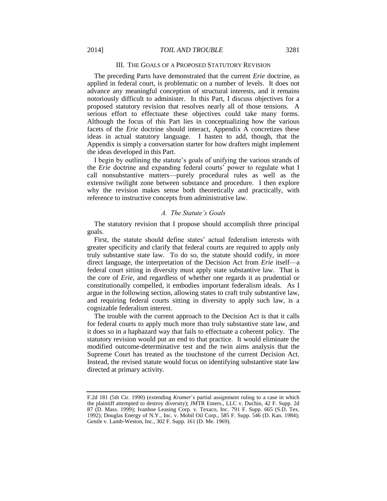#### III. THE GOALS OF A PROPOSED STATUTORY REVISION

The preceding Parts have demonstrated that the current *Erie* doctrine, as applied in federal court, is problematic on a number of levels. It does not advance any meaningful conception of structural interests, and it remains notoriously difficult to administer. In this Part, I discuss objectives for a proposed statutory revision that resolves nearly all of those tensions. A serious effort to effectuate these objectives could take many forms. Although the focus of this Part lies in conceptualizing how the various facets of the *Erie* doctrine should interact, Appendix A concretizes these ideas in actual statutory language. I hasten to add, though, that the Appendix is simply a conversation starter for how drafters might implement the ideas developed in this Part.

I begin by outlining the statute's goals of unifying the various strands of the *Erie* doctrine and expanding federal courts' power to regulate what I call nonsubstantive matters—purely procedural rules as well as the extensive twilight zone between substance and procedure. I then explore why the revision makes sense both theoretically and practically, with reference to instructive concepts from administrative law.

#### *A. The Statute's Goals*

The statutory revision that I propose should accomplish three principal goals.

First, the statute should define states' actual federalism interests with greater specificity and clarify that federal courts are required to apply only truly substantive state law. To do so, the statute should codify, in more direct language, the interpretation of the Decision Act from *Erie* itself—a federal court sitting in diversity must apply state substantive law. That is the core of *Erie*, and regardless of whether one regards it as prudential or constitutionally compelled, it embodies important federalism ideals. As I argue in the following section, allowing states to craft truly substantive law, and requiring federal courts sitting in diversity to apply such law, is a cognizable federalism interest.

The trouble with the current approach to the Decision Act is that it calls for federal courts to apply much more than truly substantive state law, and it does so in a haphazard way that fails to effectuate a coherent policy. The statutory revision would put an end to that practice. It would eliminate the modified outcome-determinative test and the twin aims analysis that the Supreme Court has treated as the touchstone of the current Decision Act. Instead, the revised statute would focus on identifying substantive state law directed at primary activity.

F.2d 181 (5th Cir. 1990) (extending *Kramer*'s partial assignment ruling to a case in which the plaintiff attempted to destroy diversity); JMTR Enters., LLC v. Duchin, 42 F. Supp. 2d 87 (D. Mass. 1999); Ivanhoe Leasing Corp. v. Texaco, Inc. 791 F. Supp. 665 (S.D. Tex. 1992); Douglas Energy of N.Y., Inc. v. Mobil Oil Corp., 585 F. Supp. 546 (D. Kan. 1984); Gentle v. Lamb-Weston, Inc., 302 F. Supp. 161 (D. Me. 1969).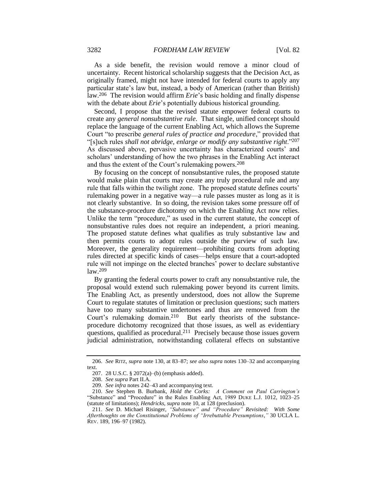As a side benefit, the revision would remove a minor cloud of uncertainty. Recent historical scholarship suggests that the Decision Act, as originally framed, might not have intended for federal courts to apply any particular state's law but, instead, a body of American (rather than British) law.206 The revision would affirm *Erie*'s basic holding and finally dispense with the debate about *Erie*'s potentially dubious historical grounding.

Second, I propose that the revised statute empower federal courts to create any *general nonsubstantive rule*. That single, unified concept should replace the language of the current Enabling Act, which allows the Supreme Court "to prescribe *general rules of practice and procedure*," provided that "[s]uch rules *shall not abridge, enlarge or modify any substantive right*."<sup>207</sup> As discussed above, pervasive uncertainty has characterized courts' and scholars' understanding of how the two phrases in the Enabling Act interact and thus the extent of the Court's rulemaking powers.<sup>208</sup>

By focusing on the concept of nonsubstantive rules, the proposed statute would make plain that courts may create any truly procedural rule and any rule that falls within the twilight zone. The proposed statute defines courts' rulemaking power in a negative way—a rule passes muster as long as it is not clearly substantive. In so doing, the revision takes some pressure off of the substance-procedure dichotomy on which the Enabling Act now relies. Unlike the term "procedure," as used in the current statute, the concept of nonsubstantive rules does not require an independent, a priori meaning. The proposed statute defines what qualifies as truly substantive law and then permits courts to adopt rules outside the purview of such law. Moreover, the generality requirement—prohibiting courts from adopting rules directed at specific kinds of cases—helps ensure that a court-adopted rule will not impinge on the elected branches' power to declare substantive law.<sup>209</sup>

<span id="page-34-1"></span>By granting the federal courts power to craft any nonsubstantive rule, the proposal would extend such rulemaking power beyond its current limits. The Enabling Act, as presently understood, does not allow the Supreme Court to regulate statutes of limitation or preclusion questions; such matters have too many substantive undertones and thus are removed from the Court's rulemaking domain.210 But early theorists of the substanceprocedure dichotomy recognized that those issues, as well as evidentiary questions, qualified as procedural.211 Precisely because those issues govern judicial administration, notwithstanding collateral effects on substantive

<span id="page-34-0"></span><sup>206.</sup> *See* RITZ, *supra* note [130,](#page-22-0) at 83–87; *see also supra* note[s 130–](#page-22-0)32 and accompanying text.

<sup>207.</sup> 28 U.S.C. § 2072(a)–(b) (emphasis added).

<sup>208.</sup> *See supra* Part II.A.

<sup>209.</sup> *See infra* note[s 242–](#page-40-0)43 and accompanying text.

<sup>210.</sup> *See* Stephen B. Burbank, *Hold the Corks: A Comment on Paul Carrington's*  "Substance" and "Procedure" in the Rules Enabling Act, 1989 DUKE L.J. 1012, 1023–25 (statute of limitations); *Hendricks*, *supra* not[e 10,](#page-3-1) at 128 (preclusion).

<sup>211.</sup> *See* D. Michael Risinger, *"Substance" and "Procedure" Revisited: With Some Afterthoughts on the Constitutional Problems of "Irrebuttable Presumptions*,*"* 30 UCLA L. REV. 189, 196–97 (1982).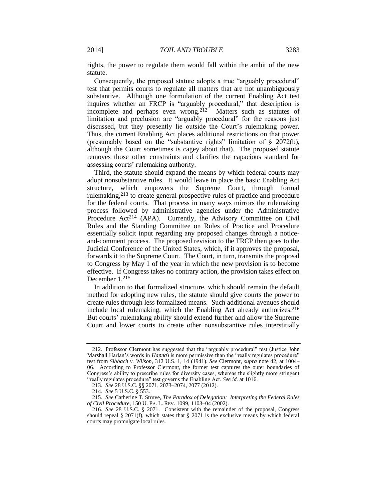rights, the power to regulate them would fall within the ambit of the new statute.

<span id="page-35-0"></span>Consequently, the proposed statute adopts a true "arguably procedural" test that permits courts to regulate all matters that are not unambiguously substantive. Although one formulation of the current Enabling Act test inquires whether an FRCP is "arguably procedural," that description is incomplete and perhaps even wrong.<sup>212</sup> Matters such as statutes of limitation and preclusion are "arguably procedural" for the reasons just discussed, but they presently lie outside the Court's rulemaking power. Thus, the current Enabling Act places additional restrictions on that power (presumably based on the "substantive rights" limitation of § 2072(b), although the Court sometimes is cagey about that). The proposed statute removes those other constraints and clarifies the capacious standard for assessing courts' rulemaking authority.

Third, the statute should expand the means by which federal courts may adopt nonsubstantive rules. It would leave in place the basic Enabling Act structure, which empowers the Supreme Court, through formal rulemaking,<sup>213</sup> to create general prospective rules of practice and procedure for the federal courts. That process in many ways mirrors the rulemaking process followed by administrative agencies under the Administrative Procedure Act<sup>214</sup> (APA). Currently, the Advisory Committee on Civil Rules and the Standing Committee on Rules of Practice and Procedure essentially solicit input regarding any proposed changes through a noticeand-comment process. The proposed revision to the FRCP then goes to the Judicial Conference of the United States, which, if it approves the proposal, forwards it to the Supreme Court. The Court, in turn, transmits the proposal to Congress by May 1 of the year in which the new provision is to become effective. If Congress takes no contrary action, the provision takes effect on December 1.<sup>215</sup>

<span id="page-35-1"></span>In addition to that formalized structure, which should remain the default method for adopting new rules, the statute should give courts the power to create rules through less formalized means. Such additional avenues should include local rulemaking, which the Enabling Act already authorizes.<sup>216</sup> But courts' rulemaking ability should extend further and allow the Supreme Court and lower courts to create other nonsubstantive rules interstitially

<sup>212.</sup> Professor Clermont has suggested that the "arguably procedural" test (Justice John Marshall Harlan's words in *Hanna*) is more permissive than the "really regulates procedure" test from *Sibbach v. Wilson*, 312 U.S. 1, 14 (1941). *See* Clermont, *supra* note [42,](#page-9-0) at 1004– 06. According to Professor Clermont, the former test captures the outer boundaries of Congress's ability to prescribe rules for diversity cases, whereas the slightly more stringent "really regulates procedure" test governs the Enabling Act. *See id.* at 1016.

<sup>213.</sup> *See* 28 U.S.C. §§ 2071, 2073–2074, 2077 (2012).

<sup>214.</sup> *See* 5 U.S.C. § 553.

<sup>215.</sup> *See* Catherine T. Struve, *The Paradox of Delegation: Interpreting the Federal Rules of Civil Procedure*, 150 U. PA. L. REV. 1099, 1103–04 (2002).

<sup>216.</sup> *See* 28 U.S.C. § 2071. Consistent with the remainder of the proposal, Congress should repeal § 2071(f), which states that § 2071 is the exclusive means by which federal courts may promulgate local rules.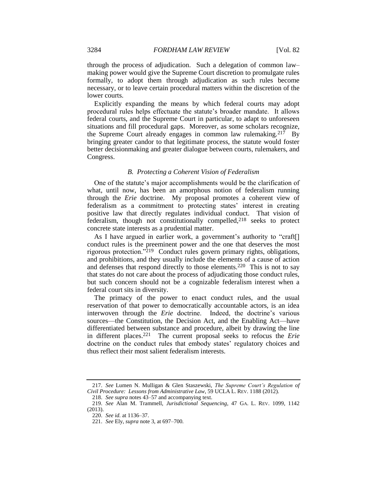through the process of adjudication. Such a delegation of common law– making power would give the Supreme Court discretion to promulgate rules formally, to adopt them through adjudication as such rules become necessary, or to leave certain procedural matters within the discretion of the lower courts.

Explicitly expanding the means by which federal courts may adopt procedural rules helps effectuate the statute's broader mandate. It allows federal courts, and the Supreme Court in particular, to adapt to unforeseen situations and fill procedural gaps. Moreover, as some scholars recognize, the Supreme Court already engages in common law rulemaking.217 By bringing greater candor to that legitimate process, the statute would foster better decisionmaking and greater dialogue between courts, rulemakers, and Congress.

#### <span id="page-36-1"></span>*B. Protecting a Coherent Vision of Federalism*

One of the statute's major accomplishments would be the clarification of what, until now, has been an amorphous notion of federalism running through the *Erie* doctrine. My proposal promotes a coherent view of federalism as a commitment to protecting states' interest in creating positive law that directly regulates individual conduct. That vision of federalism, though not constitutionally compelled,<sup>218</sup> seeks to protect concrete state interests as a prudential matter.

<span id="page-36-0"></span>As I have argued in earlier work, a government's authority to "craft[] conduct rules is the preeminent power and the one that deserves the most rigorous protection."219 Conduct rules govern primary rights, obligations, and prohibitions, and they usually include the elements of a cause of action and defenses that respond directly to those elements.220 This is not to say that states do not care about the process of adjudicating those conduct rules, but such concern should not be a cognizable federalism interest when a federal court sits in diversity.

The primacy of the power to enact conduct rules, and the usual reservation of that power to democratically accountable actors, is an idea interwoven through the *Erie* doctrine. Indeed, the doctrine's various sources—the Constitution, the Decision Act, and the Enabling Act—have differentiated between substance and procedure, albeit by drawing the line in different places.221 The current proposal seeks to refocus the *Erie* doctrine on the conduct rules that embody states' regulatory choices and thus reflect their most salient federalism interests.

<sup>217.</sup> *See* Lumen N. Mulligan & Glen Staszewski, *The Supreme Court's Regulation of Civil Procedure: Lessons from Administrative Law*, 59 UCLA L. REV. 1188 (2012).

<sup>218.</sup> *See supra* note[s 43](#page-10-1)[–57](#page-12-1) and accompanying text.

<sup>219.</sup> *See* Alan M. Trammell, *Jurisdictional Sequencing*, 47 GA. L. REV. 1099, 1142 (2013).

<sup>220.</sup> *See id.* at 1136–37.

<sup>221.</sup> *See* Ely, *supra* not[e 3,](#page-3-2) at 697–700.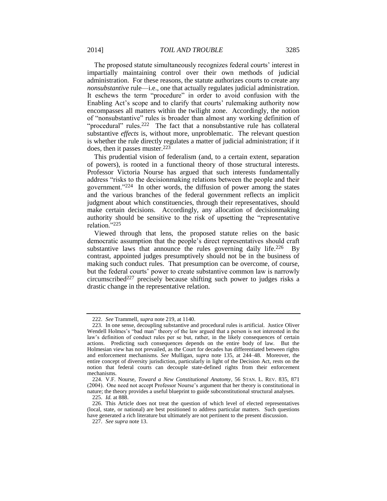The proposed statute simultaneously recognizes federal courts' interest in impartially maintaining control over their own methods of judicial administration. For these reasons, the statute authorizes courts to create any *nonsubstantive* rule—i.e., one that actually regulates judicial administration. It eschews the term "procedure" in order to avoid confusion with the Enabling Act's scope and to clarify that courts' rulemaking authority now encompasses all matters within the twilight zone. Accordingly, the notion of "nonsubstantive" rules is broader than almost any working definition of "procedural" rules.<sup>222</sup> The fact that a nonsubstantive rule has collateral substantive *effects* is, without more, unproblematic. The relevant question is whether the rule directly regulates a matter of judicial administration; if it does, then it passes muster.<sup>223</sup>

This prudential vision of federalism (and, to a certain extent, separation of powers), is rooted in a functional theory of those structural interests. Professor Victoria Nourse has argued that such interests fundamentally address "risks to the decisionmaking relations between the people and their government."224 In other words, the diffusion of power among the states and the various branches of the federal government reflects an implicit judgment about which constituencies, through their representatives, should make certain decisions. Accordingly, any allocation of decisionmaking authority should be sensitive to the risk of upsetting the "representative relation."<sup>225</sup>

Viewed through that lens, the proposed statute relies on the basic democratic assumption that the people's direct representatives should craft substantive laws that announce the rules governing daily life.<sup>226</sup> By contrast, appointed judges presumptively should not be in the business of making such conduct rules. That presumption can be overcome, of course, but the federal courts' power to create substantive common law is narrowly circumscribed<sup>227</sup> precisely because shifting such power to judges risks a drastic change in the representative relation.

<sup>222.</sup> *See* Trammell, *supra* not[e 219,](#page-36-0) at 1140.

<sup>223.</sup> In one sense, decoupling substantive and procedural rules is artificial. Justice Oliver Wendell Holmes's "bad man" theory of the law argued that a person is not interested in the law's definition of conduct rules per se but, rather, in the likely consequences of certain actions. Predicting such consequences depends on the entire body of law. But the Holmesian view has not prevailed, as the Court for decades has differentiated between rights and enforcement mechanisms. *See* Mulligan, *supra* note [135,](#page-22-2) at 244–48. Moreover, the entire concept of diversity jurisdiction, particularly in light of the Decision Act, rests on the notion that federal courts can decouple state-defined rights from their enforcement mechanisms.

<sup>224.</sup> V.F. Nourse, *Toward a New Constitutional Anatomy*, 56 STAN. L. REV. 835, 871 (2004). One need not accept Professor Nourse's argument that her theory is constitutional in nature; the theory provides a useful blueprint to guide subconstitutional structural analyses.

<sup>225.</sup> *Id.* at 888.

<sup>226.</sup> This Article does not treat the question of which level of elected representatives (local, state, or national) are best positioned to address particular matters. Such questions have generated a rich literature but ultimately are not pertinent to the present discussion.

<sup>227.</sup> *See supra* not[e 13.](#page-5-0)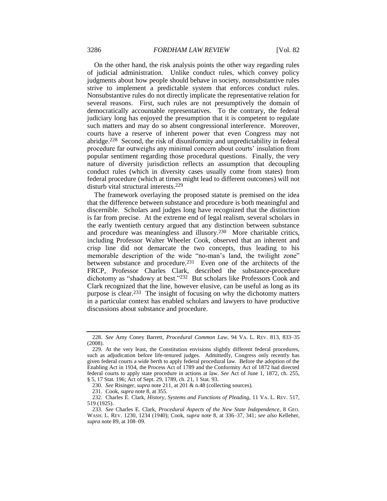On the other hand, the risk analysis points the other way regarding rules of judicial administration. Unlike conduct rules, which convey policy judgments about how people should behave in society, nonsubstantive rules strive to implement a predictable system that enforces conduct rules. Nonsubstantive rules do not directly implicate the representative relation for several reasons. First, such rules are not presumptively the domain of democratically accountable representatives. To the contrary, the federal judiciary long has enjoyed the presumption that it is competent to regulate such matters and may do so absent congressional interference. Moreover, courts have a reserve of inherent power that even Congress may not abridge.228 Second, the risk of disuniformity and unpredictability in federal procedure far outweighs any minimal concern about courts' insulation from popular sentiment regarding those procedural questions. Finally, the very nature of diversity jurisdiction reflects an assumption that decoupling conduct rules (which in diversity cases usually come from states) from federal procedure (which at times might lead to different outcomes) will not disturb vital structural interests.<sup>229</sup>

<span id="page-38-0"></span>The framework overlaying the proposed statute is premised on the idea that the difference between substance and procedure is both meaningful and discernible. Scholars and judges long have recognized that the distinction is far from precise. At the extreme end of legal realism, several scholars in the early twentieth century argued that any distinction between substance and procedure was meaningless and illusory.230 More charitable critics, including Professor Walter Wheeler Cook, observed that an inherent and crisp line did not demarcate the two concepts, thus leading to his memorable description of the wide "no-man's land, the twilight zone" between substance and procedure.<sup>231</sup> Even one of the architects of the FRCP, Professor Charles Clark, described the substance-procedure dichotomy as "shadowy at best."232 But scholars like Professors Cook and Clark recognized that the line, however elusive, can be useful as long as its purpose is clear.233 The insight of focusing on why the dichotomy matters in a particular context has enabled scholars and lawyers to have productive discussions about substance and procedure.

<span id="page-38-1"></span><sup>228.</sup> *See* Amy Coney Barrett, *Procedural Common Law*, 94 VA. L. REV. 813, 833–35 (2008).

<sup>229.</sup> At the very least, the Constitution envisions slightly different federal procedures, such as adjudication before life-tenured judges. Admittedly, Congress only recently has given federal courts a wide berth to apply federal procedural law. Before the adoption of the Enabling Act in 1934, the Process Act of 1789 and the Conformity Act of 1872 had directed federal courts to apply state procedure in actions at law. *See* Act of June 1, 1872, ch. 255, § 5, 17 Stat. 196; Act of Sept. 29, 1789, ch. 21, 1 Stat. 93.

<sup>230.</sup> *See* Risinger, *supra* not[e 211,](#page-34-0) at 201 & n.48 (collecting sources).

<sup>231.</sup> Cook, *supra* not[e 8,](#page-3-4) at 355.

<sup>232.</sup> Charles E. Clark, *History, Systems and Functions of Pleading*, 11 VA. L. REV. 517, 519 (1925).

<sup>233.</sup> *See* Charles E. Clark, *Procedural Aspects of the New State Independence*, 8 GEO. WASH. L. REV. 1230, 1234 (1940); Cook, *supra* note [8,](#page-3-4) at 336–37, 341; *see also* Kelleher, *supra* not[e 89,](#page-16-1) at 108–09.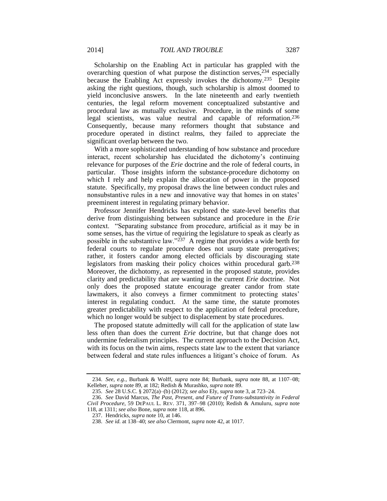Scholarship on the Enabling Act in particular has grappled with the overarching question of what purpose the distinction serves,<sup>234</sup> especially because the Enabling Act expressly invokes the dichotomy.235 Despite asking the right questions, though, such scholarship is almost doomed to yield inconclusive answers. In the late nineteenth and early twentieth centuries, the legal reform movement conceptualized substantive and procedural law as mutually exclusive. Procedure, in the minds of some legal scientists, was value neutral and capable of reformation.<sup>236</sup> Consequently, because many reformers thought that substance and procedure operated in distinct realms, they failed to appreciate the significant overlap between the two.

<span id="page-39-0"></span>With a more sophisticated understanding of how substance and procedure interact, recent scholarship has elucidated the dichotomy's continuing relevance for purposes of the *Erie* doctrine and the role of federal courts, in particular. Those insights inform the substance-procedure dichotomy on which I rely and help explain the allocation of power in the proposed statute. Specifically, my proposal draws the line between conduct rules and nonsubstantive rules in a new and innovative way that homes in on states' preeminent interest in regulating primary behavior.

Professor Jennifer Hendricks has explored the state-level benefits that derive from distinguishing between substance and procedure in the *Erie* context. "Separating substance from procedure, artificial as it may be in some senses, has the virtue of requiring the legislature to speak as clearly as possible in the substantive law."237 A regime that provides a wide berth for federal courts to regulate procedure does not usurp state prerogatives; rather, it fosters candor among elected officials by discouraging state legislators from masking their policy choices within procedural garb.<sup>238</sup> Moreover, the dichotomy, as represented in the proposed statute, provides clarity and predictability that are wanting in the current *Erie* doctrine. Not only does the proposed statute encourage greater candor from state lawmakers, it also conveys a firmer commitment to protecting states' interest in regulating conduct. At the same time, the statute promotes greater predictability with respect to the application of federal procedure, which no longer would be subject to displacement by state procedures.

The proposed statute admittedly will call for the application of state law less often than does the current *Erie* doctrine, but that change does not undermine federalism principles. The current approach to the Decision Act, with its focus on the twin aims, respects state law to the extent that variance between federal and state rules influences a litigant's choice of forum. As

<sup>234.</sup> *See, e.g.*, Burbank & Wolff, *supra* note [84;](#page-16-0) Burbank, *supra* note [88,](#page-16-2) at 1107–08; Kelleher, *supra* note [89,](#page-16-1) at 182; Redish & Murashko, *supra* not[e 89.](#page-16-1)

<sup>235.</sup> *See* 28 U.S.C. § 2072(a)–(b) (2012); *see also* Ely, *supra* not[e 3,](#page-3-2) at 723–24.

<sup>236.</sup> *See* David Marcus, *The Past, Present, and Future of Trans-substantivity in Federal Civil Procedure*, 59 DEPAUL L. REV. 371, 397–98 (2010); Redish & Amuluru, *supra* note [118,](#page-20-0) at 1311; *see also* Bone, *supra* not[e 118,](#page-20-0) at 896.

<sup>237.</sup> Hendricks, *supra* note [10,](#page-3-1) at 146.

<sup>238.</sup> *See id.* at 138–40; *see also* Clermont, *supra* not[e 42,](#page-9-0) at 1017.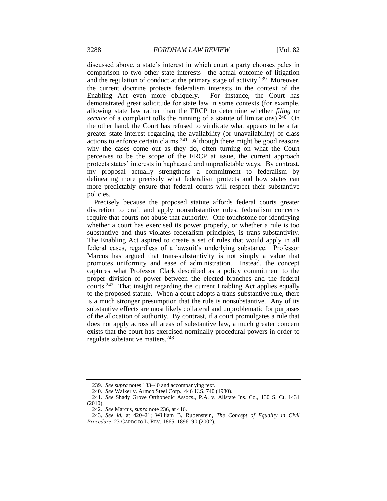discussed above, a state's interest in which court a party chooses pales in comparison to two other state interests—the actual outcome of litigation and the regulation of conduct at the primary stage of activity.239 Moreover, the current doctrine protects federalism interests in the context of the Enabling Act even more obliquely. For instance, the Court has demonstrated great solicitude for state law in some contexts (for example, allowing state law rather than the FRCP to determine whether *filing* or *service* of a complaint tolls the running of a statute of limitations).<sup>240</sup> On the other hand, the Court has refused to vindicate what appears to be a far greater state interest regarding the availability (or unavailability) of class actions to enforce certain claims.241 Although there might be good reasons why the cases come out as they do, often turning on what the Court perceives to be the scope of the FRCP at issue, the current approach protects states' interests in haphazard and unpredictable ways. By contrast, my proposal actually strengthens a commitment to federalism by delineating more precisely what federalism protects and how states can more predictably ensure that federal courts will respect their substantive policies.

<span id="page-40-0"></span>Precisely because the proposed statute affords federal courts greater discretion to craft and apply nonsubstantive rules, federalism concerns require that courts not abuse that authority. One touchstone for identifying whether a court has exercised its power properly, or whether a rule is too substantive and thus violates federalism principles, is trans-substantivity. The Enabling Act aspired to create a set of rules that would apply in all federal cases, regardless of a lawsuit's underlying substance. Professor Marcus has argued that trans-substantivity is not simply a value that promotes uniformity and ease of administration. Instead, the concept captures what Professor Clark described as a policy commitment to the proper division of power between the elected branches and the federal courts.242 That insight regarding the current Enabling Act applies equally to the proposed statute. When a court adopts a trans-substantive rule, there is a much stronger presumption that the rule is nonsubstantive. Any of its substantive effects are most likely collateral and unproblematic for purposes of the allocation of authority. By contrast, if a court promulgates a rule that does not apply across all areas of substantive law, a much greater concern exists that the court has exercised nominally procedural powers in order to regulate substantive matters.<sup>243</sup>

243. *See id.* at 420–21; William B. Rubenstein, *The Concept of Equality in Civil Procedure*, 23 CARDOZO L. REV. 1865, 1896–90 (2002).

<sup>239.</sup> *See supra* note[s 133–](#page-22-1)40 and accompanying text.

<sup>240.</sup> *See* Walker v. Armco Steel Corp., 446 U.S. 740 (1980).

<sup>241.</sup> *See* Shady Grove Orthopedic Assocs., P.A. v. Allstate Ins. Co., 130 S. Ct. 1431 (2010).

<sup>242.</sup> *See* Marcus, *supra* not[e 236,](#page-39-0) at 416.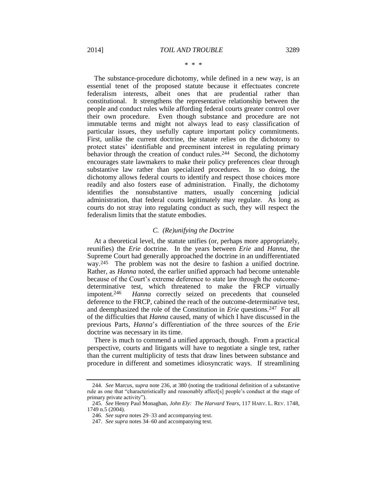#### \* \* \*

The substance-procedure dichotomy, while defined in a new way, is an essential tenet of the proposed statute because it effectuates concrete federalism interests, albeit ones that are prudential rather than constitutional. It strengthens the representative relationship between the people and conduct rules while affording federal courts greater control over their own procedure. Even though substance and procedure are not immutable terms and might not always lead to easy classification of particular issues, they usefully capture important policy commitments. First, unlike the current doctrine, the statute relies on the dichotomy to protect states' identifiable and preeminent interest in regulating primary behavior through the creation of conduct rules.<sup>244</sup> Second, the dichotomy encourages state lawmakers to make their policy preferences clear through substantive law rather than specialized procedures. In so doing, the dichotomy allows federal courts to identify and respect those choices more readily and also fosters ease of administration. Finally, the dichotomy identifies the nonsubstantive matters, usually concerning judicial administration, that federal courts legitimately may regulate. As long as courts do not stray into regulating conduct as such, they will respect the federalism limits that the statute embodies.

#### *C. (Re)unifying the Doctrine*

At a theoretical level, the statute unifies (or, perhaps more appropriately, reunifies) the *Erie* doctrine. In the years between *Erie* and *Hanna*, the Supreme Court had generally approached the doctrine in an undifferentiated way.245 The problem was not the desire to fashion a unified doctrine. Rather, as *Hanna* noted, the earlier unified approach had become untenable because of the Court's extreme deference to state law through the outcomedeterminative test, which threatened to make the FRCP virtually impotent.<sup>246</sup> *Hanna* correctly seized on precedents that counseled deference to the FRCP, cabined the reach of the outcome-determinative test, and deemphasized the role of the Constitution in *Erie* questions.247 For all of the difficulties that *Hanna* caused, many of which I have discussed in the previous Parts, *Hanna*'s differentiation of the three sources of the *Erie* doctrine was necessary in its time.

There is much to commend a unified approach, though. From a practical perspective, courts and litigants will have to negotiate a single test, rather than the current multiplicity of tests that draw lines between substance and procedure in different and sometimes idiosyncratic ways. If streamlining

<sup>244.</sup> *See* Marcus, *supra* not[e 236,](#page-39-0) at 380 (noting the traditional definition of a substantive rule as one that "characteristically and reasonably affect[s] people's conduct at the stage of primary private activity").

<sup>245.</sup> *See* Henry Paul Monaghan, *John Ely: The Harvard Years*, 117 HARV. L. REV. 1748, 1749 n.5 (2004).

<sup>246.</sup> *See supra* note[s 29](#page-8-2)[–33](#page-8-3) and accompanying text.

<sup>247.</sup> *See supra* note[s 34](#page-8-0)[–60](#page-12-2) and accompanying text.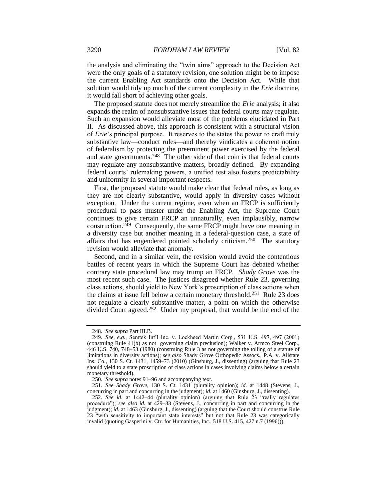the analysis and eliminating the "twin aims" approach to the Decision Act were the only goals of a statutory revision, one solution might be to impose the current Enabling Act standards onto the Decision Act. While that solution would tidy up much of the current complexity in the *Erie* doctrine, it would fall short of achieving other goals.

The proposed statute does not merely streamline the *Erie* analysis; it also expands the realm of nonsubstantive issues that federal courts may regulate. Such an expansion would alleviate most of the problems elucidated in Part II. As discussed above, this approach is consistent with a structural vision of *Erie*'s principal purpose. It reserves to the states the power to craft truly substantive law—conduct rules—and thereby vindicates a coherent notion of federalism by protecting the preeminent power exercised by the federal and state governments.<sup>248</sup> The other side of that coin is that federal courts may regulate any nonsubstantive matters, broadly defined. By expanding federal courts' rulemaking powers, a unified test also fosters predictability and uniformity in several important respects.

First, the proposed statute would make clear that federal rules, as long as they are not clearly substantive, would apply in diversity cases without exception. Under the current regime, even when an FRCP is sufficiently procedural to pass muster under the Enabling Act, the Supreme Court continues to give certain FRCP an unnaturally, even implausibly, narrow construction.249 Consequently, the same FRCP might have one meaning in a diversity case but another meaning in a federal-question case, a state of affairs that has engendered pointed scholarly criticism.250 The statutory revision would alleviate that anomaly.

Second, and in a similar vein, the revision would avoid the contentious battles of recent years in which the Supreme Court has debated whether contrary state procedural law may trump an FRCP. *Shady Grove* was the most recent such case. The justices disagreed whether Rule 23, governing class actions, should yield to New York's proscription of class actions when the claims at issue fell below a certain monetary threshold.251 Rule 23 does not regulate a clearly substantive matter, a point on which the otherwise divided Court agreed.252 Under my proposal, that would be the end of the

<sup>248.</sup> *See supra* Part III.B.

<sup>249.</sup> *See, e.g.*, Semtek Int'l Inc. v. Lockheed Martin Corp., 531 U.S. 497, 497 (2001) (construing Rule 41(b) as not governing claim preclusion); Walker v. Armco Steel Corp., 446 U.S. 740, 748–53 (1980) (construing Rule 3 as not governing the tolling of a statute of limitations in diversity actions); *see also* Shady Grove Orthopedic Assocs., P.A. v. Allstate Ins. Co., 130 S. Ct. 1431, 1459–73 (2010) (Ginsburg, J., dissenting) (arguing that Rule 23 should yield to a state proscription of class actions in cases involving claims below a certain monetary threshold).

<sup>250.</sup> *See supra* note[s 91](#page-17-0)[–96](#page-17-1) and accompanying text.

<sup>251.</sup> *See Shady Grove*, 130 S. Ct. 1431 (plurality opinion); *id.* at 1448 (Stevens, J., concurring in part and concurring in the judgment); *id.* at 1460 (Ginsburg, J., dissenting).

<sup>252.</sup> *See id.* at 1442–44 (plurality opinion) (arguing that Rule 23 "really regulates procedure"); *see also id.* at 429–33 (Stevens, J., concurring in part and concurring in the judgment); *id.* at 1463 (Ginsburg, J., dissenting) (arguing that the Court should construe Rule 23 "with sensitivity to important state interests" but not that Rule 23 was categorically invalid (quoting Gasperini v. Ctr. for Humanities, Inc., 518 U.S. 415, 427 n.7 (1996)).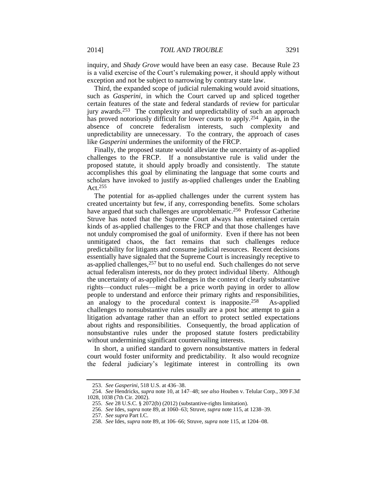inquiry, and *Shady Grove* would have been an easy case. Because Rule 23 is a valid exercise of the Court's rulemaking power, it should apply without exception and not be subject to narrowing by contrary state law.

Third, the expanded scope of judicial rulemaking would avoid situations, such as *Gasperini*, in which the Court carved up and spliced together certain features of the state and federal standards of review for particular jury awards.253 The complexity and unpredictability of such an approach has proved notoriously difficult for lower courts to apply.<sup>254</sup> Again, in the absence of concrete federalism interests, such complexity and unpredictability are unnecessary. To the contrary, the approach of cases like *Gasperini* undermines the uniformity of the FRCP.

Finally, the proposed statute would alleviate the uncertainty of as-applied challenges to the FRCP. If a nonsubstantive rule is valid under the proposed statute, it should apply broadly and consistently. The statute accomplishes this goal by eliminating the language that some courts and scholars have invoked to justify as-applied challenges under the Enabling Act.<sup>255</sup>

The potential for as-applied challenges under the current system has created uncertainty but few, if any, corresponding benefits. Some scholars have argued that such challenges are unproblematic.256 Professor Catherine Struve has noted that the Supreme Court always has entertained certain kinds of as-applied challenges to the FRCP and that those challenges have not unduly compromised the goal of uniformity. Even if there has not been unmitigated chaos, the fact remains that such challenges reduce predictability for litigants and consume judicial resources. Recent decisions essentially have signaled that the Supreme Court is increasingly receptive to as-applied challenges,<sup>257</sup> but to no useful end. Such challenges do not serve actual federalism interests, nor do they protect individual liberty. Although the uncertainty of as-applied challenges in the context of clearly substantive rights—conduct rules—might be a price worth paying in order to allow people to understand and enforce their primary rights and responsibilities, an analogy to the procedural context is inapposite.258 As-applied challenges to nonsubstantive rules usually are a post hoc attempt to gain a litigation advantage rather than an effort to protect settled expectations about rights and responsibilities. Consequently, the broad application of nonsubstantive rules under the proposed statute fosters predictability without undermining significant countervailing interests.

In short, a unified standard to govern nonsubstantive matters in federal court would foster uniformity and predictability. It also would recognize the federal judiciary's legitimate interest in controlling its own

<sup>253.</sup> *See Gasperini*, 518 U.S. at 436–38.

<sup>254.</sup> *See* Hendricks, *supra* note [10,](#page-3-1) at 147–48; *see also* Houben v. Telular Corp., 309 F.3d 1028, 1038 (7th Cir. 2002).

<sup>255.</sup> *See* 28 U.S.C. § 2072(b) (2012) (substantive-rights limitation).

<sup>256.</sup> *See* Ides, *supra* not[e 89,](#page-16-1) at 1060–63; Struve, *supra* not[e 115,](#page-19-0) at 1238–39.

<sup>257.</sup> *See supra* Part I.C.

<sup>258.</sup> *See* Ides, *supra* not[e 89,](#page-16-1) at 106–66; Struve, *supra* not[e 115,](#page-19-0) at 1204–08.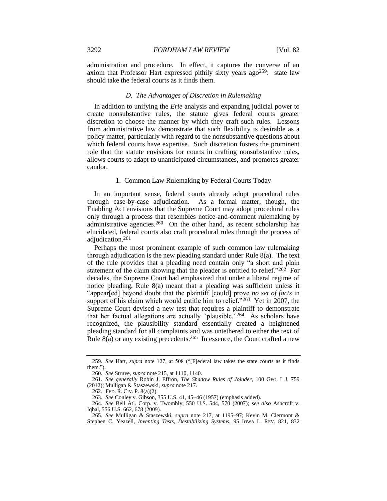administration and procedure. In effect, it captures the converse of an axiom that Professor Hart expressed pithily sixty years ago259: state law should take the federal courts as it finds them.

#### *D. The Advantages of Discretion in Rulemaking*

In addition to unifying the *Erie* analysis and expanding judicial power to create nonsubstantive rules, the statute gives federal courts greater discretion to choose the manner by which they craft such rules. Lessons from administrative law demonstrate that such flexibility is desirable as a policy matter, particularly with regard to the nonsubstantive questions about which federal courts have expertise. Such discretion fosters the prominent role that the statute envisions for courts in crafting nonsubstantive rules, allows courts to adapt to unanticipated circumstances, and promotes greater candor.

#### 1. Common Law Rulemaking by Federal Courts Today

In an important sense, federal courts already adopt procedural rules through case-by-case adjudication. As a formal matter, though, the Enabling Act envisions that the Supreme Court may adopt procedural rules only through a process that resembles notice-and-comment rulemaking by administrative agencies.260 On the other hand, as recent scholarship has elucidated, federal courts also craft procedural rules through the process of adjudication.<sup>261</sup>

<span id="page-44-1"></span>Perhaps the most prominent example of such common law rulemaking through adjudication is the new pleading standard under Rule 8(a). The text of the rule provides that a pleading need contain only "a short and plain statement of the claim showing that the pleader is entitled to relief."262 For decades, the Supreme Court had emphasized that under a liberal regime of notice pleading, Rule 8(a) meant that a pleading was sufficient unless it "appear[ed] beyond doubt that the plaintiff [could] prove *no set of facts* in support of his claim which would entitle him to relief."<sup>263</sup> Yet in 2007, the Supreme Court devised a new test that requires a plaintiff to demonstrate that her factual allegations are actually "plausible."264 As scholars have recognized, the plausibility standard essentially created a heightened pleading standard for all complaints and was untethered to either the text of Rule  $8(a)$  or any existing precedents.<sup>265</sup> In essence, the Court crafted a new

<span id="page-44-0"></span><sup>259.</sup> *See* Hart, *supra* note [127,](#page-21-0) at 508 ("[F]ederal law takes the state courts as it finds them.").

<sup>260.</sup> *See* Struve, *supra* not[e 215,](#page-35-1) at 1110, 1140.

<sup>261.</sup> *See generally* Robin J. Effron, *The Shadow Rules of Joinder*, 100 GEO. L.J. 759 (2012); Mulligan & Staszewski, *supra* not[e 217.](#page-36-1)

<sup>262.</sup> FED. R. CIV. P. 8(a)(2).

<sup>263.</sup> *See* Conley v. Gibson, 355 U.S. 41, 45–46 (1957) (emphasis added).

<sup>264.</sup> *See* Bell Atl. Corp. v. Twombly, 550 U.S. 544, 570 (2007); *see also* Ashcroft v. Iqbal, 556 U.S. 662, 678 (2009).

<sup>265.</sup> *See* Mulligan & Staszewski, *supra* note [217,](#page-36-1) at 1195–97; Kevin M. Clermont & Stephen C. Yeazell, *Inventing Tests, Destabilizing Systems*, 95 IOWA L. REV. 821, 832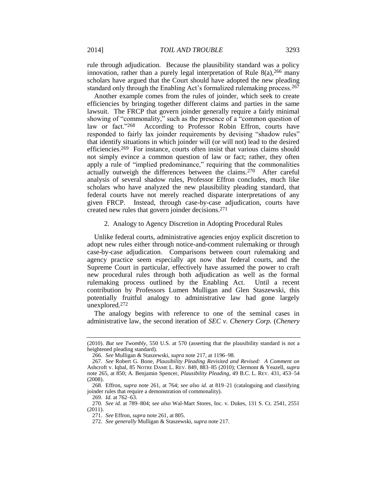rule through adjudication. Because the plausibility standard was a policy innovation, rather than a purely legal interpretation of Rule  $8(a)$ ,  $266$  many scholars have argued that the Court should have adopted the new pleading standard only through the Enabling Act's formalized rulemaking process.<sup>267</sup>

Another example comes from the rules of joinder, which seek to create efficiencies by bringing together different claims and parties in the same lawsuit. The FRCP that govern joinder generally require a fairly minimal showing of "commonality," such as the presence of a "common question of law or fact."<sup>268</sup> According to Professor Robin Effron, courts have responded to fairly lax joinder requirements by devising "shadow rules" that identify situations in which joinder will (or will not) lead to the desired efficiencies.269 For instance, courts often insist that various claims should not simply evince a common question of law or fact; rather, they often apply a rule of "implied predominance," requiring that the commonalities actually outweigh the differences between the claims.270 After careful analysis of several shadow rules, Professor Effron concludes, much like scholars who have analyzed the new plausibility pleading standard, that federal courts have not merely reached disparate interpretations of any given FRCP. Instead, through case-by-case adjudication, courts have created new rules that govern joinder decisions.<sup>271</sup>

#### 2. Analogy to Agency Discretion in Adopting Procedural Rules

Unlike federal courts, administrative agencies enjoy explicit discretion to adopt new rules either through notice-and-comment rulemaking or through case-by-case adjudication. Comparisons between court rulemaking and agency practice seem especially apt now that federal courts, and the Supreme Court in particular, effectively have assumed the power to craft new procedural rules through both adjudication as well as the formal rulemaking process outlined by the Enabling Act. Until a recent contribution by Professors Lumen Mulligan and Glen Staszewski, this potentially fruitful analogy to administrative law had gone largely unexplored.<sup>272</sup>

The analogy begins with reference to one of the seminal cases in administrative law, the second iteration of *SEC v. Chenery Corp.* (*Chenery* 

<sup>(2010).</sup> *But see Twombly*, 550 U.S. at 570 (asserting that the plausibility standard is not a heightened pleading standard).

<sup>266.</sup> *See* Mulligan & Staszewski, *supra* not[e 217,](#page-36-1) at 1196–98.

<sup>267.</sup> *See* Robert G. Bone, *Plausibility Pleading Revisited and Revised: A Comment on*  Ashcroft v. Iqbal, 85 NOTRE DAME L. REV. 849, 883–85 (2010); Clermont & Yeazell, *supra* note [265,](#page-44-0) at 850; A. Benjamin Spencer, *Plausibility Pleading*, 49 B.C. L. REV. 431, 453–54 (2008).

<sup>268.</sup> Effron, *supra* note [261,](#page-44-1) at 764; *see also id*. at 819–21 (cataloguing and classifying joinder rules that require a demonstration of commonality).

<sup>269.</sup> *Id.* at 762–63.

<sup>270</sup>*. See id.* at 789–804; *see also* Wal-Mart Stores, Inc. v. Dukes, 131 S. Ct. 2541, 2551 (2011).

<sup>271.</sup> *See* Effron, *supra* not[e 261,](#page-44-1) at 805.

<sup>272.</sup> *See generally* Mulligan & Staszewski, *supra* not[e 217.](#page-36-1)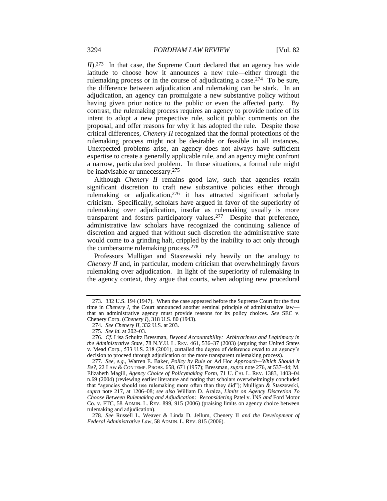*II*).<sup>273</sup> In that case, the Supreme Court declared that an agency has wide latitude to choose how it announces a new rule—either through the rulemaking process or in the course of adjudicating a case.274 To be sure, the difference between adjudication and rulemaking can be stark. In an adjudication, an agency can promulgate a new substantive policy without having given prior notice to the public or even the affected party. By contrast, the rulemaking process requires an agency to provide notice of its intent to adopt a new prospective rule, solicit public comments on the proposal, and offer reasons for why it has adopted the rule. Despite those critical differences, *Chenery II* recognized that the formal protections of the rulemaking process might not be desirable or feasible in all instances. Unexpected problems arise, an agency does not always have sufficient expertise to create a generally applicable rule, and an agency might confront a narrow, particularized problem. In those situations, a formal rule might be inadvisable or unnecessary.<sup>275</sup>

<span id="page-46-1"></span><span id="page-46-0"></span>Although *Chenery II* remains good law, such that agencies retain significant discretion to craft new substantive policies either through rulemaking or adjudication,<sup>276</sup> it has attracted significant scholarly criticism. Specifically, scholars have argued in favor of the superiority of rulemaking over adjudication, insofar as rulemaking usually is more transparent and fosters participatory values.277 Despite that preference, administrative law scholars have recognized the continuing salience of discretion and argued that without such discretion the administrative state would come to a grinding halt, crippled by the inability to act only through the cumbersome rulemaking process.<sup>278</sup>

Professors Mulligan and Staszewski rely heavily on the analogy to *Chenery II* and, in particular, modern criticism that overwhelmingly favors rulemaking over adjudication. In light of the superiority of rulemaking in the agency context, they argue that courts, when adopting new procedural

<sup>273.</sup> 332 U.S. 194 (1947). When the case appeared before the Supreme Court for the first time in *Chenery I*, the Court announced another seminal principle of administrative law that an administrative agency must provide reasons for its policy choices. *See* SEC v. Chenery Corp. (*Chenery I*), 318 U.S. 80 (1943).

<sup>274.</sup> *See Chenery II*, 332 U.S. at 203.

<sup>275.</sup> *See id.* at 202–03.

<sup>276.</sup> *Cf.* Lisa Schultz Bressman, *Beyond Accountability: Arbitrariness and Legitimacy in the Administrative State*, 78 N.Y.U. L. REV. 461, 536–37 (2003) (arguing that United States v. Mead Corp., 533 U.S. 218 (2001), curtailed the degree of deference owed to an agency's decision to proceed through adjudication or the more transparent rulemaking process).

<sup>277.</sup> *See, e.g.*, Warren E. Baker, *Policy by Rule or* Ad Hoc *Approach—Which Should It Be?*, 22 LAW & CONTEMP. PROBS. 658, 671 (1957); Bressman, *supra* not[e 276,](#page-46-0) at 537–44; M. Elizabeth Magill, *Agency Choice of Policymaking Form*, 71 U. CHI. L. REV. 1383, 1403–04 n.69 (2004) (reviewing earlier literature and noting that scholars overwhelmingly concluded that "agencies should use rulemaking more often than they did"); Mulligan & Staszewski, *supra* note [217,](#page-36-1) at 1206–08; *see also* William D. Araiza, *Limits on Agency Discretion To Choose Between Rulemaking and Adjudication: Reconsidering* Patel v. INS *and* Ford Motor Co. v. FTC, 58 ADMIN. L. REV. 899, 915 (2006) (praising limits on agency choice between rulemaking and adjudication).

<sup>278.</sup> *See* Russell L. Weaver & Linda D. Jellum, Chenery II *and the Development of Federal Administrative Law*, 58 ADMIN. L. REV. 815 (2006).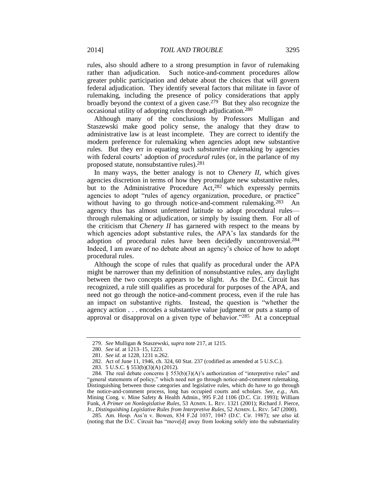rules, also should adhere to a strong presumption in favor of rulemaking rather than adjudication. Such notice-and-comment procedures allow greater public participation and debate about the choices that will govern federal adjudication. They identify several factors that militate in favor of rulemaking, including the presence of policy considerations that apply broadly beyond the context of a given case.279 But they also recognize the occasional utility of adopting rules through adjudication.<sup>280</sup>

Although many of the conclusions by Professors Mulligan and Staszewski make good policy sense, the analogy that they draw to administrative law is at least incomplete. They are correct to identify the modern preference for rulemaking when agencies adopt new substantive rules. But they err in equating such *substantive* rulemaking by agencies with federal courts' adoption of *procedural* rules (or, in the parlance of my proposed statute, nonsubstantive rules).<sup>281</sup>

In many ways, the better analogy is not to *Chenery II*, which gives agencies discretion in terms of how they promulgate new substantive rules, but to the Administrative Procedure Act, <sup>282</sup> which expressly permits agencies to adopt "rules of agency organization, procedure, or practice" without having to go through notice-and-comment rulemaking.<sup>283</sup> An agency thus has almost unfettered latitude to adopt procedural rules through rulemaking or adjudication, or simply by issuing them. For all of the criticism that *Chenery II* has garnered with respect to the means by which agencies adopt substantive rules, the APA's lax standards for the adoption of procedural rules have been decidedly uncontroversial.<sup>284</sup> Indeed, I am aware of no debate about an agency's choice of how to adopt procedural rules.

Although the scope of rules that qualify as procedural under the APA might be narrower than my definition of nonsubstantive rules, any daylight between the two concepts appears to be slight. As the D.C. Circuit has recognized, a rule still qualifies as procedural for purposes of the APA, and need not go through the notice-and-comment process, even if the rule has an impact on substantive rights. Instead, the question is "whether the agency action . . . encodes a substantive value judgment or puts a stamp of approval or disapproval on a given type of behavior."285 At a conceptual

<sup>279.</sup> *See* Mulligan & Staszewski, *supra* not[e 217,](#page-36-1) at 1215.

<sup>280.</sup> *See id.* at 1213–15, 1223.

<sup>281.</sup> *See id.* at 1228, 1231 n.262.

<sup>282.</sup> Act of June 11, 1946, ch. 324, 60 Stat. 237 (codified as amended at 5 U.S.C.).

<sup>283.</sup> 5 U.S.C. § 553(b)(3)(A) (2012).

<sup>284.</sup> The real debate concerns  $\S$  553(b)(3)(A)'s authorization of "interpretive rules" and "general statements of policy," which need not go through notice-and-comment rulemaking. Distinguishing between those categories and legislative rules, which do have to go through the notice-and-comment process, long has occupied courts and scholars. *See, e.g.*, Am. Mining Cong. v. Mine Safety & Health Admin., 995 F.2d 1106 (D.C. Cir. 1993); William Funk, *A Primer on Nonlegislative Rules*, 53 ADMIN. L. REV. 1321 (2001); Richard J. Pierce, Jr., *Distinguishing Legislative Rules from Interpretive Rules*, 52 ADMIN. L. REV. 547 (2000).

<sup>285.</sup> Am. Hosp. Ass'n v. Bowen, 834 F.2d 1037, 1047 (D.C. Cir. 1987); *see also id.* (noting that the D.C. Circuit has "move[d] away from looking solely into the substantiality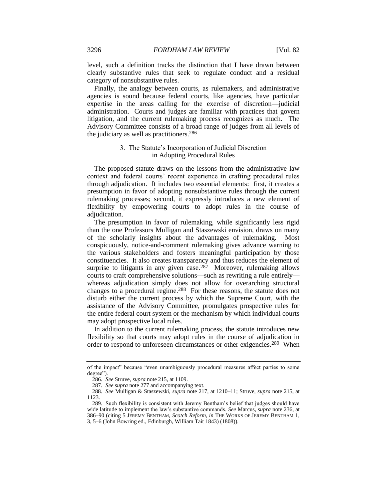level, such a definition tracks the distinction that I have drawn between clearly substantive rules that seek to regulate conduct and a residual category of nonsubstantive rules.

Finally, the analogy between courts, as rulemakers, and administrative agencies is sound because federal courts, like agencies, have particular expertise in the areas calling for the exercise of discretion—judicial administration. Courts and judges are familiar with practices that govern litigation, and the current rulemaking process recognizes as much. The Advisory Committee consists of a broad range of judges from all levels of the judiciary as well as practitioners.<sup>286</sup>

### 3. The Statute's Incorporation of Judicial Discretion in Adopting Procedural Rules

The proposed statute draws on the lessons from the administrative law context and federal courts' recent experience in crafting procedural rules through adjudication. It includes two essential elements: first, it creates a presumption in favor of adopting nonsubstantive rules through the current rulemaking processes; second, it expressly introduces a new element of flexibility by empowering courts to adopt rules in the course of adjudication.

The presumption in favor of rulemaking, while significantly less rigid than the one Professors Mulligan and Staszewski envision, draws on many of the scholarly insights about the advantages of rulemaking. Most conspicuously, notice-and-comment rulemaking gives advance warning to the various stakeholders and fosters meaningful participation by those constituencies. It also creates transparency and thus reduces the element of surprise to litigants in any given case.<sup>287</sup> Moreover, rulemaking allows courts to craft comprehensive solutions—such as rewriting a rule entirely whereas adjudication simply does not allow for overarching structural changes to a procedural regime.<sup>288</sup> For these reasons, the statute does not disturb either the current process by which the Supreme Court, with the assistance of the Advisory Committee, promulgates prospective rules for the entire federal court system or the mechanism by which individual courts may adopt prospective local rules.

In addition to the current rulemaking process, the statute introduces new flexibility so that courts may adopt rules in the course of adjudication in order to respond to unforeseen circumstances or other exigencies.289 When

of the impact" because "even unambiguously procedural measures affect parties to some degree").

<sup>286.</sup> *See* Struve, *supra* not[e 215,](#page-35-1) at 1109.

<sup>287.</sup> *See supra* not[e 277](#page-46-1) and accompanying text.

<sup>288.</sup> *See* Mulligan & Staszewski, *supra* note [217,](#page-36-1) at 1210–11; Struve, *supra* note [215,](#page-35-1) at 1123.

<sup>289.</sup> Such flexibility is consistent with Jeremy Bentham's belief that judges should have wide latitude to implement the law's substantive commands. *See* Marcus, *supra* note [236,](#page-39-0) at 386–90 (citing 5 JEREMY BENTHAM, *Scotch Reform*, *in* THE WORKS OF JEREMY BENTHAM 1, 3, 5–6 (John Bowring ed., Edinburgh, William Tait 1843) (1808)).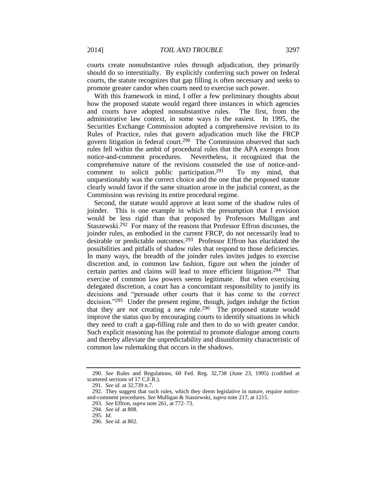courts create nonsubstantive rules through adjudication, they primarily should do so interstitially. By explicitly conferring such power on federal courts, the statute recognizes that gap filling is often necessary and seeks to promote greater candor when courts need to exercise such power.

With this framework in mind, I offer a few preliminary thoughts about how the proposed statute would regard three instances in which agencies and courts have adopted nonsubstantive rules. The first, from the administrative law context, in some ways is the easiest. In 1995, the Securities Exchange Commission adopted a comprehensive revision to its Rules of Practice, rules that govern adjudication much like the FRCP govern litigation in federal court.290 The Commission observed that such rules fell within the ambit of procedural rules that the APA exempts from notice-and-comment procedures. Nevertheless, it recognized that the comprehensive nature of the revisions counseled the use of notice-andcomment to solicit public participation.<sup>291</sup> To my mind, that unquestionably was the correct choice and the one that the proposed statute clearly would favor if the same situation arose in the judicial context, as the Commission was revising its entire procedural regime.

Second, the statute would approve at least some of the shadow rules of joinder. This is one example in which the presumption that I envision would be less rigid than that proposed by Professors Mulligan and Staszewski.292 For many of the reasons that Professor Effron discusses, the joinder rules, as embodied in the current FRCP, do not necessarily lead to desirable or predictable outcomes.293 Professor Effron has elucidated the possibilities and pitfalls of shadow rules that respond to those deficiencies. In many ways, the breadth of the joinder rules invites judges to exercise discretion and, in common law fashion, figure out when the joinder of certain parties and claims will lead to more efficient litigation.294 That exercise of common law powers seems legitimate. But when exercising delegated discretion, a court has a concomitant responsibility to justify its decisions and "persuade other courts that it has come to the *correct* decision."295 Under the present regime, though, judges indulge the fiction that they are *not* creating a new rule.296 The proposed statute would improve the status quo by encouraging courts to identify situations in which they need to craft a gap-filling rule and then to do so with greater candor. Such explicit reasoning has the potential to promote dialogue among courts and thereby alleviate the unpredictability and disuniformity characteristic of common law rulemaking that occurs in the shadows.

<sup>290.</sup> *See* Rules and Regulations, 60 Fed. Reg. 32,738 (June 23, 1995) (codified at scattered sections of 17 C.F.R.).

<sup>291.</sup> *See id.* at 32,739 n.7.

<sup>292.</sup> They suggest that such rules, which they deem legislative in nature, require noticeand-comment procedures. *See* Mulligan & Staszewski, *supra* note [217,](#page-36-1) at 1215.

<sup>293.</sup> *See* Effron, *supra* not[e 261,](#page-44-1) at 772–73.

<sup>294.</sup> *See id.* at 808.

<sup>295.</sup> *Id.*

<sup>296.</sup> *See id.* at 802.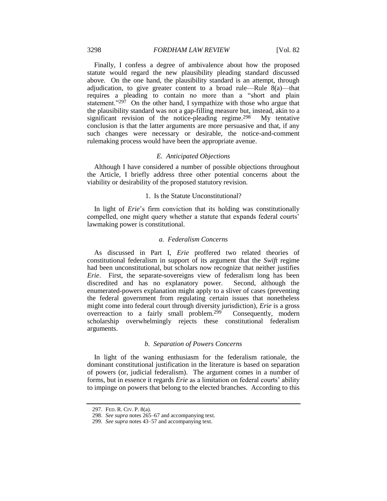#### 3298 *FORDHAM LAW REVIEW* [Vol. 82

Finally, I confess a degree of ambivalence about how the proposed statute would regard the new plausibility pleading standard discussed above. On the one hand, the plausibility standard is an attempt, through adjudication, to give greater content to a broad rule—Rule 8(a)—that requires a pleading to contain no more than a "short and plain statement." $297$  On the other hand, I sympathize with those who argue that the plausibility standard was not a gap-filling measure but, instead, akin to a significant revision of the notice-pleading regime.<sup>298</sup> My tentative conclusion is that the latter arguments are more persuasive and that, if any such changes were necessary or desirable, the notice-and-comment rulemaking process would have been the appropriate avenue.

#### *E. Anticipated Objections*

Although I have considered a number of possible objections throughout the Article, I briefly address three other potential concerns about the viability or desirability of the proposed statutory revision.

#### 1. Is the Statute Unconstitutional?

In light of *Erie*'s firm conviction that its holding was constitutionally compelled, one might query whether a statute that expands federal courts' lawmaking power is constitutional.

#### *a. Federalism Concerns*

As discussed in Part I, *Erie* proffered two related theories of constitutional federalism in support of its argument that the *Swift* regime had been unconstitutional, but scholars now recognize that neither justifies *Erie*. First, the separate-sovereigns view of federalism long has been discredited and has no explanatory power. Second, although the enumerated-powers explanation might apply to a sliver of cases (preventing the federal government from regulating certain issues that nonetheless might come into federal court through diversity jurisdiction), *Erie* is a gross overreaction to a fairly small problem.<sup>299</sup> Consequently, modern scholarship overwhelmingly rejects these constitutional federalism arguments.

#### *b. Separation of Powers Concerns*

In light of the waning enthusiasm for the federalism rationale, the dominant constitutional justification in the literature is based on separation of powers (or, judicial federalism). The argument comes in a number of forms, but in essence it regards *Erie* as a limitation on federal courts' ability to impinge on powers that belong to the elected branches. According to this

<sup>297.</sup> FED. R. CIV. P. 8(a).

<sup>298.</sup> *See supra* note[s 265–](#page-44-0)67 and accompanying text.

<sup>299.</sup> *See supra* note[s 43](#page-10-1)[–57](#page-12-1) and accompanying text.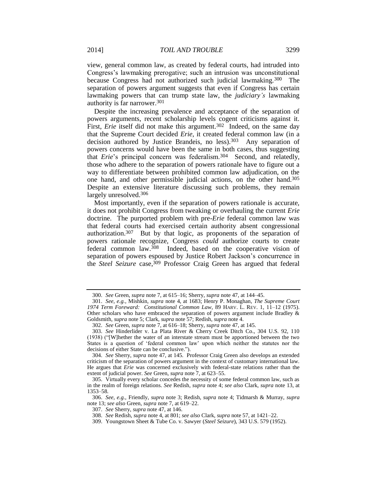<span id="page-51-0"></span>view, general common law, as created by federal courts, had intruded into Congress's lawmaking prerogative; such an intrusion was unconstitutional because Congress had not authorized such judicial lawmaking.300 The separation of powers argument suggests that even if Congress has certain lawmaking powers that can trump state law, the *judiciary's* lawmaking authority is far narrower.<sup>301</sup>

Despite the increasing prevalence and acceptance of the separation of powers arguments, recent scholarship levels cogent criticisms against it. First, *Erie* itself did not make this argument.<sup>302</sup> Indeed, on the same day that the Supreme Court decided *Erie*, it created federal common law (in a decision authored by Justice Brandeis, no less).303 Any separation of powers concerns would have been the same in both cases, thus suggesting that *Erie*'s principal concern was federalism.304 Second, and relatedly, those who adhere to the separation of powers rationale have to figure out a way to differentiate between prohibited common law adjudication, on the one hand, and other permissible judicial actions, on the other hand.<sup>305</sup> Despite an extensive literature discussing such problems, they remain largely unresolved.<sup>306</sup>

Most importantly, even if the separation of powers rationale is accurate, it does not prohibit Congress from tweaking or overhauling the current *Erie* doctrine. The purported problem with pre-*Erie* federal common law was that federal courts had exercised certain authority absent congressional authorization.307 But by that logic, as proponents of the separation of powers rationale recognize, Congress *could* authorize courts to create federal common law.308 Indeed, based on the cooperative vision of separation of powers espoused by Justice Robert Jackson's concurrence in the *Steel Seizure* case, <sup>309</sup> Professor Craig Green has argued that federal

307. *See* Sherry, *supra* not[e 47,](#page-10-0) at 146.

<sup>300.</sup> *See* Green, *supra* not[e 7,](#page-3-0) at 615–16; Sherry, *supra* not[e 47,](#page-10-0) at 144–45.

<sup>301.</sup> *See, e.g.*, Mishkin, *supra* note [4,](#page-3-3) at 1683; Henry P. Monaghan, *The Supreme Court 1974 Term Foreward: Constitutional Common Law*, 89 HARV. L. REV. 1, 11–12 (1975). Other scholars who have embraced the separation of powers argument include Bradley  $\&$ Goldsmith, *supra* note [5;](#page-3-5) Clark, *supra* not[e 57;](#page-12-1) Redish, *supra* note [4.](#page-3-3)

<sup>302.</sup> *See* Green, *supra* not[e 7,](#page-3-0) at 616–18; Sherry, *supra* not[e 47,](#page-10-0) at 145.

<sup>303.</sup> *See* Hinderlider v. La Plata River & Cherry Creek Ditch Co., 304 U.S. 92, 110 (1938) ("[W]hether the water of an interstate stream must be apportioned between the two States is a question of 'federal common law' upon which neither the statutes nor the decisions of either State can be conclusive.").

<sup>304.</sup> *See* Sherry, *supra* note [47,](#page-10-0) at 145. Professor Craig Green also develops an extended criticism of the separation of powers argument in the context of customary international law. He argues that *Erie* was concerned exclusively with federal-state relations rather than the extent of judicial power. *See* Green, *supra* note [7,](#page-3-0) at 623–55.

<sup>305.</sup> Virtually every scholar concedes the necessity of some federal common law, such as in the realm of foreign relations. *See* Redish, *supra* note [4;](#page-3-3) *see also* Clark, *supra* not[e 13,](#page-5-0) at 1353–58.

<sup>306.</sup> *See, e.g.*, Friendly, *supra* note [3;](#page-3-2) Redish, *supra* note [4;](#page-3-3) Tidmarsh & Murray, *supra* note [13;](#page-5-0) *see also* Green, *supra* not[e 7,](#page-3-0) at 619–22.

<sup>308.</sup> *See* Redish, *supra* not[e 4,](#page-3-3) at 801; *see also* Clark, *supra* not[e 57,](#page-12-1) at 1421–22.

<sup>309.</sup> Youngstown Sheet & Tube Co. v. Sawyer (*Steel Seizure*), 343 U.S. 579 (1952).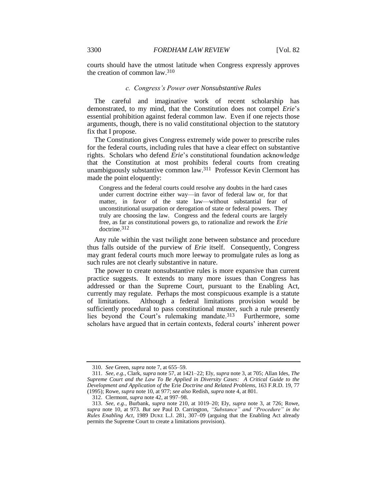courts should have the utmost latitude when Congress expressly approves the creation of common law.<sup>310</sup>

#### *c. Congress's Power over Nonsubstantive Rules*

The careful and imaginative work of recent scholarship has demonstrated, to my mind, that the Constitution does not compel *Erie*'s essential prohibition against federal common law. Even if one rejects those arguments, though, there is no valid constitutional objection to the statutory fix that I propose.

The Constitution gives Congress extremely wide power to prescribe rules for the federal courts, including rules that have a clear effect on substantive rights. Scholars who defend *Erie*'s constitutional foundation acknowledge that the Constitution at most prohibits federal courts from creating unambiguously substantive common law.311 Professor Kevin Clermont has made the point eloquently:

Congress and the federal courts could resolve any doubts in the hard cases under current doctrine either way—in favor of federal law or, for that matter, in favor of the state law—without substantial fear of unconstitutional usurpation or derogation of state or federal powers. They truly are choosing the law. Congress and the federal courts are largely free, as far as constitutional powers go, to rationalize and rework the *Erie* doctrine.312

Any rule within the vast twilight zone between substance and procedure thus falls outside of the purview of *Erie* itself. Consequently, Congress may grant federal courts much more leeway to promulgate rules as long as such rules are not clearly substantive in nature.

The power to create nonsubstantive rules is more expansive than current practice suggests. It extends to many more issues than Congress has addressed or than the Supreme Court, pursuant to the Enabling Act, currently may regulate. Perhaps the most conspicuous example is a statute of limitations. Although a federal limitations provision would be sufficiently procedural to pass constitutional muster, such a rule presently lies beyond the Court's rulemaking mandate.313 Furthermore, some scholars have argued that in certain contexts, federal courts' inherent power

<sup>310.</sup> *See* Green, *supra* not[e 7,](#page-3-0) at 655–59.

<sup>311.</sup> *See, e.g.*, Clark, *supra* not[e 57,](#page-12-1) at 1421–22; Ely, *supra* not[e 3,](#page-3-2) at 705; Allan Ides, *The Supreme Court and the Law To Be Applied in Diversity Cases: A Critical Guide to the Development and Application of the* Erie *Doctrine and Related Problems*, 163 F.R.D. 19, 77 (1995); Rowe, *supra* not[e 10,](#page-3-1) at 977; *see also* Redish, *supra* not[e 4,](#page-3-3) at 801.

<sup>312.</sup> Clermont, *supra* note [42,](#page-9-0) at 997–98.

<sup>313.</sup> *See, e.g.*, Burbank, *supra* note [210,](#page-34-1) at 1019–20; Ely, *supra* note [3,](#page-3-2) at 726; Rowe, *supra* note [10,](#page-3-1) at 973. *But see* Paul D. Carrington, *"Substance" and "Procedure" in the Rules Enabling Act*, 1989 DUKE L.J. 281, 307–09 (arguing that the Enabling Act already permits the Supreme Court to create a limitations provision).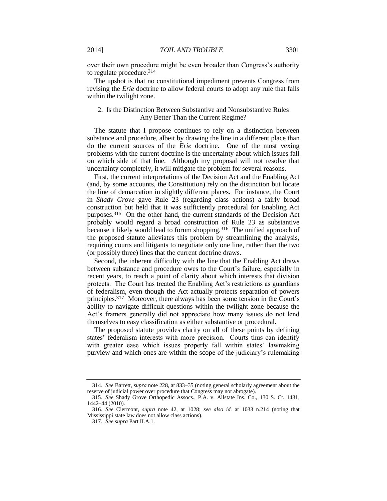over their own procedure might be even broader than Congress's authority to regulate procedure.<sup>314</sup>

The upshot is that no constitutional impediment prevents Congress from revising the *Erie* doctrine to allow federal courts to adopt any rule that falls within the twilight zone.

#### 2. Is the Distinction Between Substantive and Nonsubstantive Rules Any Better Than the Current Regime?

The statute that I propose continues to rely on a distinction between substance and procedure, albeit by drawing the line in a different place than do the current sources of the *Erie* doctrine. One of the most vexing problems with the current doctrine is the uncertainty about which issues fall on which side of that line. Although my proposal will not resolve that uncertainty completely, it will mitigate the problem for several reasons.

First, the current interpretations of the Decision Act and the Enabling Act (and, by some accounts, the Constitution) rely on the distinction but locate the line of demarcation in slightly different places. For instance, the Court in *Shady Grove* gave Rule 23 (regarding class actions) a fairly broad construction but held that it was sufficiently procedural for Enabling Act purposes.315 On the other hand, the current standards of the Decision Act probably would regard a broad construction of Rule 23 as substantive because it likely would lead to forum shopping.<sup>316</sup> The unified approach of the proposed statute alleviates this problem by streamlining the analysis, requiring courts and litigants to negotiate only one line, rather than the two (or possibly three) lines that the current doctrine draws.

Second, the inherent difficulty with the line that the Enabling Act draws between substance and procedure owes to the Court's failure, especially in recent years, to reach a point of clarity about which interests that division protects. The Court has treated the Enabling Act's restrictions as guardians of federalism, even though the Act actually protects separation of powers principles.317 Moreover, there always has been some tension in the Court's ability to navigate difficult questions within the twilight zone because the Act's framers generally did not appreciate how many issues do not lend themselves to easy classification as either substantive or procedural.

The proposed statute provides clarity on all of these points by defining states' federalism interests with more precision. Courts thus can identify with greater ease which issues properly fall within states' lawmaking purview and which ones are within the scope of the judiciary's rulemaking

<sup>314.</sup> *See* Barrett, *supra* note [228,](#page-38-0) at 833–35 (noting general scholarly agreement about the reserve of judicial power over procedure that Congress may not abrogate).

<sup>315.</sup> *See* Shady Grove Orthopedic Assocs., P.A. v. Allstate Ins. Co., 130 S. Ct. 1431, 1442–44 (2010).

<sup>316.</sup> *See* Clermont, *supra* note [42,](#page-9-0) at 1028; *see also id.* at 1033 n.214 (noting that Mississippi state law does not allow class actions).

<sup>317.</sup> *See supra* Part II.A.1.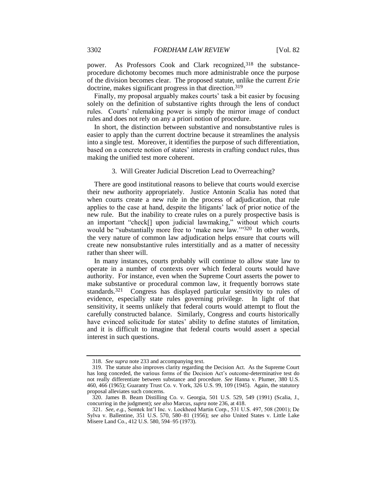power. As Professors Cook and Clark recognized,<sup>318</sup> the substanceprocedure dichotomy becomes much more administrable once the purpose of the division becomes clear. The proposed statute, unlike the current *Erie* doctrine, makes significant progress in that direction.<sup>319</sup>

Finally, my proposal arguably makes courts' task a bit easier by focusing solely on the definition of substantive rights through the lens of conduct rules. Courts' rulemaking power is simply the mirror image of conduct rules and does not rely on any a priori notion of procedure.

In short, the distinction between substantive and nonsubstantive rules is easier to apply than the current doctrine because it streamlines the analysis into a single test. Moreover, it identifies the purpose of such differentiation, based on a concrete notion of states' interests in crafting conduct rules, thus making the unified test more coherent.

#### 3. Will Greater Judicial Discretion Lead to Overreaching?

There are good institutional reasons to believe that courts would exercise their new authority appropriately. Justice Antonin Scalia has noted that when courts create a new rule in the process of adjudication, that rule applies to the case at hand, despite the litigants' lack of prior notice of the new rule. But the inability to create rules on a purely prospective basis is an important "check[] upon judicial lawmaking," without which courts would be "substantially more free to 'make new law.'"<sup>320</sup> In other words, the very nature of common law adjudication helps ensure that courts will create new nonsubstantive rules interstitially and as a matter of necessity rather than sheer will.

In many instances, courts probably will continue to allow state law to operate in a number of contexts over which federal courts would have authority. For instance, even when the Supreme Court asserts the power to make substantive or procedural common law, it frequently borrows state standards.321 Congress has displayed particular sensitivity to rules of evidence, especially state rules governing privilege. In light of that sensitivity, it seems unlikely that federal courts would attempt to flout the carefully constructed balance. Similarly, Congress and courts historically have evinced solicitude for states' ability to define statutes of limitation, and it is difficult to imagine that federal courts would assert a special interest in such questions.

<sup>318.</sup> *See supra* not[e 233](#page-38-1) and accompanying text.

<sup>319.</sup> The statute also improves clarity regarding the Decision Act. As the Supreme Court has long conceded, the various forms of the Decision Act's outcome-determinative test do not really differentiate between substance and procedure. *See* Hanna v. Plumer, 380 U.S. 460, 466 (1965); Guaranty Trust Co. v. York, 326 U.S. 99, 109 (1945). Again, the statutory proposal alleviates such concerns.

<sup>320.</sup> James B. Beam Distilling Co. v. Georgia, 501 U.S. 529, 549 (1991) (Scalia, J., concurring in the judgment); *see also* Marcus, *supra* not[e 236,](#page-39-0) at 418.

<sup>321.</sup> *See, e.g.*, Semtek Int'l Inc. v. Lockheed Martin Corp., 531 U.S. 497, 508 (2001); De Sylva v. Ballentine, 351 U.S. 570, 580–81 (1956); *see also* United States v. Little Lake Misere Land Co., 412 U.S. 580, 594–95 (1973).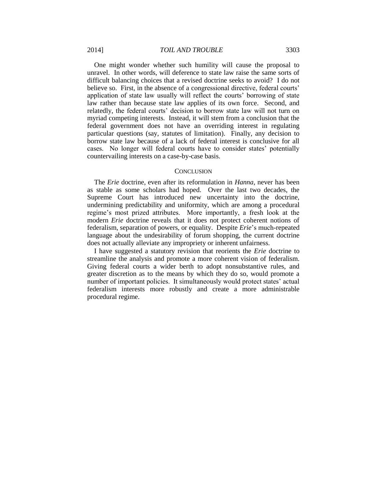One might wonder whether such humility will cause the proposal to unravel. In other words, will deference to state law raise the same sorts of difficult balancing choices that a revised doctrine seeks to avoid? I do not believe so. First, in the absence of a congressional directive, federal courts' application of state law usually will reflect the courts' borrowing of state law rather than because state law applies of its own force. Second, and relatedly, the federal courts' decision to borrow state law will not turn on myriad competing interests. Instead, it will stem from a conclusion that the federal government does not have an overriding interest in regulating particular questions (say, statutes of limitation). Finally, any decision to borrow state law because of a lack of federal interest is conclusive for all cases. No longer will federal courts have to consider states' potentially countervailing interests on a case-by-case basis.

#### **CONCLUSION**

The *Erie* doctrine, even after its reformulation in *Hanna*, never has been as stable as some scholars had hoped. Over the last two decades, the Supreme Court has introduced new uncertainty into the doctrine, undermining predictability and uniformity, which are among a procedural regime's most prized attributes. More importantly, a fresh look at the modern *Erie* doctrine reveals that it does not protect coherent notions of federalism, separation of powers, or equality. Despite *Erie*'s much-repeated language about the undesirability of forum shopping, the current doctrine does not actually alleviate any impropriety or inherent unfairness.

I have suggested a statutory revision that reorients the *Erie* doctrine to streamline the analysis and promote a more coherent vision of federalism. Giving federal courts a wider berth to adopt nonsubstantive rules, and greater discretion as to the means by which they do so, would promote a number of important policies. It simultaneously would protect states' actual federalism interests more robustly and create a more administrable procedural regime.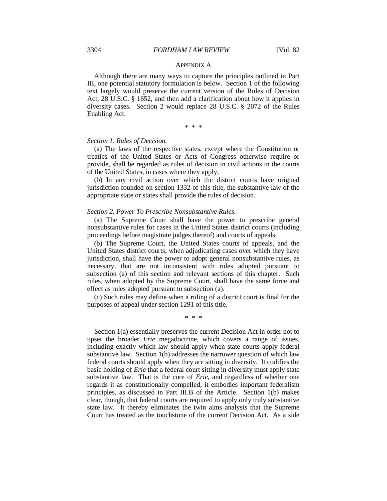#### APPENDIX A

Although there are many ways to capture the principles outlined in Part III, one potential statutory formulation is below. Section 1 of the following text largely would preserve the current version of the Rules of Decision Act, 28 U.S.C. § 1652, and then add a clarification about how it applies in diversity cases. Section 2 would replace 28 U.S.C. § 2072 of the Rules Enabling Act.

\* \* \*

#### *Section 1. Rules of Decision.*

(a) The laws of the respective states, except where the Constitution or treaties of the United States or Acts of Congress otherwise require or provide, shall be regarded as rules of decision in civil actions in the courts of the United States, in cases where they apply.

(b) In any civil action over which the district courts have original jurisdiction founded on section 1332 of this title, the substantive law of the appropriate state or states shall provide the rules of decision.

#### *Section 2. Power To Prescribe Nonsubstantive Rules.*

(a) The Supreme Court shall have the power to prescribe general nonsubstantive rules for cases in the United States district courts (including proceedings before magistrate judges thereof) and courts of appeals.

(b) The Supreme Court, the United States courts of appeals, and the United States district courts, when adjudicating cases over which they have jurisdiction, shall have the power to adopt general nonsubstantive rules, as necessary, that are not inconsistent with rules adopted pursuant to subsection (a) of this section and relevant sections of this chapter. Such rules, when adopted by the Supreme Court, shall have the same force and effect as rules adopted pursuant to subsection (a).

(c) Such rules may define when a ruling of a district court is final for the purposes of appeal under section 1291 of this title.

\* \* \*

Section 1(a) essentially preserves the current Decision Act in order not to upset the broader *Erie* megadoctrine, which covers a range of issues, including exactly which law should apply when state courts apply federal substantive law. Section 1(b) addresses the narrower question of which law federal courts should apply when they are sitting in diversity. It codifies the basic holding of *Erie* that a federal court sitting in diversity must apply state substantive law. That is the core of *Erie*, and regardless of whether one regards it as constitutionally compelled, it embodies important federalism principles, as discussed in Part III.B of the Article. Section 1(b) makes clear, though, that federal courts are required to apply only truly substantive state law. It thereby eliminates the twin aims analysis that the Supreme Court has treated as the touchstone of the current Decision Act. As a side